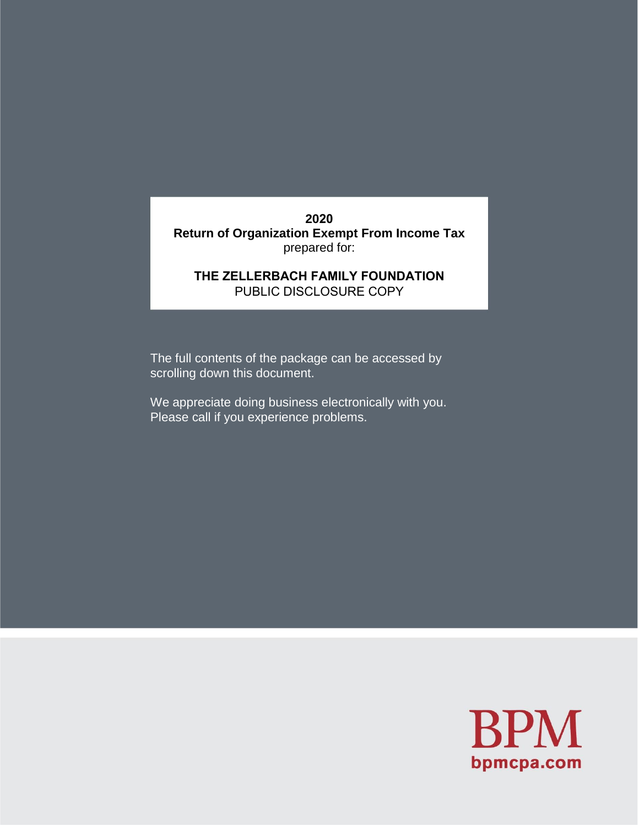**2020 Return of Organization Exempt From Income Tax**  prepared for:

# **THE ZELLERBACH FAMILY FOUNDATION** PUBLIC DISCLOSURE COPY

The full contents of the package can be accessed by scrolling down this document.

We appreciate doing business electronically with you. Please call if you experience problems.

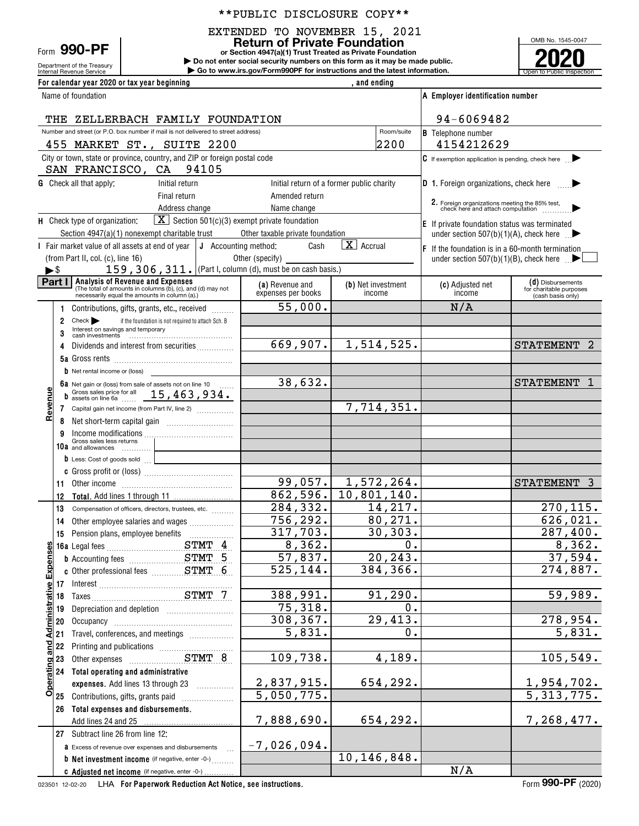### \*\*PUBLIC DISCLOSURE COPY\*\*

EXTENDED TO NOVEMBER 15, 2021

Form **990-PF**

**or Section 4947(a)(1) Trust Treated as Private Foundation Return of Private Foundation**



**For calendar year 2020 or tax year beginning** Name of foundation

| Form JJU-LL<br>Department of the Treasury<br>Internal Revenue Service | or Section 4947(a)(1) Trust Treated as Private Foundation<br>Do not enter social security numbers on this form as it may be made public.<br>$\triangleright$ Go to www.irs.gov/Form990PF for instructions and the latest information. |                                  | 2020<br>Open to Public Inspection |
|-----------------------------------------------------------------------|---------------------------------------------------------------------------------------------------------------------------------------------------------------------------------------------------------------------------------------|----------------------------------|-----------------------------------|
| For calendar year 2020 or tax year beginning                          | and ending                                                                                                                                                                                                                            |                                  |                                   |
| Name of foundation                                                    |                                                                                                                                                                                                                                       | A Employer identification number |                                   |

|                                                                                                 |                          | THE ZELLERBACH FAMILY FOUNDATION                                                                                                                                                                                               | 94-6069482                                                       |                                           |                                                                                     |                                                                   |
|-------------------------------------------------------------------------------------------------|--------------------------|--------------------------------------------------------------------------------------------------------------------------------------------------------------------------------------------------------------------------------|------------------------------------------------------------------|-------------------------------------------|-------------------------------------------------------------------------------------|-------------------------------------------------------------------|
| Number and street (or P.O. box number if mail is not delivered to street address)<br>Room/suite |                          |                                                                                                                                                                                                                                |                                                                  |                                           | <b>B</b> Telephone number                                                           |                                                                   |
|                                                                                                 |                          | 455 MARKET ST., SUITE 2200                                                                                                                                                                                                     |                                                                  | 2200                                      | 4154212629                                                                          |                                                                   |
|                                                                                                 |                          | City or town, state or province, country, and ZIP or foreign postal code                                                                                                                                                       |                                                                  |                                           | $\mathsf C$ If exemption application is pending, check here $\blacktriangleright$   |                                                                   |
|                                                                                                 |                          | SAN FRANCISCO, CA<br>94105                                                                                                                                                                                                     |                                                                  |                                           |                                                                                     |                                                                   |
|                                                                                                 |                          | <b>G</b> Check all that apply:<br>Initial return                                                                                                                                                                               |                                                                  | Initial return of a former public charity | <b>D</b> 1. Foreign organizations, check here $\qquad \qquad \blacktriangleright$   |                                                                   |
|                                                                                                 |                          | Final return                                                                                                                                                                                                                   | Amended return                                                   |                                           | 2. Foreign organizations meeting the 85% test,<br>check here and attach computation |                                                                   |
|                                                                                                 |                          | Address change                                                                                                                                                                                                                 | Name change                                                      |                                           |                                                                                     |                                                                   |
|                                                                                                 |                          | H Check type of organization:                                                                                                                                                                                                  | $\boxed{\mathbf{X}}$ Section 501(c)(3) exempt private foundation |                                           | E If private foundation status was terminated                                       |                                                                   |
|                                                                                                 |                          | Section 4947(a)(1) nonexempt charitable trust                                                                                                                                                                                  | Other taxable private foundation                                 |                                           | under section 507(b)(1)(A), check here $\Box$                                       |                                                                   |
|                                                                                                 |                          | I Fair market value of all assets at end of year                                                                                                                                                                               | J Accounting method:<br>Cash                                     | $\overline{X}$ Accrual                    | $ F $ If the foundation is in a 60-month termination                                |                                                                   |
|                                                                                                 |                          | (from Part II, col. (c), line 16)                                                                                                                                                                                              | Other (specify) _____                                            |                                           | under section 507(b)(1)(B), check here $\mathbb{R}$                                 |                                                                   |
|                                                                                                 | $\blacktriangleright$ \$ | 159, 306, 311. (Part I, column (d), must be on cash basis.)                                                                                                                                                                    |                                                                  |                                           |                                                                                     |                                                                   |
|                                                                                                 |                          | <b>Part I</b> Analysis of Revenue and Expenses<br>(The total of amounts in columns (b), (c), and (d) may not<br>necessarily equal the amounts in column (a).)                                                                  | (a) Revenue and<br>expenses per books                            | (b) Net investment<br>income              | (c) Adjusted net<br>income                                                          | (d) Disbursements<br>for charitable purposes<br>(cash basis only) |
|                                                                                                 | 1.                       | Contributions, gifts, grants, etc., received                                                                                                                                                                                   | 55,000.                                                          |                                           | N/A                                                                                 |                                                                   |
|                                                                                                 | 2                        | Check<br>if the foundation is not required to attach Sch. B                                                                                                                                                                    |                                                                  |                                           |                                                                                     |                                                                   |
|                                                                                                 | 3                        |                                                                                                                                                                                                                                |                                                                  |                                           |                                                                                     |                                                                   |
|                                                                                                 | 4                        | Dividends and interest from securities                                                                                                                                                                                         | $\overline{669}$ , 907.                                          | 1,514,525.                                |                                                                                     | <b>STATEMENT</b>                                                  |
|                                                                                                 |                          |                                                                                                                                                                                                                                |                                                                  |                                           |                                                                                     |                                                                   |
|                                                                                                 |                          | $\mathbf b$ Net rental income or (loss)                                                                                                                                                                                        |                                                                  |                                           |                                                                                     |                                                                   |
|                                                                                                 |                          | 6a Net gain or (loss) from sale of assets not on line 10                                                                                                                                                                       | 38,632.                                                          |                                           |                                                                                     | <b>STATEMENT</b>                                                  |
|                                                                                                 |                          | Gross sales price for all 15, 463, 934.                                                                                                                                                                                        |                                                                  |                                           |                                                                                     |                                                                   |
| Revenue                                                                                         |                          | 7 Capital gain net income (from Part IV, line 2)                                                                                                                                                                               |                                                                  | 7,714,351.                                |                                                                                     |                                                                   |
|                                                                                                 | 8                        |                                                                                                                                                                                                                                |                                                                  |                                           |                                                                                     |                                                                   |
|                                                                                                 | 9                        |                                                                                                                                                                                                                                |                                                                  |                                           |                                                                                     |                                                                   |
|                                                                                                 | 10a                      | Gross sales less returns<br>and allowances                                                                                                                                                                                     |                                                                  |                                           |                                                                                     |                                                                   |
|                                                                                                 |                          | D Less: Cost of goods sold                                                                                                                                                                                                     |                                                                  |                                           |                                                                                     |                                                                   |
|                                                                                                 |                          |                                                                                                                                                                                                                                |                                                                  |                                           |                                                                                     |                                                                   |
|                                                                                                 | 11                       |                                                                                                                                                                                                                                |                                                                  | $99,057.$ 1,572,264.                      |                                                                                     | <b>STATEMENT</b><br>3                                             |
|                                                                                                 | 12                       |                                                                                                                                                                                                                                |                                                                  | $862, 596.$ 10, 801, 140.                 |                                                                                     |                                                                   |
|                                                                                                 | 13                       | Compensation of officers, directors, trustees, etc.                                                                                                                                                                            | 284, 332.                                                        | 14,217.                                   |                                                                                     | 270, 115.                                                         |
|                                                                                                 | 14                       | Other employee salaries and wages                                                                                                                                                                                              | 756, 292.                                                        | 80,271.                                   |                                                                                     | 626,021.                                                          |
|                                                                                                 | 15                       |                                                                                                                                                                                                                                | 317,703.                                                         | 30, 303.                                  |                                                                                     | 287,400.                                                          |
|                                                                                                 |                          |                                                                                                                                                                                                                                | 8,362.                                                           | 0.                                        |                                                                                     | 8,362.                                                            |
| <u>enses</u>                                                                                    |                          | <b>b</b> Accounting fees <b>STMT</b> 5                                                                                                                                                                                         | 57,837.                                                          | 20, 243.                                  |                                                                                     | 37,594.                                                           |
| 9                                                                                               |                          | c Other professional fees ___________ STMT 6                                                                                                                                                                                   | 525,144                                                          | 384, 366.                                 |                                                                                     | 274,887.                                                          |
| ш                                                                                               | 17                       |                                                                                                                                                                                                                                |                                                                  |                                           |                                                                                     |                                                                   |
| Administrative                                                                                  | 18                       |                                                                                                                                                                                                                                | 388,991.                                                         | 91, 290.                                  |                                                                                     | 59,989.                                                           |
|                                                                                                 | 19                       |                                                                                                                                                                                                                                | 75,318.                                                          | 0.                                        |                                                                                     |                                                                   |
|                                                                                                 | 20                       |                                                                                                                                                                                                                                | 308, 367.                                                        | 29,413.                                   |                                                                                     | $\overline{278}$ , 954.                                           |
|                                                                                                 | 21                       | Travel, conferences, and meetings                                                                                                                                                                                              | 5,831.                                                           | 0.                                        |                                                                                     | 5,831.                                                            |
| and                                                                                             | 22                       | Printing and publications [100] [100] [100] [100] [100] [100] [100] [100] [100] [100] [100] [100] [100] [100] [100] [100] [100] [100] [100] [100] [100] [100] [100] [100] [100] [100] [100] [100] [100] [100] [100] [100] [100 |                                                                  |                                           |                                                                                     |                                                                   |
| ō                                                                                               | 23                       |                                                                                                                                                                                                                                | 109,738.                                                         | 4,189.                                    |                                                                                     | 105,549.                                                          |
|                                                                                                 | 24                       | Total operating and administrative                                                                                                                                                                                             |                                                                  |                                           |                                                                                     |                                                                   |
| Operatin                                                                                        |                          | expenses. Add lines 13 through 23                                                                                                                                                                                              | 2,837,915.                                                       | 654,292.                                  |                                                                                     |                                                                   |
|                                                                                                 | 25                       | Contributions, gifts, grants paid                                                                                                                                                                                              | 5,050,775.                                                       |                                           |                                                                                     | 1,954,702.<br>5,313,775.                                          |
|                                                                                                 | 26                       | Total expenses and disbursements.                                                                                                                                                                                              |                                                                  |                                           |                                                                                     |                                                                   |
|                                                                                                 |                          | Add lines 24 and 25                                                                                                                                                                                                            | 7,888,690.                                                       | 654,292.                                  |                                                                                     | 7,268,477.                                                        |
|                                                                                                 |                          | 27 Subtract line 26 from line 12:                                                                                                                                                                                              |                                                                  |                                           |                                                                                     |                                                                   |
|                                                                                                 |                          | a Excess of revenue over expenses and disbursements                                                                                                                                                                            | $-7,026,094.$                                                    |                                           |                                                                                     |                                                                   |
|                                                                                                 |                          | <b>b</b> Net investment income (if negative, enter -0-)                                                                                                                                                                        |                                                                  | 10, 146, 848.                             |                                                                                     |                                                                   |
|                                                                                                 |                          | C Adjusted net income (if negative, enter -0-)                                                                                                                                                                                 |                                                                  |                                           | N/A                                                                                 |                                                                   |

023501 12-02-20 **For Paperwork Reduction Act Notice, see instructions.** LHA Form (2020)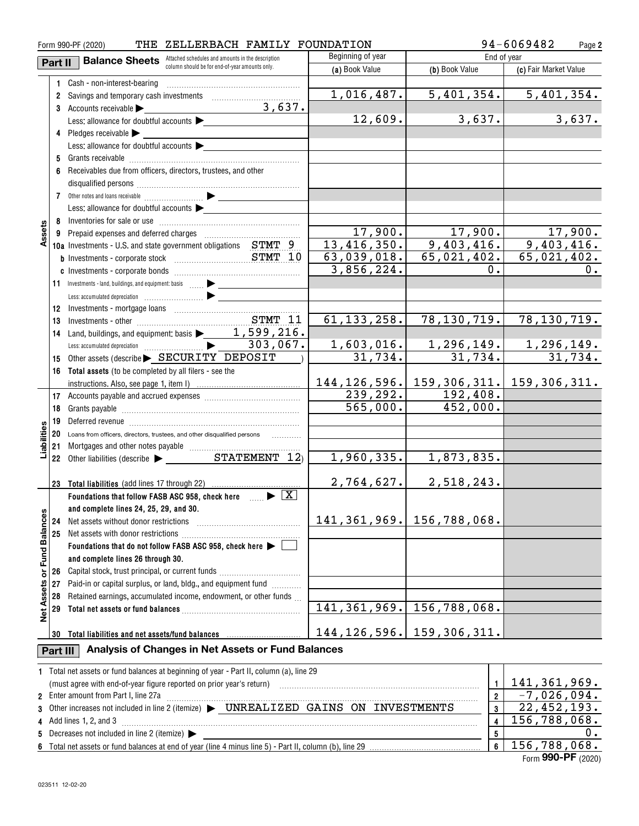| 94-6069482<br>ZELLERBACH FAMILY FOUNDATION<br>Form 990-PF (2020)<br>THE |                                                                                                            |                                                                                                                                                                                                                                                                                                               |                               |                                 |                                                                                                                               |  |  |  |
|-------------------------------------------------------------------------|------------------------------------------------------------------------------------------------------------|---------------------------------------------------------------------------------------------------------------------------------------------------------------------------------------------------------------------------------------------------------------------------------------------------------------|-------------------------------|---------------------------------|-------------------------------------------------------------------------------------------------------------------------------|--|--|--|
|                                                                         | Beginning of year<br>Attached schedules and amounts in the description<br><b>Balance Sheets</b><br>Part II |                                                                                                                                                                                                                                                                                                               |                               |                                 | End of year                                                                                                                   |  |  |  |
|                                                                         | column should be for end-of-year amounts only.<br>(a) Book Value<br>(b) Book Value                         |                                                                                                                                                                                                                                                                                                               |                               |                                 | (c) Fair Market Value                                                                                                         |  |  |  |
|                                                                         |                                                                                                            | 1 Cash - non-interest-bearing                                                                                                                                                                                                                                                                                 |                               |                                 |                                                                                                                               |  |  |  |
|                                                                         |                                                                                                            | 2 Savings and temporary cash investments                                                                                                                                                                                                                                                                      | 1,016,487.                    | 5,401,354.                      | 5,401,354.                                                                                                                    |  |  |  |
|                                                                         |                                                                                                            | 3,637.<br>3 Accounts receivable                                                                                                                                                                                                                                                                               |                               |                                 |                                                                                                                               |  |  |  |
|                                                                         |                                                                                                            | Less: allowance for doubtful accounts                                                                                                                                                                                                                                                                         | 12,609.                       | 3,637.                          | 3,637.                                                                                                                        |  |  |  |
|                                                                         |                                                                                                            | 4 Pledges receivable                                                                                                                                                                                                                                                                                          |                               |                                 |                                                                                                                               |  |  |  |
|                                                                         |                                                                                                            | Less: allowance for doubtful accounts                                                                                                                                                                                                                                                                         |                               |                                 |                                                                                                                               |  |  |  |
|                                                                         |                                                                                                            |                                                                                                                                                                                                                                                                                                               |                               |                                 |                                                                                                                               |  |  |  |
|                                                                         |                                                                                                            | 6 Receivables due from officers, directors, trustees, and other                                                                                                                                                                                                                                               |                               |                                 |                                                                                                                               |  |  |  |
|                                                                         |                                                                                                            |                                                                                                                                                                                                                                                                                                               |                               |                                 |                                                                                                                               |  |  |  |
|                                                                         |                                                                                                            |                                                                                                                                                                                                                                                                                                               |                               |                                 |                                                                                                                               |  |  |  |
|                                                                         |                                                                                                            | Less: allowance for doubtful accounts                                                                                                                                                                                                                                                                         |                               |                                 |                                                                                                                               |  |  |  |
|                                                                         |                                                                                                            |                                                                                                                                                                                                                                                                                                               |                               |                                 |                                                                                                                               |  |  |  |
| Assets                                                                  |                                                                                                            |                                                                                                                                                                                                                                                                                                               | 17,900.                       | 17,900.                         | 17,900.                                                                                                                       |  |  |  |
|                                                                         |                                                                                                            | 10a Investments - U.S. and state government obligations STMT 9                                                                                                                                                                                                                                                | 13,416,350.                   | 9,403,416.                      | 9,403,416.                                                                                                                    |  |  |  |
|                                                                         |                                                                                                            |                                                                                                                                                                                                                                                                                                               | 63,039,018.                   | 65,021,402.                     | 65,021,402.                                                                                                                   |  |  |  |
|                                                                         |                                                                                                            |                                                                                                                                                                                                                                                                                                               | 3,856,224.                    | 0.                              | $0$ .                                                                                                                         |  |  |  |
|                                                                         |                                                                                                            | 11 Investments - land, buildings, and equipment: basis                                                                                                                                                                                                                                                        |                               |                                 |                                                                                                                               |  |  |  |
|                                                                         |                                                                                                            |                                                                                                                                                                                                                                                                                                               |                               |                                 |                                                                                                                               |  |  |  |
|                                                                         | 12                                                                                                         |                                                                                                                                                                                                                                                                                                               |                               |                                 |                                                                                                                               |  |  |  |
|                                                                         | 13                                                                                                         |                                                                                                                                                                                                                                                                                                               | 61, 133, 258.                 | 78, 130, 719.                   | 78,130,719.                                                                                                                   |  |  |  |
|                                                                         | 14                                                                                                         | Land, buildings, and equipment: basis $\blacktriangleright$ 1, 599, 216.                                                                                                                                                                                                                                      |                               |                                 |                                                                                                                               |  |  |  |
|                                                                         |                                                                                                            | 303,067.                                                                                                                                                                                                                                                                                                      |                               |                                 |                                                                                                                               |  |  |  |
|                                                                         | 15                                                                                                         | Other assets (describe > SECURITY DEPOSIT                                                                                                                                                                                                                                                                     | $\frac{1,603,016.}{31,734.}$  |                                 | $\begin{array}{ c c c c c }\n\hline\n1,296,149. & \quad 1,296,149. \\ \hline\n31,734. & \quad 31,734. \\ \hline\n\end{array}$ |  |  |  |
|                                                                         |                                                                                                            | 16 Total assets (to be completed by all filers - see the                                                                                                                                                                                                                                                      |                               |                                 |                                                                                                                               |  |  |  |
|                                                                         |                                                                                                            |                                                                                                                                                                                                                                                                                                               |                               |                                 | 144, 126, 596.   159, 306, 311.   159, 306, 311.                                                                              |  |  |  |
|                                                                         |                                                                                                            |                                                                                                                                                                                                                                                                                                               | 239, 292.                     | 192,408.                        |                                                                                                                               |  |  |  |
|                                                                         | 18                                                                                                         |                                                                                                                                                                                                                                                                                                               | 565,000.                      | 452,000.                        |                                                                                                                               |  |  |  |
|                                                                         | 19                                                                                                         |                                                                                                                                                                                                                                                                                                               |                               |                                 |                                                                                                                               |  |  |  |
| Liabilities                                                             |                                                                                                            | Deferred revenue imminimum contracts and the contracts of the contracts of the contracts of the contracts of the contracts of the contracts of the contracts of the contracts of the contracts of the contracts of the contrac<br>20 Loans from officers, directors, trustees, and other disqualified persons |                               |                                 |                                                                                                                               |  |  |  |
|                                                                         | 21                                                                                                         |                                                                                                                                                                                                                                                                                                               |                               |                                 |                                                                                                                               |  |  |  |
|                                                                         |                                                                                                            |                                                                                                                                                                                                                                                                                                               | 1,960,335.                    | 1,873,835.                      |                                                                                                                               |  |  |  |
|                                                                         |                                                                                                            |                                                                                                                                                                                                                                                                                                               |                               |                                 |                                                                                                                               |  |  |  |
|                                                                         |                                                                                                            | 23 Total liabilities (add lines 17 through 22)                                                                                                                                                                                                                                                                | 2,764,627.                    | 2,518,243.                      |                                                                                                                               |  |  |  |
|                                                                         |                                                                                                            | Foundations that follow FASB ASC 958, check here $\Box$                                                                                                                                                                                                                                                       |                               |                                 |                                                                                                                               |  |  |  |
|                                                                         |                                                                                                            | and complete lines 24, 25, 29, and 30.                                                                                                                                                                                                                                                                        |                               |                                 |                                                                                                                               |  |  |  |
|                                                                         | 24                                                                                                         | Net assets without donor restrictions                                                                                                                                                                                                                                                                         |                               | 141, 361, 969.   156, 788, 068. |                                                                                                                               |  |  |  |
|                                                                         | 25                                                                                                         | Net assets with donor restrictions                                                                                                                                                                                                                                                                            |                               |                                 |                                                                                                                               |  |  |  |
| or Fund Balances                                                        |                                                                                                            | Foundations that do not follow FASB ASC 958, check here $\blacktriangleright$                                                                                                                                                                                                                                 |                               |                                 |                                                                                                                               |  |  |  |
|                                                                         |                                                                                                            | and complete lines 26 through 30.                                                                                                                                                                                                                                                                             |                               |                                 |                                                                                                                               |  |  |  |
|                                                                         | 26                                                                                                         | Capital stock, trust principal, or current funds                                                                                                                                                                                                                                                              |                               |                                 |                                                                                                                               |  |  |  |
|                                                                         | 27                                                                                                         | Paid-in or capital surplus, or land, bldg., and equipment fund <i>minimal</i>                                                                                                                                                                                                                                 |                               |                                 |                                                                                                                               |  |  |  |
|                                                                         | 28                                                                                                         | Retained earnings, accumulated income, endowment, or other funds                                                                                                                                                                                                                                              |                               |                                 |                                                                                                                               |  |  |  |
|                                                                         | 29                                                                                                         |                                                                                                                                                                                                                                                                                                               |                               | 141, 361, 969. 156, 788, 068.   |                                                                                                                               |  |  |  |
| <b>Net Assets</b>                                                       |                                                                                                            |                                                                                                                                                                                                                                                                                                               |                               |                                 |                                                                                                                               |  |  |  |
|                                                                         | 30                                                                                                         |                                                                                                                                                                                                                                                                                                               | 144, 126, 596. 159, 306, 311. |                                 |                                                                                                                               |  |  |  |
|                                                                         |                                                                                                            |                                                                                                                                                                                                                                                                                                               |                               |                                 |                                                                                                                               |  |  |  |
|                                                                         | Part III                                                                                                   | Analysis of Changes in Net Assets or Fund Balances                                                                                                                                                                                                                                                            |                               |                                 |                                                                                                                               |  |  |  |
|                                                                         |                                                                                                            | 1 Total net assets or fund balances at beginning of year - Part II, column (a), line 29                                                                                                                                                                                                                       |                               |                                 |                                                                                                                               |  |  |  |
|                                                                         |                                                                                                            | (must agree with end-of-year figure reported on prior year's return) with an accommutation and agree with end-of-year figure reported on prior year's return)                                                                                                                                                 | $\mathbf{1}$                  | 141,361,969.                    |                                                                                                                               |  |  |  |
|                                                                         |                                                                                                            | 2 Enter amount from Part I, line 27a                                                                                                                                                                                                                                                                          | $\overline{2}$                | $-7,026,094.$                   |                                                                                                                               |  |  |  |
| 3                                                                       |                                                                                                            | Other increases not included in line 2 (itemize) > UNREALIZED GAINS ON INVESTMENTS                                                                                                                                                                                                                            | 3                             | 22,452,193.                     |                                                                                                                               |  |  |  |
|                                                                         | 156, 788, 068.<br>4 Add lines 1, 2, and 3<br>4                                                             |                                                                                                                                                                                                                                                                                                               |                               |                                 |                                                                                                                               |  |  |  |
|                                                                         |                                                                                                            | 5 Decreases not included in line 2 (itemize) >                                                                                                                                                                                                                                                                |                               | $\sqrt{5}$                      | υ.                                                                                                                            |  |  |  |
|                                                                         |                                                                                                            |                                                                                                                                                                                                                                                                                                               |                               | $6\phantom{a}$                  | 156,788,068.                                                                                                                  |  |  |  |

| <b>5</b> Decreases not included in line 2 (itemize) $\triangleright$ |  |
|----------------------------------------------------------------------|--|
|                                                                      |  |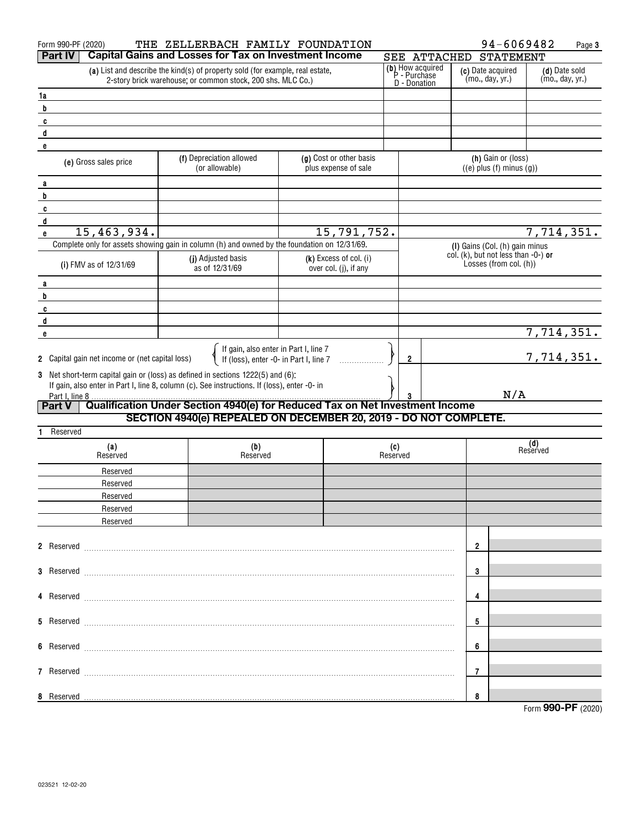| Form 990-PF (2020)                              | THE ZELLERBACH FAMILY FOUNDATION                                                                                                                                                |                                                 |                                                  |              | 94-6069482                                                    |                                  | Page 3 |
|-------------------------------------------------|---------------------------------------------------------------------------------------------------------------------------------------------------------------------------------|-------------------------------------------------|--------------------------------------------------|--------------|---------------------------------------------------------------|----------------------------------|--------|
| <b>Part IV</b>                                  | <b>Capital Gains and Losses for Tax on Investment Income</b>                                                                                                                    |                                                 |                                                  | SEE ATTACHED | <b>STATEMENT</b>                                              |                                  |        |
|                                                 | (a) List and describe the kind(s) of property sold (for example, real estate,<br>2-story brick warehouse; or common stock, 200 shs. MLC Co.)                                    |                                                 | (b) How acquired<br>P - Purchase<br>D - Donation |              | (c) Date acquired<br>(mo., day, yr.)                          | (d) Date sold<br>(mo., day, yr.) |        |
| 1a                                              |                                                                                                                                                                                 |                                                 |                                                  |              |                                                               |                                  |        |
| b                                               |                                                                                                                                                                                 |                                                 |                                                  |              |                                                               |                                  |        |
| $\mathbf{c}$                                    |                                                                                                                                                                                 |                                                 |                                                  |              |                                                               |                                  |        |
| d                                               |                                                                                                                                                                                 |                                                 |                                                  |              |                                                               |                                  |        |
| e                                               |                                                                                                                                                                                 |                                                 |                                                  |              |                                                               |                                  |        |
| (e) Gross sales price                           | (f) Depreciation allowed<br>(or allowable)                                                                                                                                      | (g) Cost or other basis<br>plus expense of sale |                                                  |              | (h) Gain or (loss)<br>$((e)$ plus $(f)$ minus $(g))$          |                                  |        |
|                                                 |                                                                                                                                                                                 |                                                 |                                                  |              |                                                               |                                  |        |
| a<br>b                                          |                                                                                                                                                                                 |                                                 |                                                  |              |                                                               |                                  |        |
| $\mathbf{c}$                                    |                                                                                                                                                                                 |                                                 |                                                  |              |                                                               |                                  |        |
| $\mathbf{d}$                                    |                                                                                                                                                                                 |                                                 |                                                  |              |                                                               |                                  |        |
| 15,463,934.<br>e                                |                                                                                                                                                                                 | 15,791,752.                                     |                                                  |              |                                                               | 7,714,351.                       |        |
|                                                 | Complete only for assets showing gain in column (h) and owned by the foundation on 12/31/69.                                                                                    |                                                 |                                                  |              | (I) Gains (Col. (h) gain minus                                |                                  |        |
|                                                 | (j) Adjusted basis                                                                                                                                                              | $(k)$ Excess of col. $(i)$                      |                                                  |              | col. (k), but not less than -0-) or<br>Losses (from col. (h)) |                                  |        |
| (i) FMV as of 12/31/69                          | as of 12/31/69                                                                                                                                                                  | over col. (j), if any                           |                                                  |              |                                                               |                                  |        |
| a                                               |                                                                                                                                                                                 |                                                 |                                                  |              |                                                               |                                  |        |
| b                                               |                                                                                                                                                                                 |                                                 |                                                  |              |                                                               |                                  |        |
| C                                               |                                                                                                                                                                                 |                                                 |                                                  |              |                                                               |                                  |        |
| d                                               |                                                                                                                                                                                 |                                                 |                                                  |              |                                                               | 7,714,351.                       |        |
| e                                               |                                                                                                                                                                                 |                                                 |                                                  |              |                                                               |                                  |        |
| 2 Capital gain net income or (net capital loss) | If gain, also enter in Part I, line 7<br>If (loss), enter -0- in Part I, line 7                                                                                                 |                                                 | 2                                                |              |                                                               | 7,714,351.                       |        |
|                                                 |                                                                                                                                                                                 |                                                 |                                                  |              |                                                               |                                  |        |
|                                                 | 3 Net short-term capital gain or (loss) as defined in sections 1222(5) and (6):<br>If gain, also enter in Part I, line 8, column (c). See instructions. If (loss), enter -0- in |                                                 |                                                  |              |                                                               |                                  |        |
| Part I, line 8                                  |                                                                                                                                                                                 |                                                 | 3                                                |              | N/A                                                           |                                  |        |
| <b>Part V</b>                                   | Qualification Under Section 4940(e) for Reduced Tax on Net Investment Income                                                                                                    |                                                 |                                                  |              |                                                               |                                  |        |
|                                                 | SECTION 4940(e) REPEALED ON DECEMBER 20, 2019 - DO NOT COMPLETE.                                                                                                                |                                                 |                                                  |              |                                                               |                                  |        |
| Reserved<br>1.                                  |                                                                                                                                                                                 |                                                 |                                                  |              |                                                               |                                  |        |
| (a)<br>Reserved                                 | (b)<br>Reserved                                                                                                                                                                 |                                                 | (c)<br>Reserved                                  |              |                                                               | (d)<br>Reserved                  |        |
|                                                 |                                                                                                                                                                                 |                                                 |                                                  |              |                                                               |                                  |        |
| Reserved<br>Reserved                            |                                                                                                                                                                                 |                                                 |                                                  |              |                                                               |                                  |        |
| Reserved                                        |                                                                                                                                                                                 |                                                 |                                                  |              |                                                               |                                  |        |
| Reserved                                        |                                                                                                                                                                                 |                                                 |                                                  |              |                                                               |                                  |        |
| Reserved                                        |                                                                                                                                                                                 |                                                 |                                                  |              |                                                               |                                  |        |
|                                                 |                                                                                                                                                                                 |                                                 |                                                  |              |                                                               |                                  |        |
|                                                 |                                                                                                                                                                                 |                                                 |                                                  |              | 2                                                             |                                  |        |
|                                                 |                                                                                                                                                                                 |                                                 |                                                  |              |                                                               |                                  |        |
|                                                 |                                                                                                                                                                                 |                                                 |                                                  |              | 3                                                             |                                  |        |
|                                                 |                                                                                                                                                                                 |                                                 |                                                  |              |                                                               |                                  |        |
|                                                 |                                                                                                                                                                                 |                                                 |                                                  |              | 4                                                             |                                  |        |
|                                                 |                                                                                                                                                                                 |                                                 |                                                  |              | 5                                                             |                                  |        |
|                                                 |                                                                                                                                                                                 |                                                 |                                                  |              |                                                               |                                  |        |
|                                                 |                                                                                                                                                                                 |                                                 |                                                  |              | 6                                                             |                                  |        |
|                                                 |                                                                                                                                                                                 |                                                 |                                                  |              |                                                               |                                  |        |
|                                                 |                                                                                                                                                                                 |                                                 |                                                  | 7            |                                                               |                                  |        |
|                                                 |                                                                                                                                                                                 |                                                 |                                                  |              |                                                               |                                  |        |
| 8 Reserved                                      |                                                                                                                                                                                 |                                                 |                                                  |              | 8                                                             |                                  |        |
|                                                 |                                                                                                                                                                                 |                                                 |                                                  |              |                                                               | Form 990-PF (2020)               |        |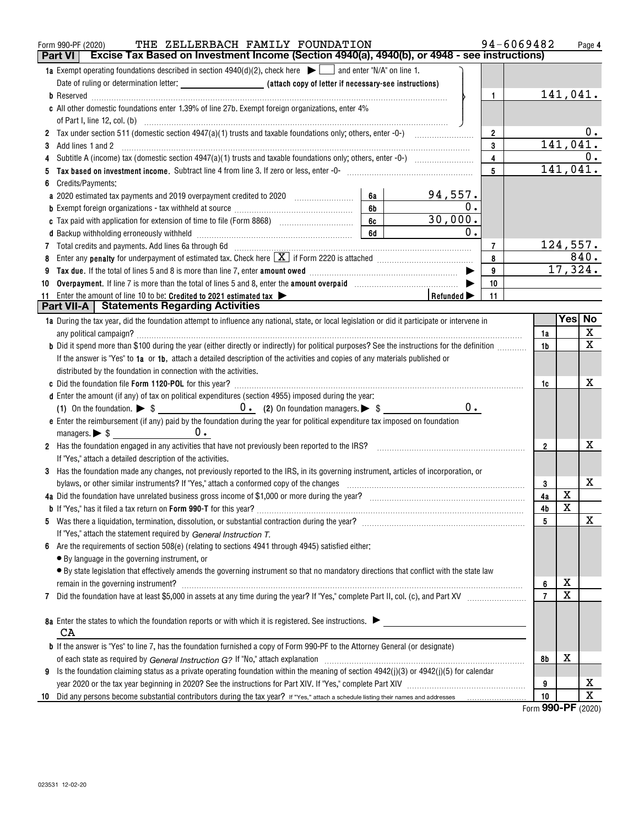|    | THE ZELLERBACH FAMILY FOUNDATION<br>Form 990-PF (2020)<br>Excise Tax Based on Investment Income (Section 4940(a), 4940(b), or 4948 - see instructions)<br><b>Part VI</b>                               | 94-6069482     |                       | Page 4                  |
|----|--------------------------------------------------------------------------------------------------------------------------------------------------------------------------------------------------------|----------------|-----------------------|-------------------------|
|    |                                                                                                                                                                                                        |                |                       |                         |
|    | <b>1a</b> Exempt operating foundations described in section $4940(d)(2)$ , check here $\Box$ and enter "N/A" on line 1.                                                                                |                |                       |                         |
|    |                                                                                                                                                                                                        |                |                       |                         |
|    | $\mathbf{1}$                                                                                                                                                                                           |                |                       | 141,041.                |
|    | c All other domestic foundations enter 1.39% of line 27b. Exempt foreign organizations, enter 4%                                                                                                       |                |                       |                         |
|    |                                                                                                                                                                                                        |                |                       |                         |
|    | $\overline{\mathbf{2}}$                                                                                                                                                                                |                |                       | 0.                      |
| 3  | 3<br>Add lines 1 and 2                                                                                                                                                                                 |                | 141,041.              |                         |
|    | $\overline{\mathbf{4}}$                                                                                                                                                                                |                |                       | 0.                      |
|    | 5                                                                                                                                                                                                      |                |                       | 141,041.                |
|    | Credits/Payments:                                                                                                                                                                                      |                |                       |                         |
|    | <u>94,557.</u><br>6а<br>a 2020 estimated tax payments and 2019 overpayment credited to 2020 [11, 12, 12, 13, 13, 13, 13, 13, 13, 13, 1                                                                 |                |                       |                         |
|    | $\overline{0}$ .<br>6b<br><b>b</b> Exempt foreign organizations - tax withheld at source <i>manumanal component foreign</i> organizations -                                                            |                |                       |                         |
|    | 30,000.<br>6c                                                                                                                                                                                          |                |                       |                         |
|    | $\mathbf 0$ .<br>6d                                                                                                                                                                                    |                |                       |                         |
|    | 7 Total credits and payments. Add lines 6a through 6d [11] [11] Total Conservation material credits and payments. Add lines 6a through 6d<br>$\overline{7}$                                            |                |                       | 124,557.                |
|    | 8                                                                                                                                                                                                      |                |                       | 840.                    |
|    | 9<br>Tax due. If the total of lines 5 and 8 is more than line 7, enter amount owed <i>manumerand communicancerem</i>                                                                                   |                |                       | 17,324.                 |
| 10 | Overpayment. If line 7 is more than the total of lines 5 and 8, enter the amount overpaid manufactured and $\blacktriangleright$<br>10                                                                 |                |                       |                         |
|    | 11 Enter the amount of line 10 to be: Credited to 2021 estimated tax<br>Refunded $\blacktriangleright$<br>11                                                                                           |                |                       |                         |
|    | <b>Part VII-A   Statements Regarding Activities</b>                                                                                                                                                    |                |                       |                         |
|    | 1a During the tax year, did the foundation attempt to influence any national, state, or local legislation or did it participate or intervene in                                                        |                |                       | Yes  No                 |
|    |                                                                                                                                                                                                        | 1a             |                       | X                       |
|    | b Did it spend more than \$100 during the year (either directly or indirectly) for political purposes? See the instructions for the definition                                                         | 1b             |                       | $\overline{\mathbf{x}}$ |
|    | If the answer is "Yes" to 1a or 1b, attach a detailed description of the activities and copies of any materials published or                                                                           |                |                       |                         |
|    | distributed by the foundation in connection with the activities.                                                                                                                                       |                |                       |                         |
|    |                                                                                                                                                                                                        | 1c             |                       | х                       |
|    | d Enter the amount (if any) of tax on political expenditures (section 4955) imposed during the year:                                                                                                   |                |                       |                         |
|    | $0$ .                                                                                                                                                                                                  |                |                       |                         |
|    | e Enter the reimbursement (if any) paid by the foundation during the year for political expenditure tax imposed on foundation                                                                          |                |                       |                         |
|    |                                                                                                                                                                                                        |                |                       |                         |
|    | 2 Has the foundation engaged in any activities that have not previously been reported to the IRS?<br>2 Has the foundation engaged in any activities that have not previously been reported to the IRS? | $\mathbf{2}$   |                       | х                       |
|    | If "Yes," attach a detailed description of the activities.                                                                                                                                             |                |                       |                         |
|    | 3 Has the foundation made any changes, not previously reported to the IRS, in its governing instrument, articles of incorporation, or                                                                  |                |                       |                         |
|    |                                                                                                                                                                                                        | 3              |                       | х                       |
|    |                                                                                                                                                                                                        | 4a             | X                     |                         |
|    |                                                                                                                                                                                                        | 4b             | $\overline{\text{x}}$ |                         |
|    |                                                                                                                                                                                                        | 5              |                       | X                       |
|    | If "Yes," attach the statement required by General Instruction T.                                                                                                                                      |                |                       |                         |
| 6  | Are the requirements of section 508(e) (relating to sections 4941 through 4945) satisfied either:                                                                                                      |                |                       |                         |
|    | • By language in the governing instrument, or                                                                                                                                                          |                |                       |                         |
|    | · By state legislation that effectively amends the governing instrument so that no mandatory directions that conflict with the state law                                                               |                |                       |                         |
|    | remain in the governing instrument?                                                                                                                                                                    | 6              | Χ                     |                         |
| 7  |                                                                                                                                                                                                        | $\overline{7}$ | $\overline{\text{X}}$ |                         |
|    |                                                                                                                                                                                                        |                |                       |                         |
|    | 8a Enter the states to which the foundation reports or with which it is registered. See instructions.                                                                                                  |                |                       |                         |
|    | CA                                                                                                                                                                                                     |                |                       |                         |
|    | <b>b</b> If the answer is "Yes" to line 7, has the foundation furnished a copy of Form 990-PF to the Attorney General (or designate)                                                                   |                |                       |                         |
|    |                                                                                                                                                                                                        | 8b             | х                     |                         |
| 9  | Is the foundation claiming status as a private operating foundation within the meaning of section 4942(j)(3) or 4942(j)(5) for calendar                                                                |                |                       |                         |
|    |                                                                                                                                                                                                        | 9              |                       | x                       |
| 10 |                                                                                                                                                                                                        | 10             |                       | $\overline{\text{x}}$   |

Form (2020) **990-PF**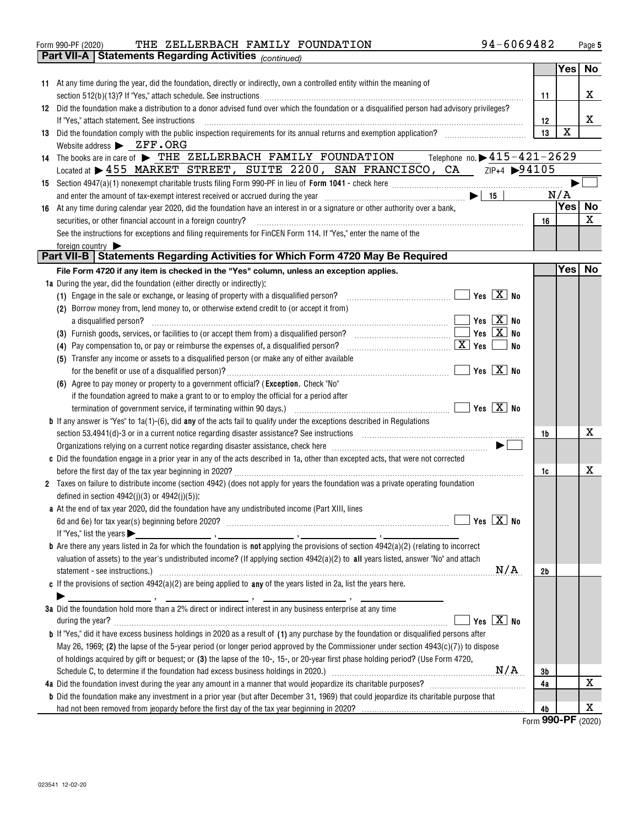|    | 94-6069482<br>THE ZELLERBACH FAMILY FOUNDATION<br>Form 990-PF (2020)                                                                                                                                    |                |             | Page 5      |
|----|---------------------------------------------------------------------------------------------------------------------------------------------------------------------------------------------------------|----------------|-------------|-------------|
|    | <b>Part VII-A   Statements Regarding Activities (CONTINGO)</b>                                                                                                                                          |                |             |             |
|    |                                                                                                                                                                                                         |                | Yes No      |             |
|    | 11 At any time during the year, did the foundation, directly or indirectly, own a controlled entity within the meaning of                                                                               |                |             |             |
|    |                                                                                                                                                                                                         | 11             |             | x           |
| 12 | Did the foundation make a distribution to a donor advised fund over which the foundation or a disqualified person had advisory privileges?                                                              |                |             |             |
|    | If "Yes," attach statement. See instructions                                                                                                                                                            | 12             |             | x           |
| 13 | Did the foundation comply with the public inspection requirements for its annual returns and exemption application?                                                                                     | 13             | $\mathbf X$ |             |
|    | Website address $\blacktriangleright$ ZFF.ORG                                                                                                                                                           |                |             |             |
| 14 | The books are in care of $\triangleright$ THE ZELLERBACH FAMILY FOUNDATION Telephone no. $\triangleright$ 415-421-2629                                                                                  |                |             |             |
|    | Located at > 455 MARKET STREET, SUITE 2200, SAN FRANCISCO, CA 2IP+4 > 94105                                                                                                                             |                |             |             |
| 15 |                                                                                                                                                                                                         |                |             |             |
|    |                                                                                                                                                                                                         |                | N/A<br>Yes∣ | <b>No</b>   |
| 16 | At any time during calendar year 2020, did the foundation have an interest in or a signature or other authority over a bank,                                                                            |                |             | $\mathbf x$ |
|    | securities, or other financial account in a foreign country?                                                                                                                                            | 16             |             |             |
|    | See the instructions for exceptions and filing requirements for FinCEN Form 114. If "Yes," enter the name of the                                                                                        |                |             |             |
|    | foreign country $\blacktriangleright$<br>Part VII-B   Statements Regarding Activities for Which Form 4720 May Be Required                                                                               |                |             |             |
|    | File Form 4720 if any item is checked in the "Yes" column, unless an exception applies.                                                                                                                 |                | Yes No      |             |
|    | 1a During the year, did the foundation (either directly or indirectly);                                                                                                                                 |                |             |             |
|    | Yes $\boxed{X}$ No<br>(1) Engage in the sale or exchange, or leasing of property with a disqualified person?<br>the contract of the contract of the contract of                                         |                |             |             |
|    | (2) Borrow money from, lend money to, or otherwise extend credit to (or accept it from)                                                                                                                 |                |             |             |
|    | Yes $\boxed{X}$ No<br>a disqualified person?                                                                                                                                                            |                |             |             |
|    | Yes $X$ No<br>(3) Furnish goods, services, or facilities to (or accept them from) a disqualified person? $\Box$                                                                                         |                |             |             |
|    | $\boxed{\textbf{X}}$ Yes<br>No<br>(4) Pay compensation to, or pay or reimburse the expenses of, a disqualified person?                                                                                  |                |             |             |
|    | (5) Transfer any income or assets to a disqualified person (or make any of either available                                                                                                             |                |             |             |
|    |                                                                                                                                                                                                         |                |             |             |
|    | (6) Agree to pay money or property to a government official? (Exception. Check "No"                                                                                                                     |                |             |             |
|    | if the foundation agreed to make a grant to or to employ the official for a period after                                                                                                                |                |             |             |
|    |                                                                                                                                                                                                         |                |             |             |
|    | <b>b</b> If any answer is "Yes" to $1a(1)$ -(6), did any of the acts fail to qualify under the exceptions described in Regulations                                                                      |                |             |             |
|    | section 53.4941(d)-3 or in a current notice regarding disaster assistance? See instructions [11,11] and the section 53.4941(d)-3 or in a current notice regarding disaster assistance? See instructions | 1b             |             | x           |
|    | Organizations relying on a current notice regarding disaster assistance, check here manufaction contains and announced $\blacktriangleright$                                                            |                |             |             |
|    | c Did the foundation engage in a prior year in any of the acts described in 1a, other than excepted acts, that were not corrected                                                                       |                |             |             |
|    |                                                                                                                                                                                                         | 1c             |             | x           |
|    | 2 Taxes on failure to distribute income (section 4942) (does not apply for years the foundation was a private operating foundation                                                                      |                |             |             |
|    | defined in section $4942(i)(3)$ or $4942(i)(5)$ :                                                                                                                                                       |                |             |             |
|    | a At the end of tax year 2020, did the foundation have any undistributed income (Part XIII, lines                                                                                                       |                |             |             |
|    | Yes $X$ No                                                                                                                                                                                              |                |             |             |
|    | If "Yes," list the years $\blacktriangleright$                                                                                                                                                          |                |             |             |
|    |                                                                                                                                                                                                         |                |             |             |
|    | valuation of assets) to the year's undistributed income? (If applying section $4942(a)(2)$ to all years listed, answer "No" and attach<br>N/A                                                           |                |             |             |
|    | c If the provisions of section $4942(a)(2)$ are being applied to any of the years listed in 2a, list the years here.                                                                                    | 2 <sub>b</sub> |             |             |
|    |                                                                                                                                                                                                         |                |             |             |
|    | 3a Did the foundation hold more than a 2% direct or indirect interest in any business enterprise at any time                                                                                            |                |             |             |
|    | Yes $X$ No<br>during the year?                                                                                                                                                                          |                |             |             |
|    | <b>b</b> If "Yes," did it have excess business holdings in 2020 as a result of (1) any purchase by the foundation or disqualified persons after                                                         |                |             |             |
|    | May 26, 1969; (2) the lapse of the 5-year period (or longer period approved by the Commissioner under section $4943(c)(7)$ ) to dispose                                                                 |                |             |             |
|    | of holdings acquired by gift or bequest; or (3) the lapse of the 10-, 15-, or 20-year first phase holding period? (Use Form 4720,                                                                       |                |             |             |
|    |                                                                                                                                                                                                         | 3b             |             |             |
|    |                                                                                                                                                                                                         | 4a             |             | x           |
|    | <b>b</b> Did the foundation make any investment in a prior year (but after December 31, 1969) that could jeopardize its charitable purpose that                                                         |                |             |             |
|    |                                                                                                                                                                                                         | 4 <sub>b</sub> |             | x           |

<u>Form</u> 990-PF <sub>(2020)</sub>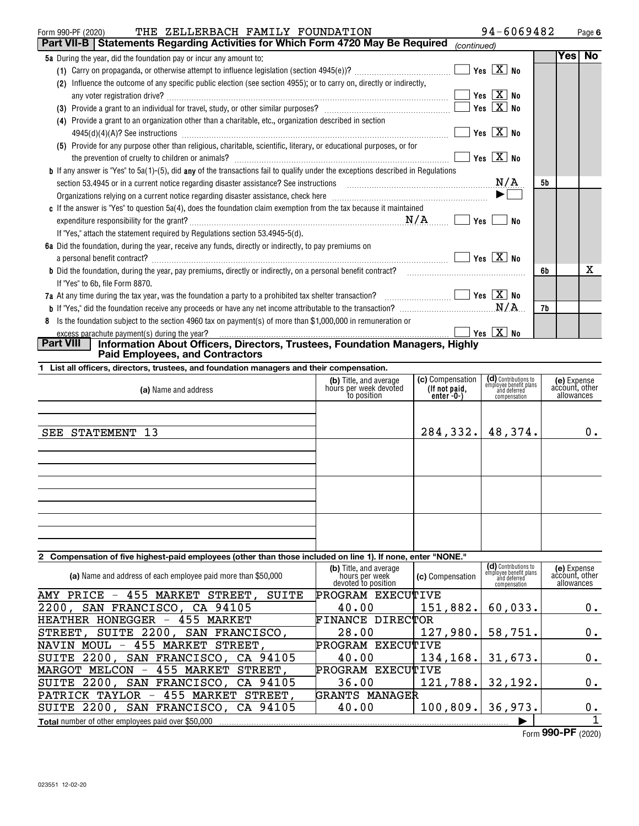| THE ZELLERBACH FAMILY FOUNDATION<br>Form 990-PF (2020)                                                                                  |             | 94-6069482                                 |    |     | Page 6         |
|-----------------------------------------------------------------------------------------------------------------------------------------|-------------|--------------------------------------------|----|-----|----------------|
| Part VII-B   Statements Regarding Activities for Which Form 4720 May Be Required                                                        | (continued) |                                            |    |     |                |
| <b>5a</b> During the year, did the foundation pay or incur any amount to:                                                               |             |                                            |    | Yes | N <sub>o</sub> |
|                                                                                                                                         |             | $\blacksquare$ Yes $\boxed{\mathrm{X}}$ No |    |     |                |
| Influence the outcome of any specific public election (see section 4955); or to carry on, directly or indirectly,<br>(2)                |             |                                            |    |     |                |
| any voter registration drive?                                                                                                           |             |                                            |    |     |                |
|                                                                                                                                         |             | $\blacksquare$ Yes $\boxed{\mathrm{X}}$ No |    |     |                |
| Provide a grant to an organization other than a charitable, etc., organization described in section<br>(4)                              |             |                                            |    |     |                |
|                                                                                                                                         |             | $\blacksquare$ Yes $\boxed{\mathrm{X}}$ No |    |     |                |
| Provide for any purpose other than religious, charitable, scientific, literary, or educational purposes, or for<br>(5)                  |             |                                            |    |     |                |
|                                                                                                                                         |             | Yes $X$ No                                 |    |     |                |
| <b>b</b> If any answer is "Yes" to 5a(1)-(5), did any of the transactions fail to qualify under the exceptions described in Regulations |             |                                            |    |     |                |
|                                                                                                                                         |             | N/A                                        | 5b |     |                |
|                                                                                                                                         |             | $\blacktriangleright$                      |    |     |                |
| c If the answer is "Yes" to question 5a(4), does the foundation claim exemption from the tax because it maintained                      |             |                                            |    |     |                |
| N/A                                                                                                                                     | Yes         | No                                         |    |     |                |
| If "Yes," attach the statement required by Regulations section 53.4945-5(d).                                                            |             |                                            |    |     |                |
| 6a Did the foundation, during the year, receive any funds, directly or indirectly, to pay premiums on                                   |             |                                            |    |     |                |
|                                                                                                                                         |             | $\blacksquare$ Yes $\boxed{\mathrm{X}}$ No |    |     |                |
| <b>b</b> Did the foundation, during the year, pay premiums, directly or indirectly, on a personal benefit contract?                     |             |                                            | 6b |     | x              |
| If "Yes" to 6b, file Form 8870.                                                                                                         |             |                                            |    |     |                |
| 7a At any time during the tax year, was the foundation a party to a prohibited tax shelter transaction? $\Box$ $\Box$ Yes $\Box$ No     |             |                                            |    |     |                |
|                                                                                                                                         |             | N/A                                        | 7b |     |                |
| 8 Is the foundation subject to the section 4960 tax on payment(s) of more than \$1,000,000 in remuneration or                           |             |                                            |    |     |                |
| Dart VIII   Information About Officers Directors Trustees Foundation Menorers Uirkhy                                                    |             | $\sqrt{Y}$ es $\boxed{X}$ No               |    |     |                |

### **Part VIII Information About Officers, Directors, Trustees, Foundation Managers, Highly Paid Employees, and Contractors**

|  | 1 List all officers, directors, trustees, and foundation managers and their compensation. |  |  |  |  |  |  |
|--|-------------------------------------------------------------------------------------------|--|--|--|--|--|--|
|--|-------------------------------------------------------------------------------------------|--|--|--|--|--|--|

| (b) Title, and average<br>hours per week devoted<br>to position | (c) Compensation<br>(If not paid,<br>enter -0-) | (e) Expense<br>account, other<br>allowances                                                            |
|-----------------------------------------------------------------|-------------------------------------------------|--------------------------------------------------------------------------------------------------------|
|                                                                 |                                                 | 0.                                                                                                     |
|                                                                 |                                                 |                                                                                                        |
|                                                                 |                                                 |                                                                                                        |
|                                                                 |                                                 |                                                                                                        |
|                                                                 |                                                 | (d) Contributions to<br>employee benefit plans<br>and deferred<br>compensation<br>284, 332.   48, 374. |

# **2 Compensation of five highest-paid employees (other than those included on line 1). If none, enter "NONE."**

| (a) Name and address of each employee paid more than \$50,000              | (b) Title, and average<br>`hours per week<br>devoted to position | <b>(c)</b> Compensation | (d) Contributions to<br>employee benefit plans<br>and deferred<br>compensation | (e) Expense<br>account, other<br>allowances |
|----------------------------------------------------------------------------|------------------------------------------------------------------|-------------------------|--------------------------------------------------------------------------------|---------------------------------------------|
| 455<br>MARKET<br>STREET,<br>SUITE<br>AMY PRICE<br>$\overline{\phantom{m}}$ | PROGRAM EXECUTIVE                                                |                         |                                                                                |                                             |
| 2200, SAN FRANCISCO, CA 94105                                              | 40.00                                                            | 151,882.                | 60,033.                                                                        | 0.                                          |
| HONEGGER<br>455 MARKET<br>HEATHER<br>$\overline{\phantom{m}}$              | FINANCE DIRECTOR                                                 |                         |                                                                                |                                             |
| SUITE 2200,<br>SAN FRANCISCO,<br>STREET,                                   | 28.00                                                            | 127,980.                | 58,751.                                                                        | 0.                                          |
| NAVIN MOUL - 455 MARKET STREET,                                            | PROGRAM EXECUTIVE                                                |                         |                                                                                |                                             |
| SUITE 2200, SAN FRANCISCO, CA 94105                                        | 40.00                                                            | 134, 168.               | 31,673.                                                                        | 0.                                          |
| 455 MARKET<br>STREET.<br>MARGOT MELCON<br>$\overline{\phantom{m}}$         | EXECUTIVE<br>PROGRAM                                             |                         |                                                                                |                                             |
| SUITE 2200, SAN FRANCISCO, CA 94105                                        | 36.00                                                            | 121,788.                | 32,192.                                                                        | 0.                                          |
| 455 MARKET<br>PATRICK TAYLOR<br>STREET.<br>$\overline{\phantom{m}}$        | GRANTS MANAGER                                                   |                         |                                                                                |                                             |
| <b>SUITE 2200,</b><br>SAN FRANCISCO, CA 94105                              | 40.00                                                            | 100, 809.               | 36,973.                                                                        | 0.                                          |
| <b>Total</b> number of other employees paid over \$50,000                  |                                                                  |                         |                                                                                |                                             |

Form (2020) **990-PF**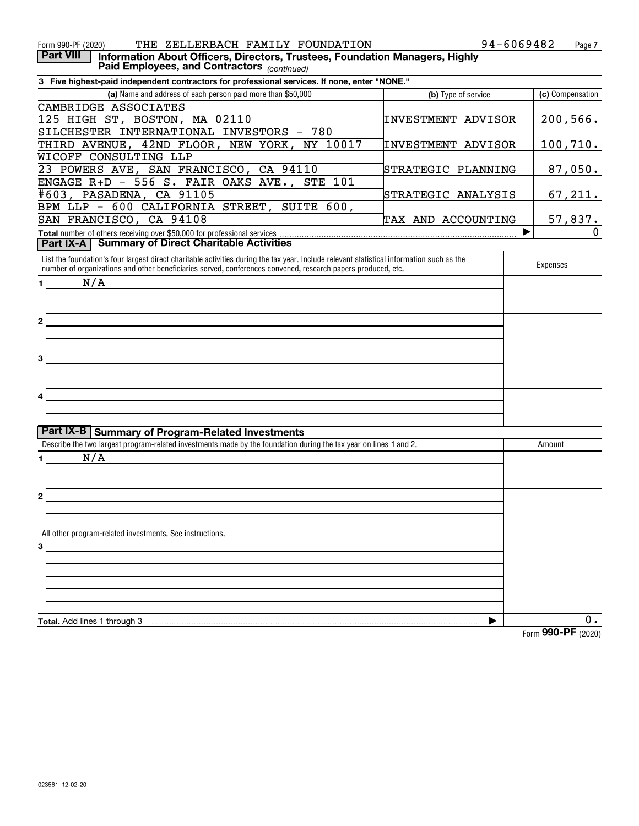| Form 990-PF (2020)<br>THE ZELLERBACH FAMILY FOUNDATION                                                                                                                                                                                                    |                           | 94-6069482<br>Page 7 |
|-----------------------------------------------------------------------------------------------------------------------------------------------------------------------------------------------------------------------------------------------------------|---------------------------|----------------------|
| <b>Part VIII</b><br>Information About Officers, Directors, Trustees, Foundation Managers, Highly<br>Paid Employees, and Contractors (continued)                                                                                                           |                           |                      |
| 3 Five highest-paid independent contractors for professional services. If none, enter "NONE."                                                                                                                                                             |                           |                      |
| (a) Name and address of each person paid more than \$50,000                                                                                                                                                                                               | (b) Type of service       | (c) Compensation     |
| CAMBRIDGE ASSOCIATES                                                                                                                                                                                                                                      |                           |                      |
| 125 HIGH ST, BOSTON, MA 02110                                                                                                                                                                                                                             | INVESTMENT ADVISOR        | 200,566.             |
| SILCHESTER INTERNATIONAL INVESTORS - 780                                                                                                                                                                                                                  |                           |                      |
| THIRD AVENUE, 42ND FLOOR, NEW YORK, NY 10017                                                                                                                                                                                                              | <b>INVESTMENT ADVISOR</b> | 100, 710.            |
| WICOFF CONSULTING LLP                                                                                                                                                                                                                                     |                           |                      |
| 23 POWERS AVE, SAN FRANCISCO, CA 94110                                                                                                                                                                                                                    | STRATEGIC PLANNING        | 87,050.              |
| ENGAGE $R+D - 556 S$ . FAIR OAKS AVE.,<br><b>STE 101</b>                                                                                                                                                                                                  |                           |                      |
| #603, PASADENA, CA 91105                                                                                                                                                                                                                                  | STRATEGIC ANALYSIS        | 67,211.              |
| BPM LLP - 600 CALIFORNIA STREET, SUITE 600,                                                                                                                                                                                                               |                           |                      |
| SAN FRANCISCO, CA 94108                                                                                                                                                                                                                                   | TAX AND ACCOUNTING        | <u>57,837.</u>       |
|                                                                                                                                                                                                                                                           |                           | ▶                    |
| Part IX-A   Summary of Direct Charitable Activities                                                                                                                                                                                                       |                           |                      |
| List the foundation's four largest direct charitable activities during the tax year. Include relevant statistical information such as the<br>number of organizations and other beneficiaries served, conferences convened, research papers produced, etc. |                           | Expenses             |
| N/A<br>$1 \quad$                                                                                                                                                                                                                                          |                           |                      |
|                                                                                                                                                                                                                                                           |                           |                      |
|                                                                                                                                                                                                                                                           |                           |                      |
| $\mathbf{2}$                                                                                                                                                                                                                                              |                           |                      |
|                                                                                                                                                                                                                                                           |                           |                      |
|                                                                                                                                                                                                                                                           |                           |                      |
| 3                                                                                                                                                                                                                                                         |                           |                      |
|                                                                                                                                                                                                                                                           |                           |                      |
|                                                                                                                                                                                                                                                           |                           |                      |
|                                                                                                                                                                                                                                                           |                           |                      |
| 4                                                                                                                                                                                                                                                         |                           |                      |
|                                                                                                                                                                                                                                                           |                           |                      |
| Part IX-B Summary of Program-Related Investments                                                                                                                                                                                                          |                           |                      |
| Describe the two largest program-related investments made by the foundation during the tax year on lines 1 and 2.                                                                                                                                         |                           | Amount               |
| N/A<br>1.                                                                                                                                                                                                                                                 |                           |                      |
|                                                                                                                                                                                                                                                           |                           |                      |
|                                                                                                                                                                                                                                                           |                           |                      |
| $\mathbf{2}$                                                                                                                                                                                                                                              |                           |                      |
|                                                                                                                                                                                                                                                           |                           |                      |
|                                                                                                                                                                                                                                                           |                           |                      |
| All other program-related investments. See instructions.                                                                                                                                                                                                  |                           |                      |
| 3                                                                                                                                                                                                                                                         |                           |                      |
|                                                                                                                                                                                                                                                           |                           |                      |
|                                                                                                                                                                                                                                                           |                           |                      |
|                                                                                                                                                                                                                                                           |                           |                      |
|                                                                                                                                                                                                                                                           |                           |                      |
|                                                                                                                                                                                                                                                           |                           |                      |
|                                                                                                                                                                                                                                                           |                           | $0$ .                |
| Total. Add lines 1 through 3                                                                                                                                                                                                                              |                           |                      |

Form 990-PF (2020) THE ZELLERBACH FAMILY FOUNDATION  $94-6069482$  Page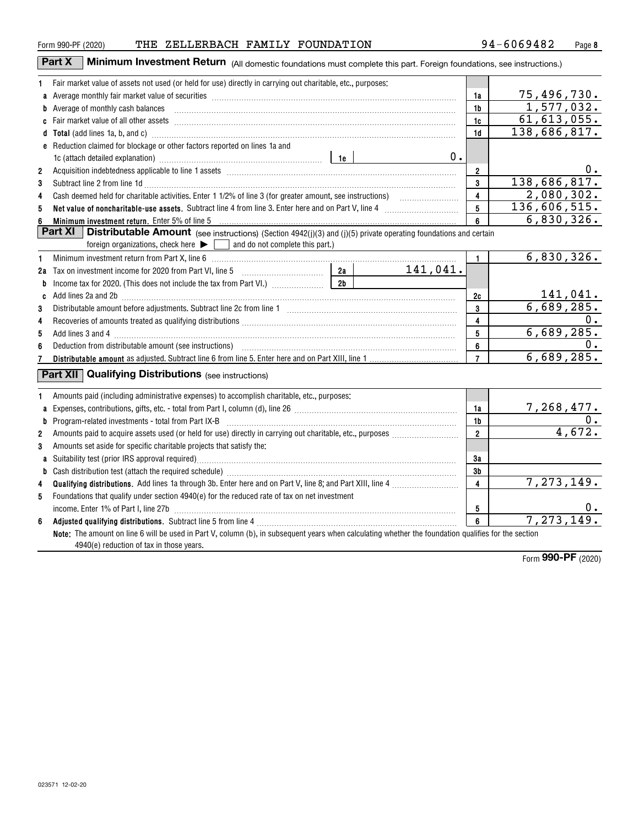|                | ZELLERBACH FAMILY FOUNDATION<br>THE<br>Form 990-PF (2020)                                                                          |          |                | 94-6069482   | Page 8   |
|----------------|------------------------------------------------------------------------------------------------------------------------------------|----------|----------------|--------------|----------|
|                | Part X<br>Minimum Investment Return (All domestic foundations must complete this part. Foreign foundations, see instructions.)     |          |                |              |          |
|                | Fair market value of assets not used (or held for use) directly in carrying out charitable, etc., purposes:                        |          |                |              |          |
|                |                                                                                                                                    |          | 1a             | 75,496,730.  |          |
|                | b Average of monthly cash balances encontractional contraction and a series of monthly cash balances                               |          | 1 <sub>b</sub> | 1,577,032.   |          |
|                |                                                                                                                                    |          | 1c             | 61,613,055.  |          |
|                |                                                                                                                                    |          | 1d             | 138,686,817. |          |
|                | e Reduction claimed for blockage or other factors reported on lines 1a and                                                         |          |                |              |          |
|                |                                                                                                                                    | 0.       |                |              |          |
| $\overline{2}$ |                                                                                                                                    |          | $\overline{2}$ |              | 0.       |
| 3              | Subtract line 2 from line 1d                                                                                                       |          | 3              | 138,686,817. |          |
| 4              |                                                                                                                                    |          | 4              | 2,080,302.   |          |
| 5              |                                                                                                                                    |          | 5              | 136,606,515. |          |
| 6              |                                                                                                                                    |          | ĥ              | 6,830,326.   |          |
|                | Part XI<br><b>Distributable Amount</b> (see instructions) (Section 4942(j)(3) and (j)(5) private operating foundations and certain |          |                |              |          |
|                | foreign organizations, check here $\blacktriangleright$ and do not complete this part.)                                            |          |                |              |          |
| 1              | Minimum investment return from Part X, line 6 [11] Martham Martin Martin Martha Martin Martin Martin Martin Ma                     |          | 1.             | 6,830,326.   |          |
|                | 2a<br>2a Tax on investment income for 2020 from Part VI, line 5 [100] [20] Tax on investment income for 2020 from Part VI, line 5  | 141,041. |                |              |          |
|                | 2 <sub>b</sub>                                                                                                                     |          |                |              |          |
|                | c Add lines 2a and 2b                                                                                                              |          | 2c             |              | 141,041. |

Distributable amount before adjustments. Subtract line 2c from line 1 ~~~~~~~~~~~~~~~~~~~~~~~

| 4 |                                                                                                                                                                                                  | 4            | О.         |
|---|--------------------------------------------------------------------------------------------------------------------------------------------------------------------------------------------------|--------------|------------|
| 5 | Add lines 3 and 4 <b>manufactures</b> 3 and 4                                                                                                                                                    | 5            | 6,689,285. |
| 6 |                                                                                                                                                                                                  | 6            |            |
|   |                                                                                                                                                                                                  |              | 6,689,285. |
|   | <b>Qualifying Distributions</b> (see instructions)<br>Part XII                                                                                                                                   |              |            |
|   | Amounts paid (including administrative expenses) to accomplish charitable, etc., purposes:                                                                                                       |              |            |
| a |                                                                                                                                                                                                  | 1a           | 7,268,477. |
| b |                                                                                                                                                                                                  | 1b           |            |
| 2 | Amounts paid to acquire assets used (or held for use) directly in carrying out charitable, etc., purposes                                                                                        | $\mathbf{2}$ | 4,672.     |
| 3 | Amounts set aside for specific charitable projects that satisfy the:                                                                                                                             |              |            |
|   |                                                                                                                                                                                                  | 3a           |            |
| b |                                                                                                                                                                                                  | 3b           |            |
| 4 | Qualifying distributions. Add lines 1a through 3b. Enter here and on Part V, line 8; and Part XIII, line 4                                                                                       | 4            | 7,273,149. |
| 5 | Foundations that qualify under section 4940(e) for the reduced rate of tax on net investment                                                                                                     |              |            |
|   |                                                                                                                                                                                                  | 5            | υ.         |
| 6 |                                                                                                                                                                                                  | 6            | 7,273,149. |
|   | Note: The amount on line 6 will be used in Part V, column (b), in subsequent years when calculating whether the foundation qualifies for the section<br>4940(e) reduction of tax in those years. |              | 000 DE     |

**3**

**c**

141,041. 6,689,285.

**3**

Form (2020) **990-PF**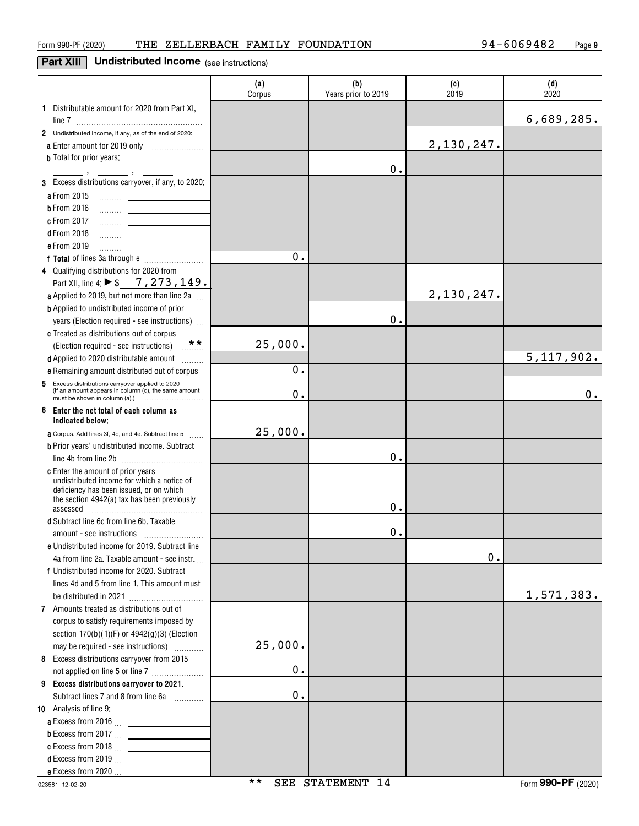### **Part XIII** Undistributed Income (see instructions)

|                                                                                                             | (a)<br>Corpus | (b)<br>Years prior to 2019 | (c)<br>2019 | (d)<br>2020  |
|-------------------------------------------------------------------------------------------------------------|---------------|----------------------------|-------------|--------------|
| 1 Distributable amount for 2020 from Part XI,                                                               |               |                            |             |              |
|                                                                                                             |               |                            |             | 6,689,285.   |
| 2 Undistributed income, if any, as of the end of 2020:                                                      |               |                            |             |              |
| a Enter amount for 2019 only                                                                                |               |                            | 2,130,247.  |              |
| <b>b</b> Total for prior years:                                                                             |               |                            |             |              |
|                                                                                                             |               | 0.                         |             |              |
| 3 Excess distributions carryover, if any, to 2020:                                                          |               |                            |             |              |
| a From 2015<br>1.1.1.1.1.1                                                                                  |               |                            |             |              |
| <b>b</b> From 2016<br>1.1.1.1.1.1.1<br>c From 2017                                                          |               |                            |             |              |
| .<br><b>d</b> From 2018                                                                                     |               |                            |             |              |
| .<br>e From 2019                                                                                            |               |                            |             |              |
| .                                                                                                           | 0.            |                            |             |              |
| 4 Qualifying distributions for 2020 from                                                                    |               |                            |             |              |
| Part XII, line 4: ▶ \$ 7, 273, 149.                                                                         |               |                            |             |              |
| <b>a</b> Applied to 2019, but not more than line 2a                                                         |               |                            | 2,130,247.  |              |
| <b>b</b> Applied to undistributed income of prior                                                           |               |                            |             |              |
| years (Election required - see instructions)                                                                |               | 0.                         |             |              |
| c Treated as distributions out of corpus                                                                    |               |                            |             |              |
| **<br>(Election required - see instructions)                                                                | 25,000.       |                            |             |              |
| d Applied to 2020 distributable amount<br>.                                                                 |               |                            |             | 5, 117, 902. |
| e Remaining amount distributed out of corpus                                                                | О.            |                            |             |              |
| Excess distributions carryover applied to 2020<br>5<br>(If an amount appears in column (d), the same amount | $0$ .         |                            |             | 0.           |
| Enter the net total of each column as<br>6<br>indicated below;                                              |               |                            |             |              |
| <b>a</b> Corpus. Add lines 3f, 4c, and 4e. Subtract line 5                                                  | 25,000.       |                            |             |              |
| <b>b</b> Prior years' undistributed income. Subtract                                                        |               |                            |             |              |
|                                                                                                             |               | 0.                         |             |              |
| <b>c</b> Enter the amount of prior years'                                                                   |               |                            |             |              |
| undistributed income for which a notice of                                                                  |               |                            |             |              |
| deficiency has been issued, or on which<br>the section 4942(a) tax has been previously                      |               |                            |             |              |
| assessed                                                                                                    |               | 0.                         |             |              |
| d Subtract line 6c from line 6b. Taxable                                                                    |               |                            |             |              |
|                                                                                                             |               | 0.                         |             |              |
| e Undistributed income for 2019. Subtract line                                                              |               |                            |             |              |
| 4a from line 2a. Taxable amount - see instr.                                                                |               |                            | 0.          |              |
| f Undistributed income for 2020. Subtract                                                                   |               |                            |             |              |
| lines 4d and 5 from line 1. This amount must                                                                |               |                            |             | 1,571,383.   |
| 7 Amounts treated as distributions out of                                                                   |               |                            |             |              |
| corpus to satisfy requirements imposed by                                                                   |               |                            |             |              |
| section 170(b)(1)(F) or 4942(g)(3) (Election                                                                |               |                            |             |              |
| may be required - see instructions)                                                                         | 25,000.       |                            |             |              |
| 8 Excess distributions carryover from 2015                                                                  |               |                            |             |              |
| not applied on line 5 or line 7                                                                             | 0.            |                            |             |              |
| 9 Excess distributions carryover to 2021.                                                                   |               |                            |             |              |
| Subtract lines 7 and 8 from line 6a                                                                         | 0.            |                            |             |              |
| 10 Analysis of line 9:                                                                                      |               |                            |             |              |
| <b>a</b> Excess from 2016 $\ldots$                                                                          |               |                            |             |              |
| <b>b</b> Excess from 2017                                                                                   |               |                            |             |              |
| c Excess from 2018 $\ldots$                                                                                 |               |                            |             |              |
| <b>d</b> Excess from 2019 $\ldots$                                                                          |               |                            |             |              |
| e Excess from 2020                                                                                          |               |                            |             |              |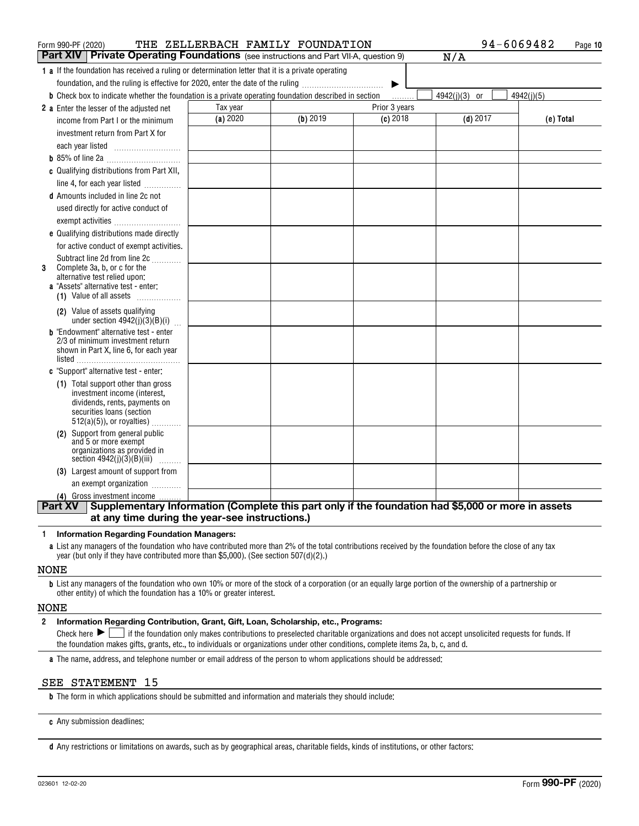| Form 990-PF (2020)                                                                                                   |          | THE ZELLERBACH FAMILY FOUNDATION |               | 94-6069482              | Page 10    |
|----------------------------------------------------------------------------------------------------------------------|----------|----------------------------------|---------------|-------------------------|------------|
| Part XIV<br>Private Operating Foundations (see instructions and Part VII-A, question 9)                              |          |                                  |               | N/A                     |            |
| <b>1 a</b> If the foundation has received a ruling or determination letter that it is a private operating            |          |                                  |               |                         |            |
| foundation, and the ruling is effective for 2020, enter the date of the ruling                                       |          |                                  |               |                         |            |
| <b>b</b> Check box to indicate whether the foundation is a private operating foundation described in section         |          |                                  |               | 4942(j)(3)<br><b>or</b> | 4942(j)(5) |
| 2 a Enter the lesser of the adjusted net                                                                             | Tax year |                                  | Prior 3 years |                         |            |
| income from Part I or the minimum                                                                                    | (a) 2020 | $(b)$ 2019                       | $(c)$ 2018    | $(d)$ 2017              | (e) Total  |
| investment return from Part X for                                                                                    |          |                                  |               |                         |            |
|                                                                                                                      |          |                                  |               |                         |            |
|                                                                                                                      |          |                                  |               |                         |            |
| c Qualifying distributions from Part XII,                                                                            |          |                                  |               |                         |            |
| line 4, for each year listed                                                                                         |          |                                  |               |                         |            |
| <b>d</b> Amounts included in line 2c not                                                                             |          |                                  |               |                         |            |
| used directly for active conduct of                                                                                  |          |                                  |               |                         |            |
| exempt activities                                                                                                    |          |                                  |               |                         |            |
| e Qualifying distributions made directly                                                                             |          |                                  |               |                         |            |
| for active conduct of exempt activities.                                                                             |          |                                  |               |                         |            |
| Subtract line 2d from line 2c                                                                                        |          |                                  |               |                         |            |
| Complete 3a, b, or c for the<br>3<br>alternative test relied upon:                                                   |          |                                  |               |                         |            |
| <b>a</b> "Assets" alternative test - enter:                                                                          |          |                                  |               |                         |            |
| (1) Value of all assets                                                                                              |          |                                  |               |                         |            |
| (2) Value of assets qualifying                                                                                       |          |                                  |               |                         |            |
| under section $4942(j)(3)(B)(i)$                                                                                     |          |                                  |               |                         |            |
| <b>b</b> "Endowment" alternative test - enter<br>2/3 of minimum investment return                                    |          |                                  |               |                         |            |
| shown in Part X, line 6, for each year                                                                               |          |                                  |               |                         |            |
|                                                                                                                      |          |                                  |               |                         |            |
| c "Support" alternative test - enter:                                                                                |          |                                  |               |                         |            |
| (1) Total support other than gross                                                                                   |          |                                  |               |                         |            |
| investment income (interest,<br>dividends, rents, payments on                                                        |          |                                  |               |                         |            |
| securities loans (section                                                                                            |          |                                  |               |                         |            |
| $512(a)(5)$ , or royalties)                                                                                          |          |                                  |               |                         |            |
| (2) Support from general public                                                                                      |          |                                  |               |                         |            |
| and 5 or more exempt<br>organizations as provided in                                                                 |          |                                  |               |                         |            |
| section $4942(j)(3)(B)(iii)$<br>.                                                                                    |          |                                  |               |                         |            |
| (3) Largest amount of support from                                                                                   |          |                                  |               |                         |            |
| an exempt organization                                                                                               |          |                                  |               |                         |            |
| (4) Gross investment income                                                                                          |          |                                  |               |                         |            |
| Supplementary Information (Complete this part only if the foundation had \$5,000 or more in assets<br><b>Part XV</b> |          |                                  |               |                         |            |
| at any time during the year-see instructions.)                                                                       |          |                                  |               |                         |            |

#### **1Information Regarding Foundation Managers:**

**a**List any managers of the foundation who have contributed more than 2% of the total contributions received by the foundation before the close of any tax year (but only if they have contributed more than \$5,000). (See section 507(d)(2).)

#### NONE

**b**List any managers of the foundation who own 10% or more of the stock of a corporation (or an equally large portion of the ownership of a partnership or other entity) of which the foundation has a 10% or greater interest.

#### NONE

#### **2Information Regarding Contribution, Grant, Gift, Loan, Scholarship, etc., Programs:**

Check here  $\blacktriangleright\Box$  if the foundation only makes contributions to preselected charitable organizations and does not accept unsolicited requests for funds. If the foundation makes gifts, grants, etc., to individuals or organizations under other conditions, complete items 2a, b, c, and d. Check here  $\blacktriangleright$  |

**a**The name, address, and telephone number or email address of the person to whom applications should be addressed:

#### SEE STATEMENT 15

**b**The form in which applications should be submitted and information and materials they should include:

**c**Any submission deadlines:

**d** Any restrictions or limitations on awards, such as by geographical areas, charitable fields, kinds of institutions, or other factors: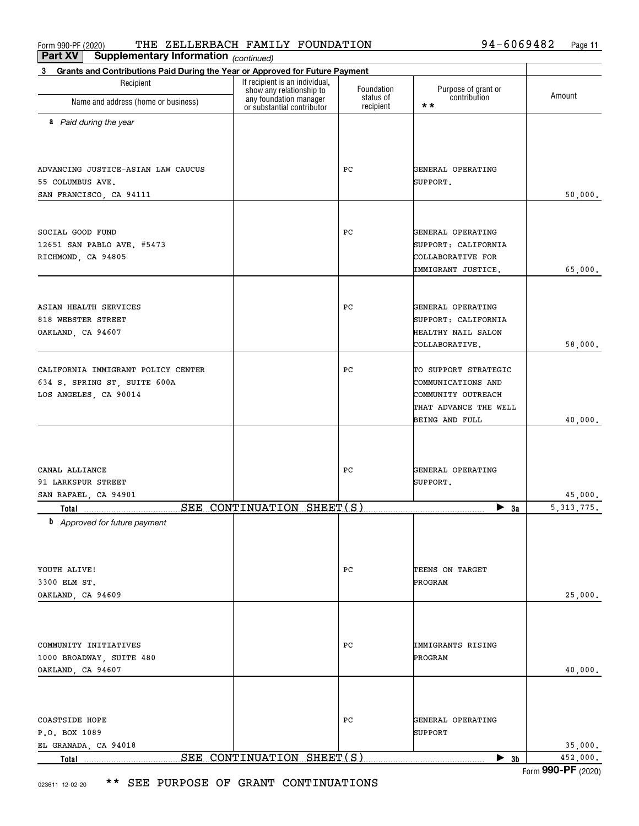| Part XV<br><b>Supplementary Information</b> (continued)                           |                                                                                      |                         |                                     |              |
|-----------------------------------------------------------------------------------|--------------------------------------------------------------------------------------|-------------------------|-------------------------------------|--------------|
| Grants and Contributions Paid During the Year or Approved for Future Payment<br>3 |                                                                                      |                         |                                     |              |
| Recipient                                                                         | If recipient is an individual,<br>show any relationship to<br>any foundation manager | Foundation<br>status of | Purpose of grant or<br>contribution | Amount       |
| Name and address (home or business)                                               | or substantial contributor                                                           | recipient               | $\star\star$                        |              |
| a Paid during the year                                                            |                                                                                      |                         |                                     |              |
|                                                                                   |                                                                                      |                         |                                     |              |
|                                                                                   |                                                                                      |                         |                                     |              |
| ADVANCING JUSTICE-ASIAN LAW CAUCUS                                                |                                                                                      | PС                      | GENERAL OPERATING                   |              |
| 55 COLUMBUS AVE.<br>SAN FRANCISCO, CA 94111                                       |                                                                                      |                         | SUPPORT.                            | 50,000.      |
|                                                                                   |                                                                                      |                         |                                     |              |
|                                                                                   |                                                                                      |                         |                                     |              |
| SOCIAL GOOD FUND                                                                  |                                                                                      | PС                      | GENERAL OPERATING                   |              |
| 12651 SAN PABLO AVE. #5473                                                        |                                                                                      |                         | SUPPORT: CALIFORNIA                 |              |
| RICHMOND, CA 94805                                                                |                                                                                      |                         | COLLABORATIVE FOR                   |              |
|                                                                                   |                                                                                      |                         | IMMIGRANT JUSTICE.                  | 65,000.      |
|                                                                                   |                                                                                      |                         |                                     |              |
| ASIAN HEALTH SERVICES                                                             |                                                                                      | PС                      | GENERAL OPERATING                   |              |
| 818 WEBSTER STREET                                                                |                                                                                      |                         | SUPPORT: CALIFORNIA                 |              |
| OAKLAND, CA 94607                                                                 |                                                                                      |                         | HEALTHY NAIL SALON                  |              |
|                                                                                   |                                                                                      |                         | COLLABORATIVE.                      | 58,000.      |
| CALIFORNIA IMMIGRANT POLICY CENTER                                                |                                                                                      | PС                      | TO SUPPORT STRATEGIC                |              |
| 634 S. SPRING ST, SUITE 600A                                                      |                                                                                      |                         | COMMUNICATIONS AND                  |              |
| LOS ANGELES, CA 90014                                                             |                                                                                      |                         | COMMUNITY OUTREACH                  |              |
|                                                                                   |                                                                                      |                         | THAT ADVANCE THE WELL               |              |
|                                                                                   |                                                                                      |                         | BEING AND FULL                      | 40,000.      |
|                                                                                   |                                                                                      |                         |                                     |              |
| CANAL ALLIANCE                                                                    |                                                                                      | PС                      | GENERAL OPERATING                   |              |
| 91 LARKSPUR STREET                                                                |                                                                                      |                         | SUPPORT.                            |              |
| SAN RAFAEL, CA 94901                                                              |                                                                                      |                         |                                     | 45,000.      |
|                                                                                   | SEE CONTINUATION SHEET(S)                                                            |                         | $\blacktriangleright$ 3a            | 5, 313, 775. |
| <b>b</b> Approved for future payment                                              |                                                                                      |                         |                                     |              |
|                                                                                   |                                                                                      |                         |                                     |              |
| YOUTH ALIVE!                                                                      |                                                                                      | PС                      | TEENS ON TARGET                     |              |
| 3300 ELM ST.                                                                      |                                                                                      |                         | PROGRAM                             |              |
| OAKLAND, CA 94609                                                                 |                                                                                      |                         |                                     | 25,000.      |
|                                                                                   |                                                                                      |                         |                                     |              |
|                                                                                   |                                                                                      |                         |                                     |              |
| COMMUNITY INITIATIVES                                                             |                                                                                      | PС                      | IMMIGRANTS RISING                   |              |
| 1000 BROADWAY, SUITE 480                                                          |                                                                                      |                         | PROGRAM                             |              |
| OAKLAND, CA 94607                                                                 |                                                                                      |                         |                                     | 40,000.      |
|                                                                                   |                                                                                      |                         |                                     |              |
|                                                                                   |                                                                                      |                         |                                     |              |
| COASTSIDE HOPE<br>P.O. BOX 1089                                                   |                                                                                      | PС                      | GENERAL OPERATING<br>SUPPORT        |              |
| EL GRANADA, CA 94018                                                              |                                                                                      |                         |                                     | 35,000.      |
| Total                                                                             | SEE CONTINUATION SHEET(S)                                                            |                         | $\blacktriangleright$ 3b            | 452,000.     |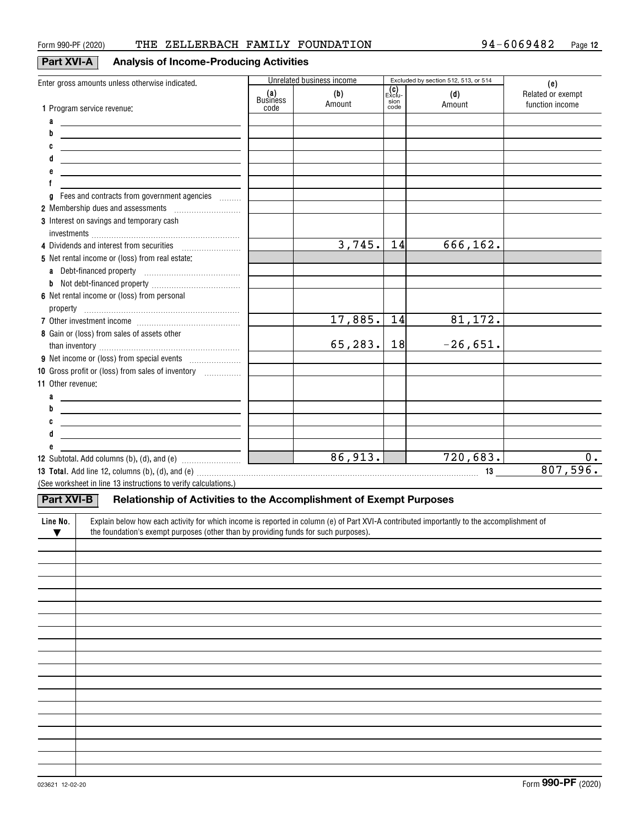## **Part XVI-A Analysis of Income-Producing Activities**

|                                                                                                                                                                                                           |                 | Unrelated business income |                                | Excluded by section 512, 513, or 514 |                                             |
|-----------------------------------------------------------------------------------------------------------------------------------------------------------------------------------------------------------|-----------------|---------------------------|--------------------------------|--------------------------------------|---------------------------------------------|
| Enter gross amounts unless otherwise indicated.                                                                                                                                                           | (a)<br>Business | (b)<br>Amount             | $E_{\rm XClu}$<br>sion<br>code | (d)<br>Amount                        | (e)<br>Related or exempt<br>function income |
| 1 Program service revenue:                                                                                                                                                                                | code            |                           |                                |                                      |                                             |
| a<br><u>and the control of the control of the control of</u>                                                                                                                                              |                 |                           |                                |                                      |                                             |
| b                                                                                                                                                                                                         |                 |                           |                                |                                      |                                             |
| C                                                                                                                                                                                                         |                 |                           |                                |                                      |                                             |
|                                                                                                                                                                                                           |                 |                           |                                |                                      |                                             |
|                                                                                                                                                                                                           |                 |                           |                                |                                      |                                             |
|                                                                                                                                                                                                           |                 |                           |                                |                                      |                                             |
| Fees and contracts from government agencies<br>g                                                                                                                                                          |                 |                           |                                |                                      |                                             |
| 2 Membership dues and assessments [111] Membership dues and assessments                                                                                                                                   |                 |                           |                                |                                      |                                             |
| 3 Interest on savings and temporary cash                                                                                                                                                                  |                 |                           |                                |                                      |                                             |
| 4 Dividends and interest from securities                                                                                                                                                                  |                 | 3,745.                    | 14                             | 666, 162.                            |                                             |
| 5 Net rental income or (loss) from real estate:                                                                                                                                                           |                 |                           |                                |                                      |                                             |
|                                                                                                                                                                                                           |                 |                           |                                |                                      |                                             |
|                                                                                                                                                                                                           |                 |                           |                                |                                      |                                             |
| 6 Net rental income or (loss) from personal                                                                                                                                                               |                 |                           |                                |                                      |                                             |
|                                                                                                                                                                                                           |                 |                           |                                |                                      |                                             |
|                                                                                                                                                                                                           |                 | 17,885.                   | 14                             | 81,172.                              |                                             |
| 8 Gain or (loss) from sales of assets other                                                                                                                                                               |                 |                           |                                |                                      |                                             |
|                                                                                                                                                                                                           |                 | 65, 283.                  | 18                             | $-26,651.$                           |                                             |
|                                                                                                                                                                                                           |                 |                           |                                |                                      |                                             |
| 10 Gross profit or (loss) from sales of inventory                                                                                                                                                         |                 |                           |                                |                                      |                                             |
| 11 Other revenue:                                                                                                                                                                                         |                 |                           |                                |                                      |                                             |
| a                                                                                                                                                                                                         |                 |                           |                                |                                      |                                             |
| b<br><u> 1989 - Johann John Stein, fransk politik (</u>                                                                                                                                                   |                 |                           |                                |                                      |                                             |
| C<br><u> 1989 - Johann Barbara, martxa alemaniar amerikan a</u>                                                                                                                                           |                 |                           |                                |                                      |                                             |
|                                                                                                                                                                                                           |                 |                           |                                |                                      |                                             |
|                                                                                                                                                                                                           |                 |                           |                                |                                      |                                             |
| 12 Subtotal. Add columns (b), (d), and (e) $\overline{\phantom{a} \phantom{a} \phantom{a}}$ and $\overline{\phantom{a} \phantom{a} \phantom{a}}$ and (e) $\overline{\phantom{a} \phantom{a} \phantom{a}}$ |                 |                           |                                | 720,683.                             | $0$ .                                       |
|                                                                                                                                                                                                           |                 |                           |                                | 13                                   | 807,596.                                    |
| (See worksheet in line 13 instructions to verify calculations.)                                                                                                                                           |                 |                           |                                |                                      |                                             |
| <b>Part XVI-B</b><br>Relationship of Activities to the Accomplishment of Exempt Purposes                                                                                                                  |                 |                           |                                |                                      |                                             |
| Explain below how each activity for which income is reported in column (e) of Part XVI-A contributed importantly to the accomplishment of<br>Line No.                                                     |                 |                           |                                |                                      |                                             |
| the foundation's exempt purposes (other than by providing funds for such purposes).<br>$\blacktriangledown$                                                                                               |                 |                           |                                |                                      |                                             |
|                                                                                                                                                                                                           |                 |                           |                                |                                      |                                             |
|                                                                                                                                                                                                           |                 |                           |                                |                                      |                                             |
|                                                                                                                                                                                                           |                 |                           |                                |                                      |                                             |
|                                                                                                                                                                                                           |                 |                           |                                |                                      |                                             |
|                                                                                                                                                                                                           |                 |                           |                                |                                      |                                             |
|                                                                                                                                                                                                           |                 |                           |                                |                                      |                                             |
|                                                                                                                                                                                                           |                 |                           |                                |                                      |                                             |
|                                                                                                                                                                                                           |                 |                           |                                |                                      |                                             |
|                                                                                                                                                                                                           |                 |                           |                                |                                      |                                             |
|                                                                                                                                                                                                           |                 |                           |                                |                                      |                                             |
|                                                                                                                                                                                                           |                 |                           |                                |                                      |                                             |
|                                                                                                                                                                                                           |                 |                           |                                |                                      |                                             |
|                                                                                                                                                                                                           |                 |                           |                                |                                      |                                             |
|                                                                                                                                                                                                           |                 |                           |                                |                                      |                                             |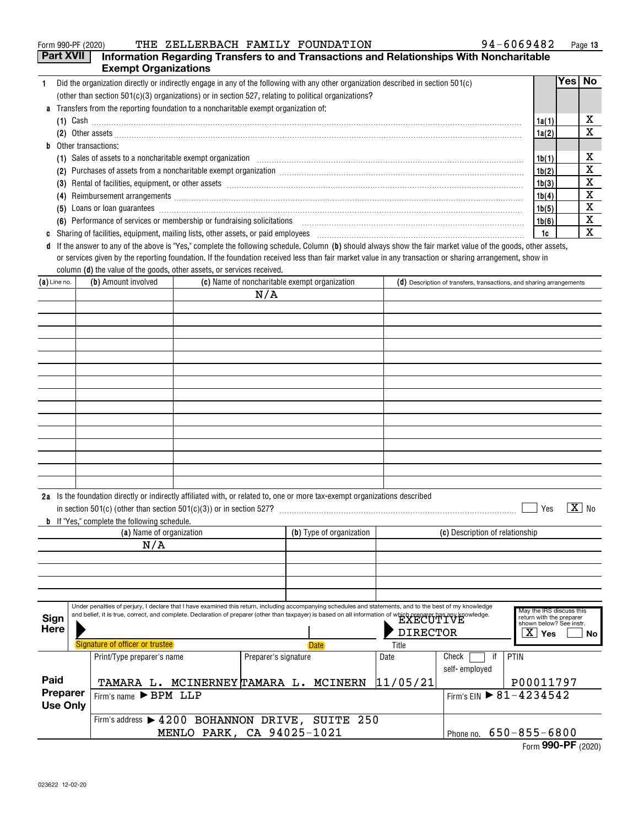|   | THE ZELLERBACH FAMILY FOUNDATION<br>Form 990-PF (2020)                                                                                                                                                                                | $94 - 6069482$ |      | Page 13 |
|---|---------------------------------------------------------------------------------------------------------------------------------------------------------------------------------------------------------------------------------------|----------------|------|---------|
|   | <b>Part XVII</b><br>Information Regarding Transfers to and Transactions and Relationships With Noncharitable                                                                                                                          |                |      |         |
|   | <b>Exempt Organizations</b>                                                                                                                                                                                                           |                |      |         |
|   | Did the organization directly or indirectly engage in any of the following with any other organization described in section 501(c)                                                                                                    |                | Yes⊺ | No.     |
|   | (other than section $501(c)(3)$ organizations) or in section 527, relating to political organizations?                                                                                                                                |                |      |         |
|   | a Transfers from the reporting foundation to a noncharitable exempt organization of:                                                                                                                                                  |                |      |         |
|   | (1) Cash $\ldots$                                                                                                                                                                                                                     | 1a(1)          |      | х       |
|   |                                                                                                                                                                                                                                       | 1a(2)          |      | X       |
| b | Other transactions:                                                                                                                                                                                                                   |                |      |         |
|   | Sales of assets to a noncharitable exempt organization contained and accommunication of assets to a noncharitable exempt organization<br>(1)                                                                                          | 1b(1)          |      | х       |
|   | Purchases of assets from a noncharitable exempt organization [[11] non-managedia manufacture in the set of assets from a noncharitable exempt organization [11] non-managedia manufacture in the set of the set of the set of<br>(2)  | 1b(2)          |      | х       |
|   | (3)                                                                                                                                                                                                                                   | 1b(3)          |      | х       |
|   | Reimbursement arrangements [111] March 2016 (2016) and the contract of the contract of the contract of the contract of the contract of the contract of the contract of the contract of the contract of the contract of the con<br>(4) | 1b(4)          |      | X       |
|   | (5)                                                                                                                                                                                                                                   | 1b(5)          |      | X       |
|   | (6) Performance of services or membership or fundraising solicitations [11] non-content content to the performance of services or membership or fundraising solicitations [11] non-content content of the performance of the p        | 1b(6)          |      | X       |
|   | Sharing of facilities, equipment, mailing lists, other assets, or paid employees [11] manufactures manufactures and the state in the state of the state of the state of the state of the state of the state of the state of th        | 1c             |      | х       |
|   | d If the answer to any of the above is "Yes," complete the following schedule. Column (b) should always show the fair market value of the goods, other assets,                                                                        |                |      |         |

column **(d)** the value of the goods, other assets, or services received. or services given by the reporting foundation. If the foundation received less than fair market value in any transaction or sharing arrangement, show in

| $(a)$ Line no.              |  | (b) Amount involved                                 |                      | (c) Name of noncharitable exempt organization                                                                                                                                                                                                                                                                                            |                          |                                 | $(d)$ Description of transfers, transactions, and sharing arrangements                                      |
|-----------------------------|--|-----------------------------------------------------|----------------------|------------------------------------------------------------------------------------------------------------------------------------------------------------------------------------------------------------------------------------------------------------------------------------------------------------------------------------------|--------------------------|---------------------------------|-------------------------------------------------------------------------------------------------------------|
|                             |  |                                                     | N/A                  |                                                                                                                                                                                                                                                                                                                                          |                          |                                 |                                                                                                             |
|                             |  |                                                     |                      |                                                                                                                                                                                                                                                                                                                                          |                          |                                 |                                                                                                             |
|                             |  |                                                     |                      |                                                                                                                                                                                                                                                                                                                                          |                          |                                 |                                                                                                             |
|                             |  |                                                     |                      |                                                                                                                                                                                                                                                                                                                                          |                          |                                 |                                                                                                             |
|                             |  |                                                     |                      |                                                                                                                                                                                                                                                                                                                                          |                          |                                 |                                                                                                             |
|                             |  |                                                     |                      |                                                                                                                                                                                                                                                                                                                                          |                          |                                 |                                                                                                             |
|                             |  |                                                     |                      |                                                                                                                                                                                                                                                                                                                                          |                          |                                 |                                                                                                             |
|                             |  |                                                     |                      |                                                                                                                                                                                                                                                                                                                                          |                          |                                 |                                                                                                             |
|                             |  |                                                     |                      |                                                                                                                                                                                                                                                                                                                                          |                          |                                 |                                                                                                             |
|                             |  |                                                     |                      |                                                                                                                                                                                                                                                                                                                                          |                          |                                 |                                                                                                             |
|                             |  |                                                     |                      |                                                                                                                                                                                                                                                                                                                                          |                          |                                 |                                                                                                             |
|                             |  |                                                     |                      |                                                                                                                                                                                                                                                                                                                                          |                          |                                 |                                                                                                             |
|                             |  |                                                     |                      |                                                                                                                                                                                                                                                                                                                                          |                          |                                 |                                                                                                             |
|                             |  |                                                     |                      |                                                                                                                                                                                                                                                                                                                                          |                          |                                 |                                                                                                             |
|                             |  | <b>b</b> If "Yes," complete the following schedule. |                      | 2a Is the foundation directly or indirectly affiliated with, or related to, one or more tax-exempt organizations described<br>in section 501(c) (other than section 501(c)(3)) or in section 527?                                                                                                                                        |                          |                                 | $\sqrt{X}$ No<br>Yes                                                                                        |
|                             |  | (a) Name of organization                            |                      | (b) Type of organization                                                                                                                                                                                                                                                                                                                 |                          | (c) Description of relationship |                                                                                                             |
|                             |  | N/A                                                 |                      |                                                                                                                                                                                                                                                                                                                                          |                          |                                 |                                                                                                             |
|                             |  |                                                     |                      |                                                                                                                                                                                                                                                                                                                                          |                          |                                 |                                                                                                             |
|                             |  |                                                     |                      |                                                                                                                                                                                                                                                                                                                                          |                          |                                 |                                                                                                             |
|                             |  |                                                     |                      |                                                                                                                                                                                                                                                                                                                                          |                          |                                 |                                                                                                             |
|                             |  |                                                     |                      |                                                                                                                                                                                                                                                                                                                                          |                          |                                 |                                                                                                             |
| Sign<br><b>Here</b>         |  | Signature of officer or trustee                     |                      | Under penalties of perjury, I declare that I have examined this return, including accompanying schedules and statements, and to the best of my knowledge<br>and belief, it is true, correct, and complete. Declaration of preparer (other than taxpayer) is based on all information of which preparer has any knowledge.<br><b>Date</b> | <b>DIRECTOR</b><br>Title |                                 | May the IRS discuss this<br>return with the preparer<br>shown below? See instr.<br>$\overline{X}$ Yes<br>No |
|                             |  | Print/Type preparer's name                          | Preparer's signature |                                                                                                                                                                                                                                                                                                                                          | Date                     | Check<br>if                     | PTIN                                                                                                        |
|                             |  |                                                     |                      |                                                                                                                                                                                                                                                                                                                                          |                          | self-employed                   |                                                                                                             |
| Paid                        |  |                                                     |                      | TAMARA L. MCINERNEY TAMARA L. MCINERN                                                                                                                                                                                                                                                                                                    | 11/05/21                 |                                 | P00011797                                                                                                   |
| Preparer<br><b>Use Only</b> |  | Firm's name BPM LLP                                 |                      |                                                                                                                                                                                                                                                                                                                                          |                          |                                 | Firm's EIN $\rightarrow 81 - 4234542$                                                                       |

Firm's address 94200 BOHANNON DRIVE, SUITE 250

MENLO PARK, CA 94025-1021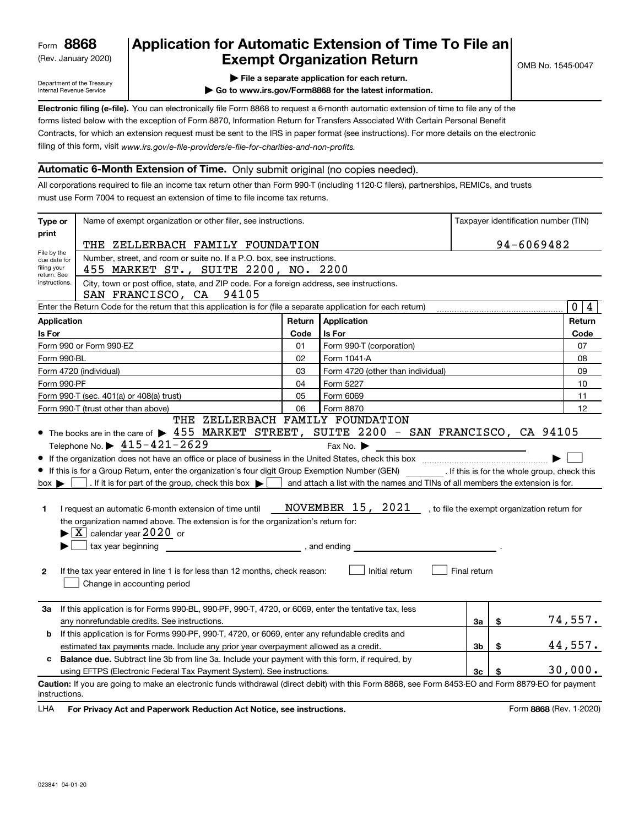(Rev. January 2020)

# **Application for Automatic Extension of Time To File an Exempt Organization Return**

Department of the Treasury Internal Revenue Service

**| File a separate application for each return.**

**| Go to www.irs.gov/Form8868 for the latest information.**

**Electronic filing (e-file).**  You can electronically file Form 8868 to request a 6-month automatic extension of time to file any of the filing of this form, visit www.irs.gov/e-file-providers/e-file-for-charities-and-non-profits. forms listed below with the exception of Form 8870, Information Return for Transfers Associated With Certain Personal Benefit Contracts, for which an extension request must be sent to the IRS in paper format (see instructions). For more details on the electronic

### **Automatic 6-Month Extension of Time.** Only submit original (no copies needed).

All corporations required to file an income tax return other than Form 990-T (including 1120-C filers), partnerships, REMICs, and trusts must use Form 7004 to request an extension of time to file income tax returns.

| Type or<br>Name of exempt organization or other filer, see instructions.                                                                                     |                                                                                                                                                                                                                                                                                                                                                                                                                                                                                                                                                                                                                                                                                                                                                                                                                                                                                    |        |                                                                                                                          |              |    | Taxpayer identification number (TIN) |  |
|--------------------------------------------------------------------------------------------------------------------------------------------------------------|------------------------------------------------------------------------------------------------------------------------------------------------------------------------------------------------------------------------------------------------------------------------------------------------------------------------------------------------------------------------------------------------------------------------------------------------------------------------------------------------------------------------------------------------------------------------------------------------------------------------------------------------------------------------------------------------------------------------------------------------------------------------------------------------------------------------------------------------------------------------------------|--------|--------------------------------------------------------------------------------------------------------------------------|--------------|----|--------------------------------------|--|
| print                                                                                                                                                        |                                                                                                                                                                                                                                                                                                                                                                                                                                                                                                                                                                                                                                                                                                                                                                                                                                                                                    |        |                                                                                                                          | 94-6069482   |    |                                      |  |
| File by the                                                                                                                                                  | THE ZELLERBACH FAMILY FOUNDATION                                                                                                                                                                                                                                                                                                                                                                                                                                                                                                                                                                                                                                                                                                                                                                                                                                                   |        |                                                                                                                          |              |    |                                      |  |
| Number, street, and room or suite no. If a P.O. box, see instructions.<br>due date for<br>filing your<br>455 MARKET ST., SUITE 2200, NO. 2200<br>return. See |                                                                                                                                                                                                                                                                                                                                                                                                                                                                                                                                                                                                                                                                                                                                                                                                                                                                                    |        |                                                                                                                          |              |    |                                      |  |
| City, town or post office, state, and ZIP code. For a foreign address, see instructions.<br>instructions.<br>SAN FRANCISCO, CA 94105                         |                                                                                                                                                                                                                                                                                                                                                                                                                                                                                                                                                                                                                                                                                                                                                                                                                                                                                    |        |                                                                                                                          |              |    |                                      |  |
|                                                                                                                                                              | Enter the Return Code for the return that this application is for (file a separate application for each return)                                                                                                                                                                                                                                                                                                                                                                                                                                                                                                                                                                                                                                                                                                                                                                    |        |                                                                                                                          |              |    | 0 <sup>1</sup><br>$\overline{4}$     |  |
| <b>Application</b>                                                                                                                                           |                                                                                                                                                                                                                                                                                                                                                                                                                                                                                                                                                                                                                                                                                                                                                                                                                                                                                    | Return | Application                                                                                                              |              |    | Return                               |  |
| Is For                                                                                                                                                       |                                                                                                                                                                                                                                                                                                                                                                                                                                                                                                                                                                                                                                                                                                                                                                                                                                                                                    | Code   | <b>Is For</b>                                                                                                            |              |    | Code                                 |  |
|                                                                                                                                                              | Form 990 or Form 990-EZ                                                                                                                                                                                                                                                                                                                                                                                                                                                                                                                                                                                                                                                                                                                                                                                                                                                            | 01     | Form 990-T (corporation)                                                                                                 |              |    | 07                                   |  |
| Form 990-BL                                                                                                                                                  |                                                                                                                                                                                                                                                                                                                                                                                                                                                                                                                                                                                                                                                                                                                                                                                                                                                                                    | 02     | Form 1041-A                                                                                                              |              |    | 08                                   |  |
|                                                                                                                                                              | Form 4720 (individual)                                                                                                                                                                                                                                                                                                                                                                                                                                                                                                                                                                                                                                                                                                                                                                                                                                                             | 03     | Form 4720 (other than individual)                                                                                        |              |    | 09                                   |  |
| Form 990-PF                                                                                                                                                  |                                                                                                                                                                                                                                                                                                                                                                                                                                                                                                                                                                                                                                                                                                                                                                                                                                                                                    | 04     | Form 5227                                                                                                                |              |    | 10                                   |  |
|                                                                                                                                                              | Form 990-T (sec. 401(a) or 408(a) trust)                                                                                                                                                                                                                                                                                                                                                                                                                                                                                                                                                                                                                                                                                                                                                                                                                                           | 05     | Form 6069                                                                                                                |              |    | 11                                   |  |
|                                                                                                                                                              | Form 990-T (trust other than above)<br>THE ZELLERBACH FAMILY FOUNDATION                                                                                                                                                                                                                                                                                                                                                                                                                                                                                                                                                                                                                                                                                                                                                                                                            | 06     | Form 8870                                                                                                                |              |    | 12                                   |  |
| $box \blacktriangleright$<br>1<br>$\mathbf{2}$                                                                                                               | • The books are in the care of $\blacktriangleright$ 455 MARKET STREET, SUITE 2200 - SAN FRANCISCO, CA 94105<br>Telephone No. $\triangleright$ 415-421-2629<br>If this is for a Group Return, enter the organization's four digit Group Exemption Number (GEN) [If this is for the whole group, check this<br>. If it is for part of the group, check this box $\bullet$   and attach a list with the names and TINs of all members the extension is for.<br>I request an automatic 6-month extension of time until MOVEMBER $15$ , $2021$ , to file the exempt organization return for<br>the organization named above. The extension is for the organization's return for:<br>$\blacktriangleright$ $\boxed{\text{X}}$ calendar year 2020 or<br>tax year beginning<br>If the tax year entered in line 1 is for less than 12 months, check reason:<br>Change in accounting period |        | Fax No. $\blacktriangleright$<br><u> 1989 - Johann Stoff, fransk politik (d. 1989)</u><br>, and ending<br>Initial return | Final return |    |                                      |  |
| За                                                                                                                                                           | If this application is for Forms 990-BL, 990-PF, 990-T, 4720, or 6069, enter the tentative tax, less<br>any nonrefundable credits. See instructions.                                                                                                                                                                                                                                                                                                                                                                                                                                                                                                                                                                                                                                                                                                                               |        |                                                                                                                          | За           | \$ | 74,557.                              |  |
| b                                                                                                                                                            | If this application is for Forms 990-PF, 990-T, 4720, or 6069, enter any refundable credits and                                                                                                                                                                                                                                                                                                                                                                                                                                                                                                                                                                                                                                                                                                                                                                                    |        |                                                                                                                          |              |    |                                      |  |
|                                                                                                                                                              | \$<br>estimated tax payments made. Include any prior year overpayment allowed as a credit.<br>3b                                                                                                                                                                                                                                                                                                                                                                                                                                                                                                                                                                                                                                                                                                                                                                                   |        |                                                                                                                          |              |    | 44,557.                              |  |
| <b>Balance due.</b> Subtract line 3b from line 3a. Include your payment with this form, if required, by<br>c                                                 |                                                                                                                                                                                                                                                                                                                                                                                                                                                                                                                                                                                                                                                                                                                                                                                                                                                                                    |        |                                                                                                                          |              |    |                                      |  |
|                                                                                                                                                              | using EFTPS (Electronic Federal Tax Payment System). See instructions.<br>3c                                                                                                                                                                                                                                                                                                                                                                                                                                                                                                                                                                                                                                                                                                                                                                                                       |        |                                                                                                                          |              |    | 30,000.                              |  |
| instructions.                                                                                                                                                | Caution: If you are going to make an electronic funds withdrawal (direct debit) with this Form 8868, see Form 8453-EO and Form 8879-EO for payment                                                                                                                                                                                                                                                                                                                                                                                                                                                                                                                                                                                                                                                                                                                                 |        |                                                                                                                          |              |    |                                      |  |

**HA** For Privacy Act and Paperwork Reduction Act Notice, see instructions. **But a struction of the Constantion Constant** Form 8868 (Rev. 1-2020) LHA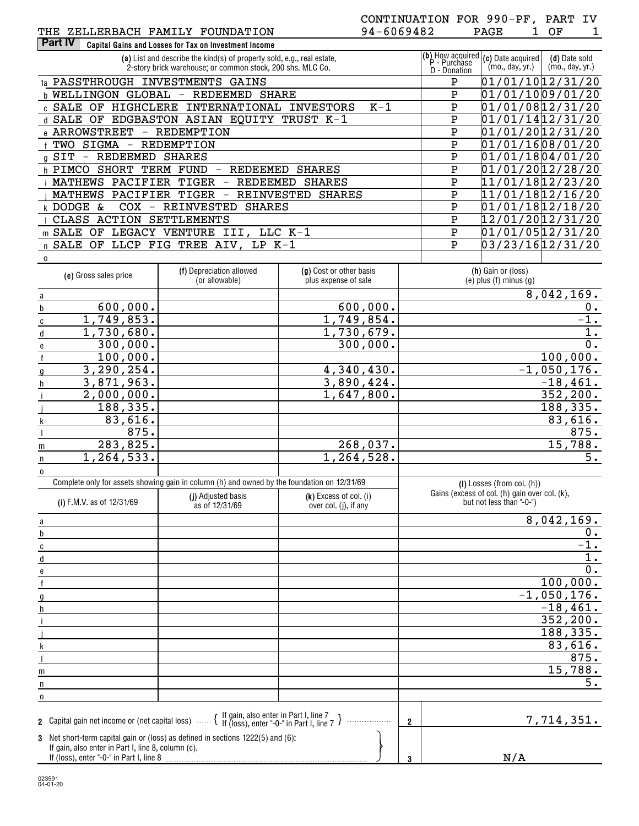| (a) List and describe the kind(s) of property sold, e.g., real estate,<br>2-story brick warehouse; or common stock, 200 shs. MLC Co. | (b) How acquired $(c)$ Date acquired $\begin{bmatrix} P-Purchase \end{bmatrix}$<br>D - Donation | (mo., day, yr.) | (d) Date sold<br>(mo., day, yr.) |
|--------------------------------------------------------------------------------------------------------------------------------------|-------------------------------------------------------------------------------------------------|-----------------|----------------------------------|
| INVESTMENTS<br>1a PASSTHROUGH<br>GAINS                                                                                               | Ρ                                                                                               |                 | 01/01/1012/31/20                 |
| GLOBAL<br>b WELLINGON<br>REDEEMED<br>SHARE                                                                                           | Ρ                                                                                               |                 | 01/01/1009/01/20                 |
| $K-1$<br>HIGHCLERE<br><b>INVESTORS</b><br>INTERNATIONAL<br>c SALE<br>OF                                                              | P                                                                                               |                 | 01/01/0812/31/20                 |
| <b>EDGBASTON</b><br>ASIAN EQUITY TRUST K-1<br>d SALE<br>OF                                                                           | Ρ                                                                                               |                 | 01/01/1412/31/20                 |
| e ARROWSTREET<br>REDEMPTION<br>$\overline{\phantom{m}}$                                                                              | P                                                                                               |                 | 01/01/2012/31/20                 |
| REDEMPTION<br>SIGMA<br>TWO<br>$\overline{\phantom{m}}$                                                                               | Ρ                                                                                               |                 | 01/01/1608/01/20                 |
| SIT<br>REDEEMED<br><b>SHARES</b><br>$\overline{\phantom{m}}$<br>g                                                                    | Ρ                                                                                               |                 | 01/01/1804/01/20                 |
| h PIMCO<br>SHORT<br><b>SHARES</b><br>TERM<br>FUND<br><b>REDEEMED</b>                                                                 | Ρ                                                                                               |                 | 01/01/2012/28/20                 |
| PACIFIER<br>TIGER<br>REDEEMED<br><b>SHARES</b><br>MATHEWS                                                                            | Ρ                                                                                               |                 | 11/01/1812/23/20                 |
| PACIFIER<br>MATHEWS<br>TIGER<br>REINVESTED<br><b>SHARES</b>                                                                          | P                                                                                               |                 | 11/01/1812/16/20                 |
| REINVESTED<br>k DODGE<br><b>SHARES</b><br>COX<br>&.<br>$\overline{\phantom{m}}$                                                      | P                                                                                               |                 | 01/01/1812/18/20                 |
| ACTION<br>CLASS<br><b>SETTLEMENTS</b>                                                                                                | Ρ                                                                                               |                 | 12/01/2012/31/20                 |
| SALE<br><b>VENTURE</b><br>III.<br>$LLC$ K-1<br>OF<br>LEGACY                                                                          | Ρ                                                                                               |                 | 01/01/0512/31/20                 |
| TREE AIV,<br>LLCP FIG<br>$LP$ K-1<br>$n$ SALE<br>OF                                                                                  | Ρ                                                                                               |                 | 03/23/1612/31/20                 |

| 0 |                       |                                                                                             |                                                 |                                                    |  |  |                |
|---|-----------------------|---------------------------------------------------------------------------------------------|-------------------------------------------------|----------------------------------------------------|--|--|----------------|
|   | (e) Gross sales price | (f) Depreciation allowed<br>(or allowable)                                                  | (g) Cost or other basis<br>plus expense of sale | (h) Gain or (loss)<br>$(e)$ plus $(f)$ minus $(g)$ |  |  |                |
| a |                       |                                                                                             |                                                 |                                                    |  |  | 8,042,169.     |
|   | 600,000.              |                                                                                             | 600,000.                                        |                                                    |  |  | $\mathsf{U}$ . |
|   | 1,749,853.            |                                                                                             | 1,749,854.                                      |                                                    |  |  | $-1.$          |
|   | 1,730,680.            |                                                                                             | 1,730,679.                                      |                                                    |  |  |                |
|   | 300,000.              |                                                                                             | 300,000.                                        |                                                    |  |  | 0.             |
|   | 100,000.              |                                                                                             |                                                 |                                                    |  |  | 100,000.       |
|   | 3, 290, 254.          |                                                                                             | 4,340,430.                                      |                                                    |  |  | $-1,050,176.$  |
|   | 3,871,963.            |                                                                                             | 3,890,424.                                      |                                                    |  |  | $-18,461.$     |
|   | 2,000,000.            |                                                                                             | 1,647,800.                                      |                                                    |  |  | 352,200.       |
|   | 188,335.              |                                                                                             |                                                 |                                                    |  |  | 188,335.       |
|   | 83,616.               |                                                                                             |                                                 |                                                    |  |  | 83,616.        |
|   | 875.                  |                                                                                             |                                                 |                                                    |  |  | 875.           |
| m | 283,825.              |                                                                                             | 268,037.                                        |                                                    |  |  | 15,788.        |
|   | 1,264,533.            |                                                                                             | 1,264,528.                                      |                                                    |  |  | 5.             |
| 0 |                       |                                                                                             |                                                 |                                                    |  |  |                |
|   |                       | Complete only for assets showing gain in column (h) and owned by the foundation on 12/31/69 |                                                 | $(I)$ Losses (from col. $(h)$ )                    |  |  |                |

| (i) F.M.V. as of 12/31/69                                                                      | (j) Adjusted basis<br>as of 12/31/69                                                                                                           | $(k)$ Excess of col. (i)<br>over col. (j), if any |                | Gains (excess of col. (h) gain over col. (k),<br>but not less than "-0-") |  |  |
|------------------------------------------------------------------------------------------------|------------------------------------------------------------------------------------------------------------------------------------------------|---------------------------------------------------|----------------|---------------------------------------------------------------------------|--|--|
| a                                                                                              |                                                                                                                                                |                                                   |                | 8,042,169.                                                                |  |  |
| b                                                                                              |                                                                                                                                                |                                                   |                | 0.                                                                        |  |  |
|                                                                                                |                                                                                                                                                |                                                   |                | $\overline{-1}$ .                                                         |  |  |
|                                                                                                |                                                                                                                                                |                                                   |                | 1.                                                                        |  |  |
|                                                                                                |                                                                                                                                                |                                                   |                | 0.                                                                        |  |  |
|                                                                                                |                                                                                                                                                |                                                   |                | 100,000.                                                                  |  |  |
|                                                                                                |                                                                                                                                                |                                                   | $-1,050,176.$  |                                                                           |  |  |
|                                                                                                |                                                                                                                                                |                                                   |                | $-18, 461.$                                                               |  |  |
|                                                                                                |                                                                                                                                                |                                                   |                | 352, 200.                                                                 |  |  |
|                                                                                                |                                                                                                                                                |                                                   |                | 188,335.                                                                  |  |  |
|                                                                                                |                                                                                                                                                |                                                   |                | 83,616.                                                                   |  |  |
|                                                                                                |                                                                                                                                                |                                                   |                | 875.                                                                      |  |  |
| m                                                                                              |                                                                                                                                                |                                                   |                | 15,788.                                                                   |  |  |
|                                                                                                |                                                                                                                                                |                                                   |                | 5.                                                                        |  |  |
|                                                                                                |                                                                                                                                                |                                                   |                |                                                                           |  |  |
|                                                                                                | 2 Capital gain net income or (net capital loss) $\cdots$ $\left\{\begin{array}{l}$ If gain, also enter in Part I, line 7 $\end{array}\right\}$ |                                                   | $\overline{2}$ | 7,714,351.                                                                |  |  |
| If gain, also enter in Part I, line 8, column (c).<br>If (loss), enter "-0-" in Part I, line 8 | 3 Net short-term capital gain or (loss) as defined in sections 1222(5) and (6):                                                                | 3                                                 | N/A            |                                                                           |  |  |

**3**

023591 04-01-20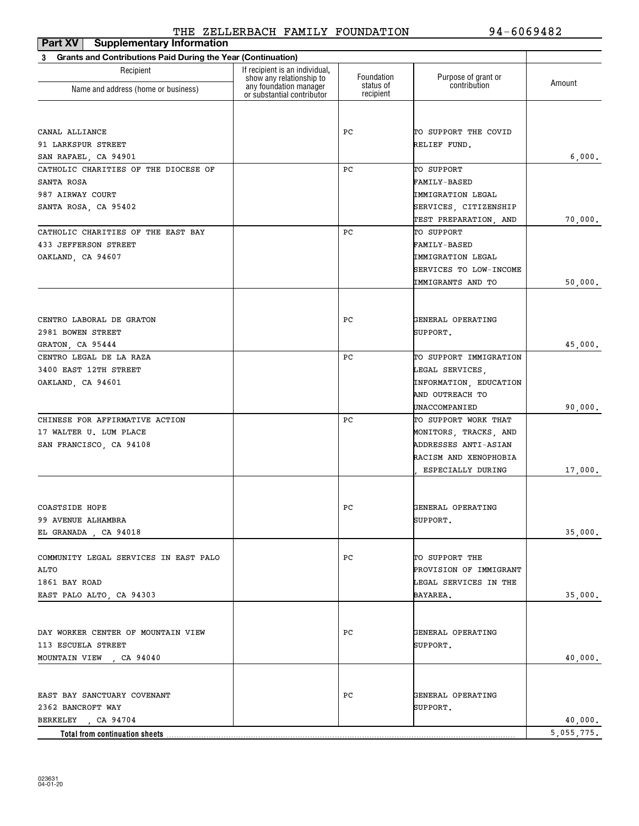| <b>Supplementary Information</b><br>Part XV                              |                                                            |                         |                                     |            |
|--------------------------------------------------------------------------|------------------------------------------------------------|-------------------------|-------------------------------------|------------|
| <b>Grants and Contributions Paid During the Year (Continuation)</b><br>3 |                                                            |                         |                                     |            |
| Recipient                                                                | If recipient is an individual,<br>show any relationship to | Foundation<br>status of | Purpose of grant or<br>contribution | Amount     |
| Name and address (home or business)                                      | any foundation manager<br>or substantial contributor       | recipient               |                                     |            |
|                                                                          |                                                            |                         |                                     |            |
| CANAL ALLIANCE                                                           |                                                            | РC                      | TO SUPPORT THE COVID                |            |
| 91 LARKSPUR STREET                                                       |                                                            |                         | RELIEF FUND.                        |            |
| SAN RAFAEL, CA 94901                                                     |                                                            |                         |                                     | 6,000.     |
| CATHOLIC CHARITIES OF THE DIOCESE OF                                     |                                                            | РC                      | TO SUPPORT                          |            |
| SANTA ROSA                                                               |                                                            |                         | <b>FAMILY-BASED</b>                 |            |
| 987 AIRWAY COURT                                                         |                                                            |                         | IMMIGRATION LEGAL                   |            |
| SANTA ROSA, CA 95402                                                     |                                                            |                         | SERVICES, CITIZENSHIP               |            |
|                                                                          |                                                            |                         | TEST PREPARATION, AND               | 70,000.    |
| CATHOLIC CHARITIES OF THE EAST BAY<br>433 JEFFERSON STREET               |                                                            | РC                      | TO SUPPORT<br><b>FAMILY-BASED</b>   |            |
| OAKLAND, CA 94607                                                        |                                                            |                         | IMMIGRATION LEGAL                   |            |
|                                                                          |                                                            |                         | SERVICES TO LOW-INCOME              |            |
|                                                                          |                                                            |                         | IMMIGRANTS AND TO                   | 50,000.    |
|                                                                          |                                                            |                         |                                     |            |
| CENTRO LABORAL DE GRATON                                                 |                                                            | РC                      | GENERAL OPERATING                   |            |
| 2981 BOWEN STREET                                                        |                                                            |                         | SUPPORT.                            |            |
| GRATON, CA 95444                                                         |                                                            |                         |                                     | 45,000.    |
| CENTRO LEGAL DE LA RAZA                                                  |                                                            | РC                      | TO SUPPORT IMMIGRATION              |            |
| 3400 EAST 12TH STREET                                                    |                                                            |                         | LEGAL SERVICES,                     |            |
| OAKLAND, CA 94601                                                        |                                                            |                         | INFORMATION, EDUCATION              |            |
|                                                                          |                                                            |                         | AND OUTREACH TO                     |            |
|                                                                          |                                                            |                         | UNACCOMPANIED                       | 90,000.    |
| CHINESE FOR AFFIRMATIVE ACTION                                           |                                                            | РC                      | TO SUPPORT WORK THAT                |            |
| 17 WALTER U. LUM PLACE                                                   |                                                            |                         | MONITORS, TRACKS, AND               |            |
| SAN FRANCISCO, CA 94108                                                  |                                                            |                         | ADDRESSES ANTI-ASIAN                |            |
|                                                                          |                                                            |                         | RACISM AND XENOPHOBIA               |            |
|                                                                          |                                                            |                         | ESPECIALLY DURING                   | 17,000.    |
| COASTSIDE HOPE                                                           |                                                            | PC                      | GENERAL OPERATING                   |            |
| 99 AVENUE ALHAMBRA                                                       |                                                            |                         | SUPPORT.                            |            |
| EL GRANADA, CA 94018                                                     |                                                            |                         |                                     | 35,000.    |
|                                                                          |                                                            |                         |                                     |            |
| COMMUNITY LEGAL SERVICES IN EAST PALO                                    |                                                            | PС                      | TO SUPPORT THE                      |            |
| ALTO                                                                     |                                                            |                         | PROVISION OF IMMIGRANT              |            |
| 1861 BAY ROAD                                                            |                                                            |                         | LEGAL SERVICES IN THE               |            |
| EAST PALO ALTO, CA 94303                                                 |                                                            |                         | BAYAREA.                            | 35,000.    |
| DAY WORKER CENTER OF MOUNTAIN VIEW                                       |                                                            | PС                      | GENERAL OPERATING                   |            |
| 113 ESCUELA STREET                                                       |                                                            |                         | SUPPORT.                            |            |
| MOUNTAIN VIEW, CA 94040                                                  |                                                            |                         |                                     | 40,000.    |
|                                                                          |                                                            |                         |                                     |            |
| EAST BAY SANCTUARY COVENANT                                              |                                                            | PС                      | GENERAL OPERATING                   |            |
| 2362 BANCROFT WAY                                                        |                                                            |                         | SUPPORT.                            |            |
| BERKELEY , CA 94704                                                      |                                                            |                         |                                     | 40,000.    |
| Total from continuation sheets                                           |                                                            |                         |                                     | 5,055,775. |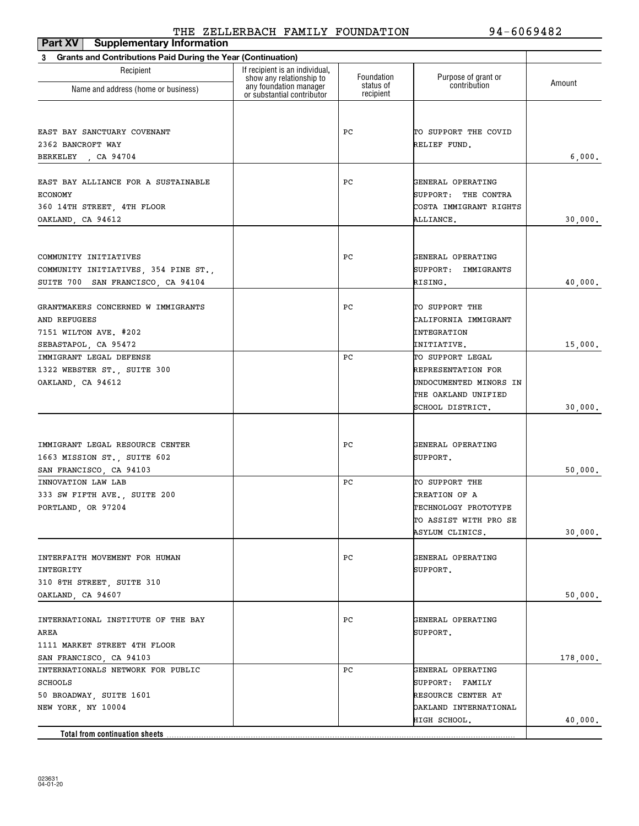| <b>Supplementary Information</b><br>Part XV                              |                                                            |                        |                                                    |          |
|--------------------------------------------------------------------------|------------------------------------------------------------|------------------------|----------------------------------------------------|----------|
| <b>Grants and Contributions Paid During the Year (Continuation)</b><br>3 |                                                            |                        |                                                    |          |
| Recipient                                                                | If recipient is an individual.<br>show any relationship to | Foundation             | Purpose of grant or<br>contribution                | Amount   |
| Name and address (home or business)                                      | any foundation manager<br>or substantial contributor       | status of<br>recipient |                                                    |          |
|                                                                          |                                                            |                        |                                                    |          |
| EAST BAY SANCTUARY COVENANT                                              |                                                            | РC                     | TO SUPPORT THE COVID                               |          |
| 2362 BANCROFT WAY                                                        |                                                            |                        | RELIEF FUND.                                       |          |
| BERKELEY , CA 94704                                                      |                                                            |                        |                                                    | 6,000.   |
|                                                                          |                                                            |                        |                                                    |          |
| EAST BAY ALLIANCE FOR A SUSTAINABLE                                      |                                                            | РC                     | GENERAL OPERATING                                  |          |
| <b>ECONOMY</b>                                                           |                                                            |                        | SUPPORT: THE CONTRA                                |          |
| 360 14TH STREET, 4TH FLOOR                                               |                                                            |                        | COSTA IMMIGRANT RIGHTS                             |          |
| OAKLAND, CA 94612                                                        |                                                            |                        | ALLIANCE.                                          | 30,000.  |
|                                                                          |                                                            |                        |                                                    |          |
| COMMUNITY INITIATIVES                                                    |                                                            | РC                     | GENERAL OPERATING                                  |          |
| COMMUNITY INITIATIVES, 354 PINE ST.,                                     |                                                            |                        | SUPPORT: IMMIGRANTS                                |          |
| SUITE 700 SAN FRANCISCO, CA 94104                                        |                                                            |                        | RISING.                                            | 40,000.  |
|                                                                          |                                                            |                        |                                                    |          |
| GRANTMAKERS CONCERNED W IMMIGRANTS                                       |                                                            | РC                     | TO SUPPORT THE                                     |          |
| AND REFUGEES                                                             |                                                            |                        | CALIFORNIA IMMIGRANT                               |          |
| 7151 WILTON AVE. #202                                                    |                                                            |                        | INTEGRATION                                        |          |
| SEBASTAPOL, CA 95472                                                     |                                                            |                        | INITIATIVE.                                        | 15,000.  |
| IMMIGRANT LEGAL DEFENSE                                                  |                                                            | РC                     | TO SUPPORT LEGAL                                   |          |
| 1322 WEBSTER ST., SUITE 300                                              |                                                            |                        | REPRESENTATION FOR                                 |          |
| OAKLAND, CA 94612                                                        |                                                            |                        | UNDOCUMENTED MINORS IN                             |          |
|                                                                          |                                                            |                        | THE OAKLAND UNIFIED                                |          |
|                                                                          |                                                            |                        | SCHOOL DISTRICT.                                   | 30,000.  |
|                                                                          |                                                            |                        |                                                    |          |
| IMMIGRANT LEGAL RESOURCE CENTER                                          |                                                            | РC                     | GENERAL OPERATING                                  |          |
| 1663 MISSION ST., SUITE 602                                              |                                                            |                        | SUPPORT.                                           |          |
| SAN FRANCISCO, CA 94103                                                  |                                                            |                        |                                                    | 50,000.  |
| INNOVATION LAW LAB                                                       |                                                            | РC                     | TO SUPPORT THE                                     |          |
| 333 SW FIFTH AVE., SUITE 200                                             |                                                            |                        | CREATION OF A                                      |          |
| PORTLAND, OR 97204                                                       |                                                            |                        | TECHNOLOGY PROTOTYPE                               |          |
|                                                                          |                                                            |                        | TO ASSIST WITH PRO SE                              |          |
|                                                                          |                                                            |                        | ASYLUM CLINICS.                                    | 30,000.  |
|                                                                          |                                                            |                        |                                                    |          |
| INTERFAITH MOVEMENT FOR HUMAN                                            |                                                            | PС                     | GENERAL OPERATING                                  |          |
| INTEGRITY                                                                |                                                            |                        | SUPPORT.                                           |          |
| 310 8TH STREET, SUITE 310                                                |                                                            |                        |                                                    |          |
| OAKLAND, CA 94607                                                        |                                                            |                        |                                                    | 50,000.  |
|                                                                          |                                                            |                        |                                                    |          |
| INTERNATIONAL INSTITUTE OF THE BAY                                       |                                                            | PС                     | GENERAL OPERATING                                  |          |
| AREA                                                                     |                                                            |                        | SUPPORT.                                           |          |
| 1111 MARKET STREET 4TH FLOOR                                             |                                                            |                        |                                                    |          |
| SAN FRANCISCO, CA 94103                                                  |                                                            | РC                     |                                                    | 178,000. |
| INTERNATIONALS NETWORK FOR PUBLIC                                        |                                                            |                        | GENERAL OPERATING                                  |          |
| <b>SCHOOLS</b>                                                           |                                                            |                        | SUPPORT: FAMILY                                    |          |
| 50 BROADWAY, SUITE 1601<br>NEW YORK, NY 10004                            |                                                            |                        | <b>RESOURCE CENTER AT</b><br>OAKLAND INTERNATIONAL |          |
|                                                                          |                                                            |                        | HIGH SCHOOL.                                       | 40,000.  |
| Total from continuation sheets                                           |                                                            |                        |                                                    |          |
|                                                                          |                                                            |                        |                                                    |          |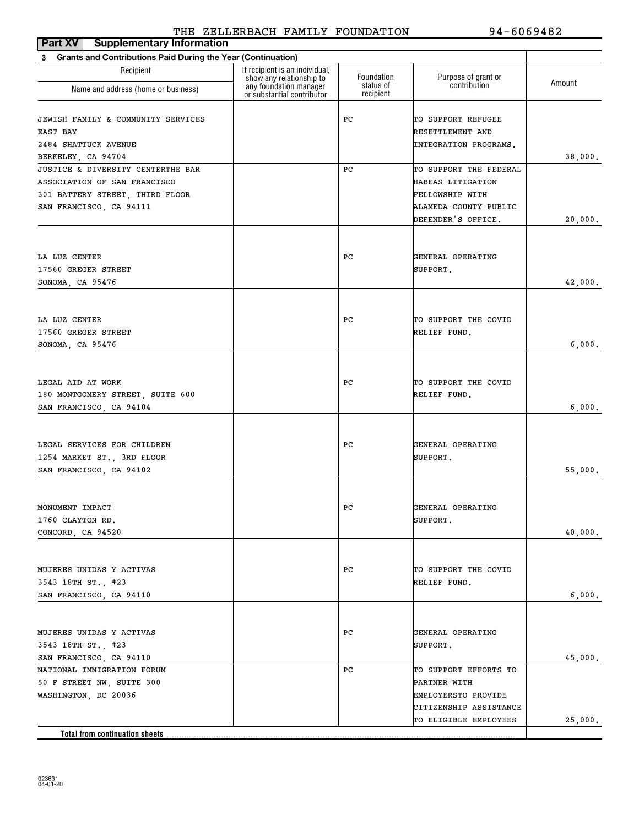| Part XV<br><b>Supplementary Information</b>                                                                                     |                                                            |                         |                                                                                                               |         |
|---------------------------------------------------------------------------------------------------------------------------------|------------------------------------------------------------|-------------------------|---------------------------------------------------------------------------------------------------------------|---------|
| <b>Grants and Contributions Paid During the Year (Continuation)</b><br>3                                                        |                                                            |                         |                                                                                                               |         |
| Recipient                                                                                                                       | If recipient is an individual,<br>show any relationship to | Foundation<br>status of | Purpose of grant or<br>contribution                                                                           | Amount  |
| Name and address (home or business)                                                                                             | any foundation manager<br>or substantial contributor       | recipient               |                                                                                                               |         |
| JEWISH FAMILY & COMMUNITY SERVICES<br>EAST BAY<br>2484 SHATTUCK AVENUE<br>BERKELEY, CA 94704                                    |                                                            | РC                      | TO SUPPORT REFUGEE<br>RESETTLEMENT AND<br>INTEGRATION PROGRAMS.                                               | 38,000. |
| JUSTICE & DIVERSITY CENTERTHE BAR<br>ASSOCIATION OF SAN FRANCISCO<br>301 BATTERY STREET, THIRD FLOOR<br>SAN FRANCISCO, CA 94111 |                                                            | РC                      | TO SUPPORT THE FEDERAL<br>HABEAS LITIGATION<br>FELLOWSHIP WITH<br>ALAMEDA COUNTY PUBLIC<br>DEFENDER'S OFFICE. | 20,000. |
| LA LUZ CENTER<br>17560 GREGER STREET<br>SONOMA, CA 95476                                                                        |                                                            | РC                      | GENERAL OPERATING<br>SUPPORT.                                                                                 | 42,000. |
| LA LUZ CENTER<br>17560 GREGER STREET<br>SONOMA, CA 95476                                                                        |                                                            | PС                      | TO SUPPORT THE COVID<br>RELIEF FUND.                                                                          | 6,000.  |
| LEGAL AID AT WORK<br>180 MONTGOMERY STREET, SUITE 600<br>SAN FRANCISCO, CA 94104                                                |                                                            | РC                      | TO SUPPORT THE COVID<br>RELIEF FUND.                                                                          | 6,000.  |
| LEGAL SERVICES FOR CHILDREN<br>1254 MARKET ST., 3RD FLOOR<br>SAN FRANCISCO, CA 94102                                            |                                                            | РC                      | GENERAL OPERATING<br>SUPPORT.                                                                                 | 55,000. |
| MONUMENT IMPACT<br>1760 CLAYTON RD.<br>CONCORD, CA 94520                                                                        |                                                            | $_{\rm PC}$             | GENERAL OPERATING<br>SUPPORT.                                                                                 | 40,000. |
| MUJERES UNIDAS Y ACTIVAS<br>3543 18TH ST., #23<br>SAN FRANCISCO, CA 94110                                                       |                                                            | PС                      | TO SUPPORT THE COVID<br>RELIEF FUND.                                                                          | 6,000.  |
| MUJERES UNIDAS Y ACTIVAS<br>3543 18TH ST., #23<br>SAN FRANCISCO, CA 94110                                                       |                                                            | PС                      | GENERAL OPERATING<br>SUPPORT.                                                                                 | 45,000. |
| NATIONAL IMMIGRATION FORUM<br>50 F STREET NW, SUITE 300<br>WASHINGTON, DC 20036                                                 |                                                            | PС                      | TO SUPPORT EFFORTS TO<br>PARTNER WITH<br>EMPLOYERSTO PROVIDE<br>CITIZENSHIP ASSISTANCE                        |         |
| Total from continuation sheets.                                                                                                 |                                                            |                         | TO ELIGIBLE EMPLOYEES                                                                                         | 25,000. |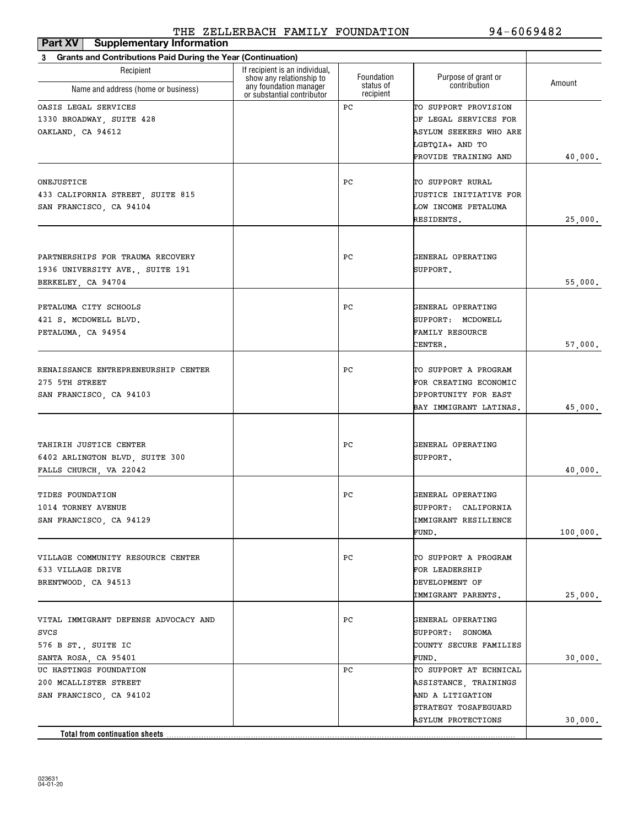| <b>Supplementary Information</b><br>Part XV                                                 |                                                                                      |                         |                                                                                                                    |          |
|---------------------------------------------------------------------------------------------|--------------------------------------------------------------------------------------|-------------------------|--------------------------------------------------------------------------------------------------------------------|----------|
| <b>Grants and Contributions Paid During the Year (Continuation)</b><br>3                    |                                                                                      |                         |                                                                                                                    |          |
| Recipient                                                                                   | If recipient is an individual,<br>show any relationship to<br>any foundation manager | Foundation<br>status of | Purpose of grant or<br>contribution                                                                                | Amount   |
| Name and address (home or business)                                                         | or substantial contributor                                                           | recipient               |                                                                                                                    |          |
| OASIS LEGAL SERVICES<br>1330 BROADWAY, SUITE 428<br>OAKLAND, CA 94612                       |                                                                                      | РC                      | TO SUPPORT PROVISION<br>OF LEGAL SERVICES FOR<br>ASYLUM SEEKERS WHO ARE<br>LGBTQIA+ AND TO<br>PROVIDE TRAINING AND | 40,000.  |
| ONEJUSTICE<br>433 CALIFORNIA STREET, SUITE 815<br>SAN FRANCISCO, CA 94104                   |                                                                                      | РC                      | TO SUPPORT RURAL<br><b>JUSTICE INITIATIVE FOR</b><br>LOW INCOME PETALUMA<br>RESIDENTS.                             | 25,000.  |
| PARTNERSHIPS FOR TRAUMA RECOVERY<br>1936 UNIVERSITY AVE., SUITE 191<br>BERKELEY, CA 94704   |                                                                                      | РC                      | GENERAL OPERATING<br>SUPPORT.                                                                                      | 55,000.  |
| PETALUMA CITY SCHOOLS<br>421 S. MCDOWELL BLVD.<br>PETALUMA, CA 94954                        |                                                                                      | РC                      | GENERAL OPERATING<br>SUPPORT: MCDOWELL<br><b>FAMILY RESOURCE</b><br>CENTER.                                        | 57,000.  |
| RENAISSANCE ENTREPRENEURSHIP CENTER<br>275 5TH STREET<br>SAN FRANCISCO, CA 94103            |                                                                                      | РC                      | TO SUPPORT A PROGRAM<br>FOR CREATING ECONOMIC<br>OPPORTUNITY FOR EAST<br>BAY IMMIGRANT LATINAS.                    | 45,000.  |
| TAHIRIH JUSTICE CENTER<br>6402 ARLINGTON BLVD, SUITE 300<br>FALLS CHURCH, VA 22042          |                                                                                      | РC                      | GENERAL OPERATING<br>SUPPORT.                                                                                      | 40,000.  |
| TIDES FOUNDATION<br>1014 TORNEY AVENUE<br>SAN FRANCISCO, CA 94129                           |                                                                                      | РC                      | GENERAL OPERATING<br>SUPPORT: CALIFORNIA<br>IMMIGRANT RESILIENCE<br>FUND.                                          | 100,000. |
| VILLAGE COMMUNITY RESOURCE CENTER<br>633 VILLAGE DRIVE<br>BRENTWOOD, CA 94513               |                                                                                      | РC                      | TO SUPPORT A PROGRAM<br>FOR LEADERSHIP<br>DEVELOPMENT OF<br>IMMIGRANT PARENTS.                                     | 25,000.  |
| VITAL IMMIGRANT DEFENSE ADVOCACY AND<br>svcs<br>576 B ST., SUITE IC<br>SANTA ROSA, CA 95401 |                                                                                      | РC                      | GENERAL OPERATING<br>SUPPORT: SONOMA<br>COUNTY SECURE FAMILIES<br>FUND.                                            | 30,000.  |
| UC HASTINGS FOUNDATION<br>200 MCALLISTER STREET<br>SAN FRANCISCO, CA 94102                  |                                                                                      | PС                      | TO SUPPORT AT ECHNICAL<br>ASSISTANCE, TRAININGS<br>AND A LITIGATION<br>STRATEGY TOSAFEGUARD                        |          |
| Total from continuation sheets                                                              |                                                                                      |                         | ASYLUM PROTECTIONS                                                                                                 | 30,000.  |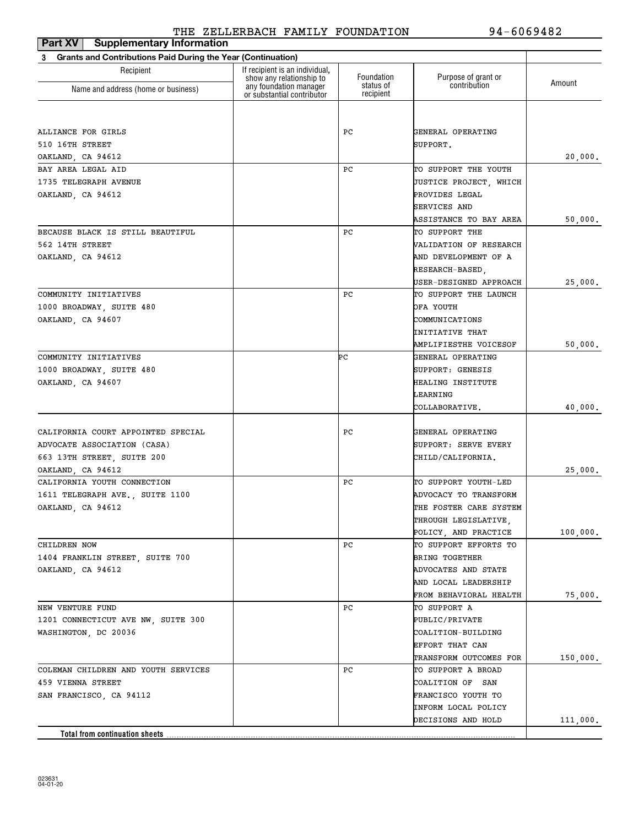| <b>Supplementary Information</b><br>Part XV                              |                                                            |                        |                        |          |
|--------------------------------------------------------------------------|------------------------------------------------------------|------------------------|------------------------|----------|
| <b>Grants and Contributions Paid During the Year (Continuation)</b><br>3 |                                                            |                        |                        |          |
| Recipient                                                                | If recipient is an individual,<br>show any relationship to | Foundation             | Purpose of grant or    | Amount   |
| Name and address (home or business)                                      | any foundation manager<br>or substantial contributor       | status of<br>recipient | contribution           |          |
|                                                                          |                                                            |                        |                        |          |
| ALLIANCE FOR GIRLS                                                       |                                                            | РC                     | GENERAL OPERATING      |          |
| 510 16TH STREET                                                          |                                                            |                        | SUPPORT.               |          |
| OAKLAND, CA 94612                                                        |                                                            |                        |                        | 20,000.  |
| BAY AREA LEGAL AID                                                       |                                                            | РC                     | TO SUPPORT THE YOUTH   |          |
| 1735 TELEGRAPH AVENUE                                                    |                                                            |                        | JUSTICE PROJECT, WHICH |          |
| OAKLAND, CA 94612                                                        |                                                            |                        | PROVIDES LEGAL         |          |
|                                                                          |                                                            |                        | <b>SERVICES AND</b>    |          |
|                                                                          |                                                            |                        | ASSISTANCE TO BAY AREA | 50,000.  |
| BECAUSE BLACK IS STILL BEAUTIFUL                                         |                                                            | РC                     | TO SUPPORT THE         |          |
| 562 14TH STREET                                                          |                                                            |                        | VALIDATION OF RESEARCH |          |
| OAKLAND, CA 94612                                                        |                                                            |                        | AND DEVELOPMENT OF A   |          |
|                                                                          |                                                            |                        | RESEARCH-BASED,        |          |
|                                                                          |                                                            |                        | USER-DESIGNED APPROACH | 25,000.  |
| COMMUNITY INITIATIVES                                                    |                                                            | РC                     | TO SUPPORT THE LAUNCH  |          |
| 1000 BROADWAY, SUITE 480                                                 |                                                            |                        | OFA YOUTH              |          |
| OAKLAND, CA 94607                                                        |                                                            |                        | COMMUNICATIONS         |          |
|                                                                          |                                                            |                        | INITIATIVE THAT        |          |
|                                                                          |                                                            |                        | AMPLIFIESTHE VOICESOF  | 50,000.  |
| COMMUNITY INITIATIVES                                                    |                                                            | ÞС                     | GENERAL OPERATING      |          |
| 1000 BROADWAY, SUITE 480                                                 |                                                            |                        | SUPPORT: GENESIS       |          |
| OAKLAND, CA 94607                                                        |                                                            |                        | HEALING INSTITUTE      |          |
|                                                                          |                                                            |                        | LEARNING               |          |
|                                                                          |                                                            |                        | COLLABORATIVE.         | 40,000.  |
| CALIFORNIA COURT APPOINTED SPECIAL                                       |                                                            | РC                     | GENERAL OPERATING      |          |
| ADVOCATE ASSOCIATION (CASA)                                              |                                                            |                        | SUPPORT: SERVE EVERY   |          |
| 663 13TH STREET, SUITE 200                                               |                                                            |                        | CHILD/CALIFORNIA.      |          |
| OAKLAND, CA 94612                                                        |                                                            |                        |                        | 25,000.  |
| CALIFORNIA YOUTH CONNECTION                                              |                                                            | РC                     | TO SUPPORT YOUTH-LED   |          |
| 1611 TELEGRAPH AVE., SUITE 1100                                          |                                                            |                        | ADVOCACY TO TRANSFORM  |          |
| OAKLAND, CA 94612                                                        |                                                            |                        | THE FOSTER CARE SYSTEM |          |
|                                                                          |                                                            |                        | THROUGH LEGISLATIVE,   |          |
|                                                                          |                                                            |                        | POLICY, AND PRACTICE   | 100,000. |
| CHILDREN NOW                                                             |                                                            | РC                     | TO SUPPORT EFFORTS TO  |          |
| 1404 FRANKLIN STREET, SUITE 700                                          |                                                            |                        | BRING TOGETHER         |          |
| OAKLAND, CA 94612                                                        |                                                            |                        | ADVOCATES AND STATE    |          |
|                                                                          |                                                            |                        | AND LOCAL LEADERSHIP   |          |
|                                                                          |                                                            |                        | FROM BEHAVIORAL HEALTH | 75,000.  |
| NEW VENTURE FUND                                                         |                                                            | РC                     | TO SUPPORT A           |          |
| 1201 CONNECTICUT AVE NW, SUITE 300                                       |                                                            |                        | <b>PUBLIC/PRIVATE</b>  |          |
| WASHINGTON, DC 20036                                                     |                                                            |                        | COALITION-BUILDING     |          |
|                                                                          |                                                            |                        | EFFORT THAT CAN        |          |
|                                                                          |                                                            |                        | TRANSFORM OUTCOMES FOR | 150,000. |
| COLEMAN CHILDREN AND YOUTH SERVICES                                      |                                                            | PС                     | TO SUPPORT A BROAD     |          |
| 459 VIENNA STREET                                                        |                                                            |                        | COALITION OF SAN       |          |
| SAN FRANCISCO, CA 94112                                                  |                                                            |                        | FRANCISCO YOUTH TO     |          |
|                                                                          |                                                            |                        | INFORM LOCAL POLICY    |          |
|                                                                          |                                                            |                        | DECISIONS AND HOLD     | 111,000. |
| Total from continuation sheets                                           |                                                            |                        |                        |          |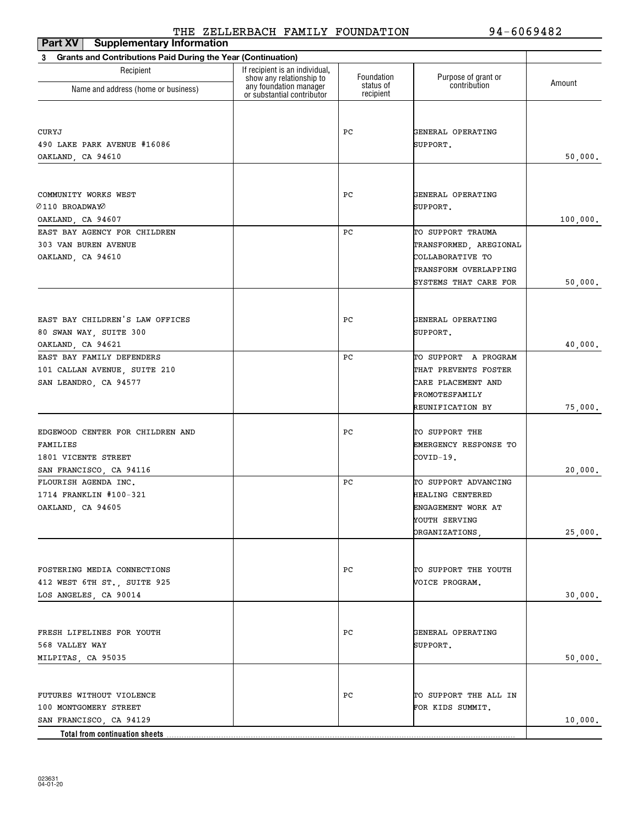| <b>Supplementary Information</b><br>Part XV                              |                                                            |                        |                                     |          |
|--------------------------------------------------------------------------|------------------------------------------------------------|------------------------|-------------------------------------|----------|
| <b>Grants and Contributions Paid During the Year (Continuation)</b><br>3 |                                                            |                        |                                     |          |
| Recipient                                                                | If recipient is an individual,<br>show any relationship to | Foundation             | Purpose of grant or<br>contribution | Amount   |
| Name and address (home or business)                                      | any foundation manager<br>or substantial contributor       | status of<br>recipient |                                     |          |
|                                                                          |                                                            |                        |                                     |          |
| CURYJ                                                                    |                                                            | РC                     | GENERAL OPERATING                   |          |
| 490 LAKE PARK AVENUE #16086                                              |                                                            |                        | SUPPORT.                            |          |
| OAKLAND, CA 94610                                                        |                                                            |                        |                                     | 50,000.  |
|                                                                          |                                                            |                        |                                     |          |
| COMMUNITY WORKS WEST                                                     |                                                            | РC                     | GENERAL OPERATING                   |          |
| 0110 BROADWAYO                                                           |                                                            |                        | SUPPORT.                            |          |
| OAKLAND, CA 94607                                                        |                                                            |                        |                                     | 100,000. |
| EAST BAY AGENCY FOR CHILDREN                                             |                                                            | РC                     | TO SUPPORT TRAUMA                   |          |
| 303 VAN BUREN AVENUE                                                     |                                                            |                        | TRANSFORMED, AREGIONAL              |          |
| OAKLAND, CA 94610                                                        |                                                            |                        | COLLABORATIVE TO                    |          |
|                                                                          |                                                            |                        | TRANSFORM OVERLAPPING               |          |
|                                                                          |                                                            |                        | SYSTEMS THAT CARE FOR               | 50,000.  |
|                                                                          |                                                            |                        |                                     |          |
| EAST BAY CHILDREN'S LAW OFFICES                                          |                                                            | РC                     | GENERAL OPERATING                   |          |
| 80 SWAN WAY, SUITE 300                                                   |                                                            |                        | SUPPORT.                            |          |
| OAKLAND, CA 94621                                                        |                                                            |                        |                                     | 40,000.  |
| EAST BAY FAMILY DEFENDERS                                                |                                                            | РC                     | TO SUPPORT A PROGRAM                |          |
| 101 CALLAN AVENUE, SUITE 210                                             |                                                            |                        | THAT PREVENTS FOSTER                |          |
| SAN LEANDRO, CA 94577                                                    |                                                            |                        | CARE PLACEMENT AND                  |          |
|                                                                          |                                                            |                        | PROMOTESFAMILY                      |          |
|                                                                          |                                                            |                        | REUNIFICATION BY                    | 75,000.  |
| EDGEWOOD CENTER FOR CHILDREN AND                                         |                                                            | РC                     | TO SUPPORT THE                      |          |
| FAMILIES                                                                 |                                                            |                        | EMERGENCY RESPONSE TO               |          |
| 1801 VICENTE STREET                                                      |                                                            |                        | COVID-19.                           |          |
| SAN FRANCISCO, CA 94116                                                  |                                                            |                        |                                     | 20,000.  |
| FLOURISH AGENDA INC.                                                     |                                                            | РC                     | TO SUPPORT ADVANCING                |          |
| 1714 FRANKLIN #100-321                                                   |                                                            |                        | HEALING CENTERED                    |          |
| OAKLAND, CA 94605                                                        |                                                            |                        | ENGAGEMENT WORK AT                  |          |
|                                                                          |                                                            |                        | YOUTH SERVING                       |          |
|                                                                          |                                                            |                        | ORGANIZATIONS,                      | 25,000.  |
|                                                                          |                                                            |                        |                                     |          |
| FOSTERING MEDIA CONNECTIONS                                              |                                                            | PС                     | TO SUPPORT THE YOUTH                |          |
| 412 WEST 6TH ST., SUITE 925                                              |                                                            |                        | VOICE PROGRAM.                      |          |
| LOS ANGELES, CA 90014                                                    |                                                            |                        |                                     | 30,000.  |
|                                                                          |                                                            |                        |                                     |          |
| FRESH LIFELINES FOR YOUTH                                                |                                                            | PC                     | GENERAL OPERATING                   |          |
| 568 VALLEY WAY                                                           |                                                            |                        | SUPPORT.                            |          |
| MILPITAS, CA 95035                                                       |                                                            |                        |                                     | 50,000.  |
|                                                                          |                                                            |                        |                                     |          |
| FUTURES WITHOUT VIOLENCE                                                 |                                                            | РC                     | TO SUPPORT THE ALL IN               |          |
| 100 MONTGOMERY STREET                                                    |                                                            |                        | FOR KIDS SUMMIT.                    |          |
| SAN FRANCISCO, CA 94129                                                  |                                                            |                        |                                     | 10,000.  |
| <b>Total from continuation sheets</b>                                    |                                                            |                        |                                     |          |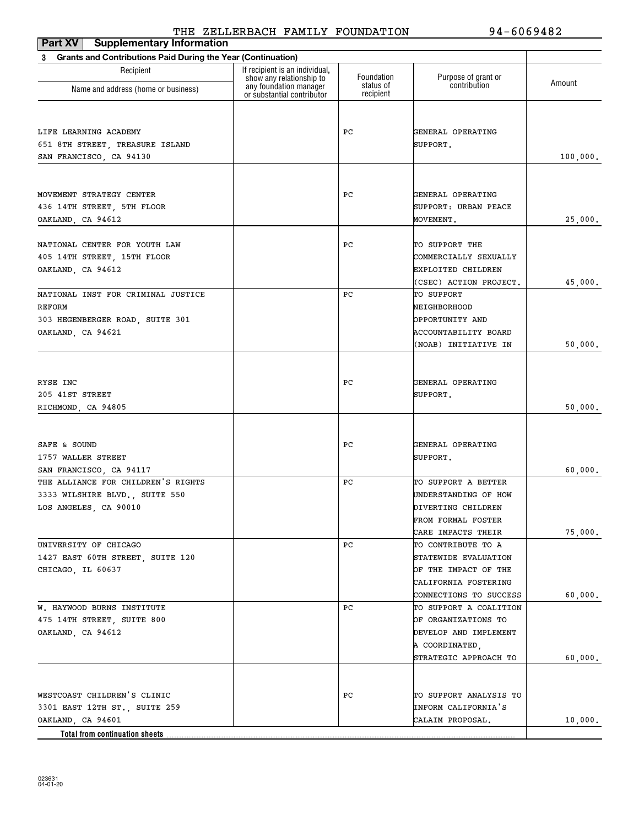| Part XV<br><b>Supplementary Information</b>                              |                                                            |                        |                                          |          |
|--------------------------------------------------------------------------|------------------------------------------------------------|------------------------|------------------------------------------|----------|
| <b>Grants and Contributions Paid During the Year (Continuation)</b><br>3 |                                                            |                        |                                          |          |
| Recipient                                                                | If recipient is an individual,<br>show any relationship to | Foundation             | Purpose of grant or                      | Amount   |
| Name and address (home or business)                                      | any foundation manager<br>or substantial contributor       | status of<br>recipient | contribution                             |          |
|                                                                          |                                                            |                        |                                          |          |
| LIFE LEARNING ACADEMY                                                    |                                                            | РC                     | GENERAL OPERATING                        |          |
| 651 8TH STREET, TREASURE ISLAND                                          |                                                            |                        | SUPPORT.                                 |          |
| SAN FRANCISCO, CA 94130                                                  |                                                            |                        |                                          | 100,000. |
|                                                                          |                                                            |                        |                                          |          |
| MOVEMENT STRATEGY CENTER                                                 |                                                            | РC                     | GENERAL OPERATING                        |          |
| 436 14TH STREET, 5TH FLOOR                                               |                                                            |                        | SUPPORT: URBAN PEACE                     |          |
| OAKLAND, CA 94612                                                        |                                                            |                        | MOVEMENT.                                | 25,000.  |
| NATIONAL CENTER FOR YOUTH LAW                                            |                                                            | РC                     | TO SUPPORT THE                           |          |
| 405 14TH STREET, 15TH FLOOR                                              |                                                            |                        | COMMERCIALLY SEXUALLY                    |          |
| OAKLAND, CA 94612                                                        |                                                            |                        | EXPLOITED CHILDREN                       |          |
|                                                                          |                                                            |                        | (CSEC) ACTION PROJECT.                   | 45,000.  |
| NATIONAL INST FOR CRIMINAL JUSTICE                                       |                                                            | РC                     | TO SUPPORT                               |          |
| REFORM                                                                   |                                                            |                        | NEIGHBORHOOD                             |          |
| 303 HEGENBERGER ROAD, SUITE 301                                          |                                                            |                        | OPPORTUNITY AND                          |          |
| OAKLAND, CA 94621                                                        |                                                            |                        | ACCOUNTABILITY BOARD                     |          |
|                                                                          |                                                            |                        | (NOAB) INITIATIVE IN                     | 50,000.  |
|                                                                          |                                                            |                        |                                          |          |
| RYSE INC                                                                 |                                                            | РC                     | GENERAL OPERATING                        |          |
| 205 41ST STREET                                                          |                                                            |                        | SUPPORT.                                 |          |
| RICHMOND, CA 94805                                                       |                                                            |                        |                                          | 50,000.  |
|                                                                          |                                                            |                        |                                          |          |
|                                                                          |                                                            |                        |                                          |          |
| SAFE & SOUND                                                             |                                                            | РC                     | GENERAL OPERATING                        |          |
| 1757 WALLER STREET                                                       |                                                            |                        | SUPPORT.                                 |          |
| SAN FRANCISCO, CA 94117                                                  |                                                            |                        |                                          | 60,000.  |
| THE ALLIANCE FOR CHILDREN'S RIGHTS                                       |                                                            | РC                     | TO SUPPORT A BETTER                      |          |
| 3333 WILSHIRE BLVD., SUITE 550                                           |                                                            |                        | UNDERSTANDING OF HOW                     |          |
| LOS ANGELES, CA 90010                                                    |                                                            |                        | DIVERTING CHILDREN                       |          |
|                                                                          |                                                            |                        | FROM FORMAL FOSTER                       |          |
| UNIVERSITY OF CHICAGO                                                    |                                                            | РC                     | CARE IMPACTS THEIR<br>TO CONTRIBUTE TO A | 75,000.  |
|                                                                          |                                                            |                        | STATEWIDE EVALUATION                     |          |
| 1427 EAST 60TH STREET, SUITE 120<br>CHICAGO, IL 60637                    |                                                            |                        | OF THE IMPACT OF THE                     |          |
|                                                                          |                                                            |                        | CALIFORNIA FOSTERING                     |          |
|                                                                          |                                                            |                        | CONNECTIONS TO SUCCESS                   | 60,000.  |
| W. HAYWOOD BURNS INSTITUTE                                               |                                                            | РC                     | TO SUPPORT A COALITION                   |          |
| 475 14TH STREET, SUITE 800                                               |                                                            |                        | OF ORGANIZATIONS TO                      |          |
| OAKLAND, CA 94612                                                        |                                                            |                        | DEVELOP AND IMPLEMENT                    |          |
|                                                                          |                                                            |                        | A COORDINATED,                           |          |
|                                                                          |                                                            |                        | STRATEGIC APPROACH TO                    | 60,000.  |
|                                                                          |                                                            |                        |                                          |          |
| WESTCOAST CHILDREN'S CLINIC                                              |                                                            | РC                     | TO SUPPORT ANALYSIS TO                   |          |
| 3301 EAST 12TH ST., SUITE 259                                            |                                                            |                        | INFORM CALIFORNIA'S                      |          |
| OAKLAND, CA 94601                                                        |                                                            |                        | CALAIM PROPOSAL.                         | 10,000.  |
| Total from continuation sheets                                           |                                                            |                        |                                          |          |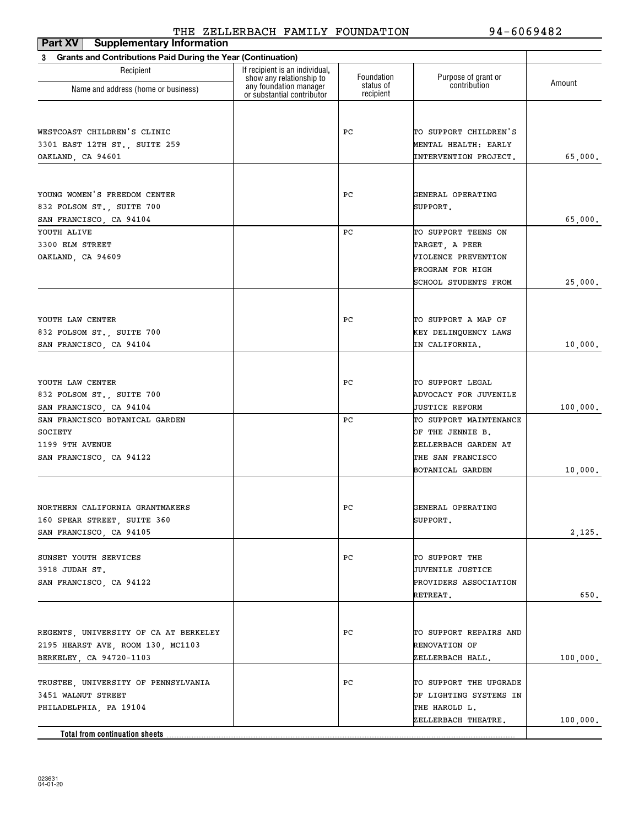| Part XV   Supplementary Information                               |                                                            |                        |                        |          |
|-------------------------------------------------------------------|------------------------------------------------------------|------------------------|------------------------|----------|
| Grants and Contributions Paid During the Year (Continuation)<br>3 |                                                            |                        |                        |          |
| Recipient                                                         | If recipient is an individual,<br>show any relationship to | Foundation             | Purpose of grant or    | Amount   |
| Name and address (home or business)                               | any foundation manager<br>or substantial contributor       | status of<br>recipient | contribution           |          |
|                                                                   |                                                            |                        |                        |          |
|                                                                   |                                                            |                        |                        |          |
| WESTCOAST CHILDREN'S CLINIC                                       |                                                            | PС                     | TO SUPPORT CHILDREN'S  |          |
| 3301 EAST 12TH ST., SUITE 259                                     |                                                            |                        | MENTAL HEALTH: EARLY   |          |
| OAKLAND, CA 94601                                                 |                                                            |                        | INTERVENTION PROJECT.  | 65,000.  |
|                                                                   |                                                            |                        |                        |          |
| YOUNG WOMEN'S FREEDOM CENTER                                      |                                                            | PС                     | GENERAL OPERATING      |          |
| 832 FOLSOM ST., SUITE 700                                         |                                                            |                        | SUPPORT.               |          |
| SAN FRANCISCO, CA 94104                                           |                                                            |                        |                        | 65,000.  |
| YOUTH ALIVE                                                       |                                                            | РC                     | TO SUPPORT TEENS ON    |          |
| 3300 ELM STREET                                                   |                                                            |                        | TARGET, A PEER         |          |
| OAKLAND, CA 94609                                                 |                                                            |                        | VIOLENCE PREVENTION    |          |
|                                                                   |                                                            |                        | PROGRAM FOR HIGH       |          |
|                                                                   |                                                            |                        | SCHOOL STUDENTS FROM   | 25,000.  |
|                                                                   |                                                            |                        |                        |          |
|                                                                   |                                                            |                        |                        |          |
| YOUTH LAW CENTER                                                  |                                                            | PС                     | TO SUPPORT A MAP OF    |          |
| 832 FOLSOM ST., SUITE 700                                         |                                                            |                        | KEY DELINQUENCY LAWS   |          |
| SAN FRANCISCO, CA 94104                                           |                                                            |                        | IN CALIFORNIA.         | 10,000.  |
|                                                                   |                                                            |                        |                        |          |
| YOUTH LAW CENTER                                                  |                                                            | PС                     | TO SUPPORT LEGAL       |          |
| 832 FOLSOM ST., SUITE 700                                         |                                                            |                        | ADVOCACY FOR JUVENILE  |          |
| SAN FRANCISCO, CA 94104                                           |                                                            |                        | JUSTICE REFORM         | 100,000. |
| SAN FRANCISCO BOTANICAL GARDEN                                    |                                                            | РC                     | TO SUPPORT MAINTENANCE |          |
| SOCIETY                                                           |                                                            |                        | OF THE JENNIE B.       |          |
| 1199 9TH AVENUE                                                   |                                                            |                        | ZELLERBACH GARDEN AT   |          |
| SAN FRANCISCO, CA 94122                                           |                                                            |                        | THE SAN FRANCISCO      |          |
|                                                                   |                                                            |                        | BOTANICAL GARDEN       | 10,000.  |
|                                                                   |                                                            |                        |                        |          |
| NORTHERN CALIFORNIA GRANTMAKERS                                   |                                                            | PС                     | GENERAL OPERATING      |          |
| 160 SPEAR STREET, SUITE 360                                       |                                                            |                        | SUPPORT.               |          |
| SAN FRANCISCO, CA 94105                                           |                                                            |                        |                        | 2,125.   |
|                                                                   |                                                            |                        |                        |          |
| SUNSET YOUTH SERVICES                                             |                                                            | PС                     | TO SUPPORT THE         |          |
| 3918 JUDAH ST.                                                    |                                                            |                        | JUVENILE JUSTICE       |          |
| SAN FRANCISCO, CA 94122                                           |                                                            |                        | PROVIDERS ASSOCIATION  |          |
|                                                                   |                                                            |                        | RETREAT.               | 650.     |
|                                                                   |                                                            |                        |                        |          |
| REGENTS, UNIVERSITY OF CA AT BERKELEY                             |                                                            | PС                     | TO SUPPORT REPAIRS AND |          |
| 2195 HEARST AVE, ROOM 130, MC1103                                 |                                                            |                        | <b>RENOVATION OF</b>   |          |
| BERKELEY, CA 94720-1103                                           |                                                            |                        | ZELLERBACH HALL.       |          |
|                                                                   |                                                            |                        |                        | 100,000. |
| TRUSTEE, UNIVERSITY OF PENNSYLVANIA                               |                                                            | PС                     | TO SUPPORT THE UPGRADE |          |
| 3451 WALNUT STREET                                                |                                                            |                        | OF LIGHTING SYSTEMS IN |          |
| PHILADELPHIA, PA 19104                                            |                                                            |                        | THE HAROLD L.          |          |
|                                                                   |                                                            |                        | ZELLERBACH THEATRE.    | 100,000. |
| Total from continuation sheets                                    |                                                            |                        |                        |          |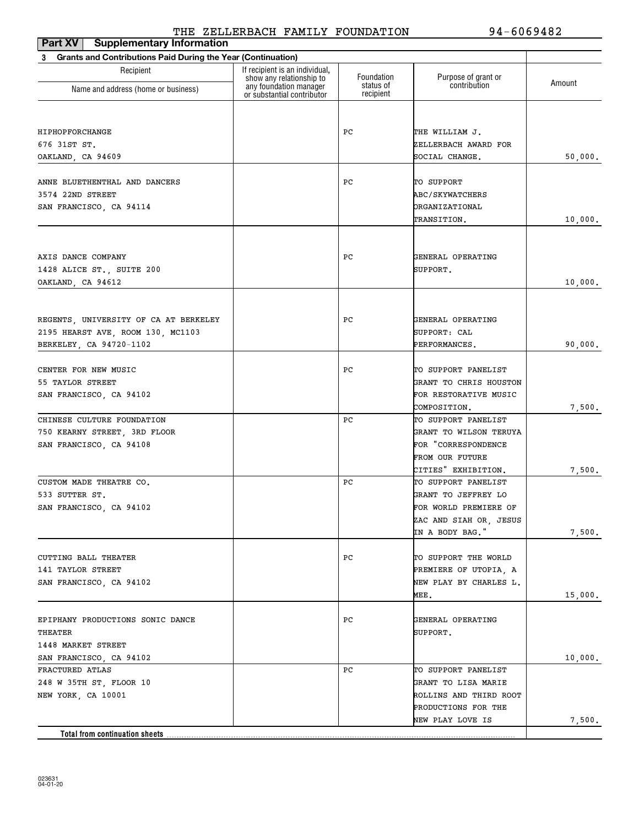| <b>Supplementary Information</b><br>Part XV                       |                                                                                      |                         |                                               |         |
|-------------------------------------------------------------------|--------------------------------------------------------------------------------------|-------------------------|-----------------------------------------------|---------|
| Grants and Contributions Paid During the Year (Continuation)<br>3 |                                                                                      |                         |                                               |         |
| Recipient                                                         | If recipient is an individual,<br>show any relationship to<br>any foundation manager | Foundation<br>status of | Purpose of grant or<br>contribution           | Amount  |
| Name and address (home or business)                               | or substantial contributor                                                           | recipient               |                                               |         |
|                                                                   |                                                                                      |                         |                                               |         |
| HIPHOPFORCHANGE                                                   |                                                                                      | РC                      | THE WILLIAM J.                                |         |
| 676 31ST ST.                                                      |                                                                                      |                         | ZELLERBACH AWARD FOR                          |         |
| OAKLAND, CA 94609                                                 |                                                                                      |                         | SOCIAL CHANGE.                                | 50,000. |
|                                                                   |                                                                                      |                         |                                               |         |
| ANNE BLUETHENTHAL AND DANCERS                                     |                                                                                      | РC                      | TO SUPPORT                                    |         |
| 3574 22ND STREET                                                  |                                                                                      |                         | <b>ABC/SKYWATCHERS</b>                        |         |
| SAN FRANCISCO, CA 94114                                           |                                                                                      |                         | ORGANIZATIONAL<br>TRANSITION.                 |         |
|                                                                   |                                                                                      |                         |                                               | 10,000. |
|                                                                   |                                                                                      |                         |                                               |         |
| AXIS DANCE COMPANY                                                |                                                                                      | РC                      | GENERAL OPERATING                             |         |
| 1428 ALICE ST., SUITE 200                                         |                                                                                      |                         | SUPPORT.                                      |         |
| OAKLAND, CA 94612                                                 |                                                                                      |                         |                                               | 10,000. |
|                                                                   |                                                                                      |                         |                                               |         |
| REGENTS, UNIVERSITY OF CA AT BERKELEY                             |                                                                                      | РC                      | GENERAL OPERATING                             |         |
| 2195 HEARST AVE, ROOM 130, MC1103                                 |                                                                                      |                         | SUPPORT: CAL                                  |         |
| BERKELEY, CA 94720-1102                                           |                                                                                      |                         | PERFORMANCES.                                 | 90,000. |
|                                                                   |                                                                                      |                         |                                               |         |
| CENTER FOR NEW MUSIC                                              |                                                                                      | РC                      | TO SUPPORT PANELIST                           |         |
| 55 TAYLOR STREET                                                  |                                                                                      |                         | GRANT TO CHRIS HOUSTON                        |         |
| SAN FRANCISCO, CA 94102                                           |                                                                                      |                         | FOR RESTORATIVE MUSIC                         |         |
|                                                                   |                                                                                      |                         | COMPOSITION.                                  | 7,500.  |
| CHINESE CULTURE FOUNDATION                                        |                                                                                      | РC                      | TO SUPPORT PANELIST                           |         |
| 750 KEARNY STREET, 3RD FLOOR                                      |                                                                                      |                         | GRANT TO WILSON TERUYA                        |         |
| SAN FRANCISCO, CA 94108                                           |                                                                                      |                         | FOR "CORRESPONDENCE                           |         |
|                                                                   |                                                                                      |                         | FROM OUR FUTURE                               |         |
|                                                                   |                                                                                      |                         | CITIES" EXHIBITION.                           | 7,500.  |
| CUSTOM MADE THEATRE CO.                                           |                                                                                      | РC                      | TO SUPPORT PANELIST                           |         |
| 533 SUTTER ST.                                                    |                                                                                      |                         | GRANT TO JEFFREY LO                           |         |
| SAN FRANCISCO, CA 94102                                           |                                                                                      |                         | FOR WORLD PREMIERE OF                         |         |
|                                                                   |                                                                                      |                         | ZAC AND SIAH OR, JESUS                        |         |
|                                                                   |                                                                                      |                         | IN A BODY BAG."                               | 7,500.  |
| CUTTING BALL THEATER                                              |                                                                                      | PС                      | TO SUPPORT THE WORLD                          |         |
| 141 TAYLOR STREET                                                 |                                                                                      |                         | PREMIERE OF UTOPIA, A                         |         |
| SAN FRANCISCO, CA 94102                                           |                                                                                      |                         | NEW PLAY BY CHARLES L.                        |         |
|                                                                   |                                                                                      |                         | MEE.                                          | 15,000. |
|                                                                   |                                                                                      |                         |                                               |         |
| EPIPHANY PRODUCTIONS SONIC DANCE                                  |                                                                                      | PС                      | GENERAL OPERATING                             |         |
| THEATER                                                           |                                                                                      |                         | SUPPORT.                                      |         |
| 1448 MARKET STREET                                                |                                                                                      |                         |                                               |         |
| SAN FRANCISCO, CA 94102                                           |                                                                                      |                         |                                               | 10,000. |
| FRACTURED ATLAS                                                   |                                                                                      | РC                      | TO SUPPORT PANELIST                           |         |
| 248 W 35TH ST, FLOOR 10                                           |                                                                                      |                         | GRANT TO LISA MARIE                           |         |
| NEW YORK, CA 10001                                                |                                                                                      |                         | ROLLINS AND THIRD ROOT<br>PRODUCTIONS FOR THE |         |
|                                                                   |                                                                                      |                         | NEW PLAY LOVE IS                              | 7,500.  |
|                                                                   |                                                                                      |                         |                                               |         |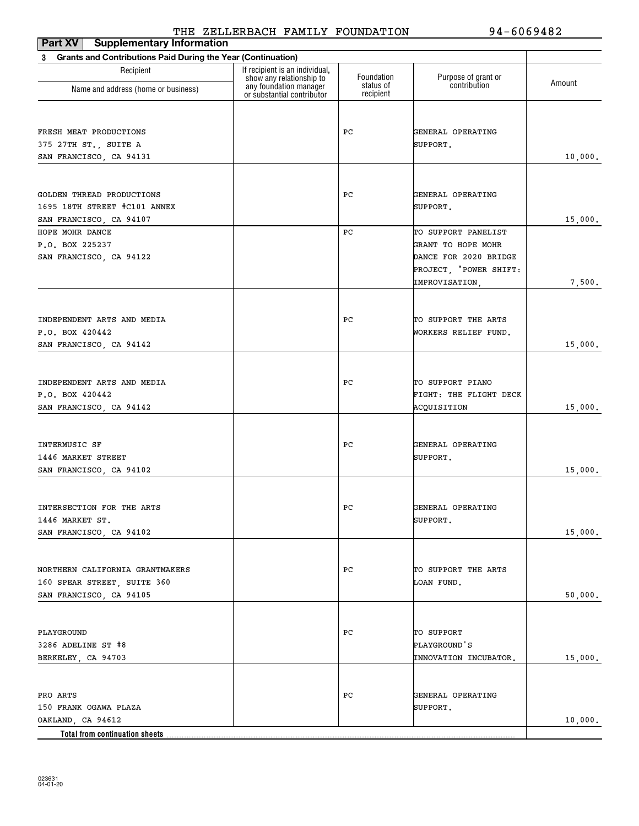| ---- <i>-</i> --<br>Part XV   Supplementary Information                  |                                                            |                        |                        |         |
|--------------------------------------------------------------------------|------------------------------------------------------------|------------------------|------------------------|---------|
| <b>Grants and Contributions Paid During the Year (Continuation)</b><br>3 |                                                            |                        |                        |         |
| Recipient                                                                | If recipient is an individual,<br>show any relationship to | Foundation             | Purpose of grant or    | Amount  |
| Name and address (home or business)                                      | any foundation manager<br>or substantial contributor       | status of<br>recipient | contribution           |         |
|                                                                          |                                                            |                        |                        |         |
| FRESH MEAT PRODUCTIONS                                                   |                                                            | PС                     | GENERAL OPERATING      |         |
| 375 27TH ST., SUITE A                                                    |                                                            |                        | SUPPORT.               |         |
| SAN FRANCISCO, CA 94131                                                  |                                                            |                        |                        |         |
|                                                                          |                                                            |                        |                        | 10,000. |
|                                                                          |                                                            |                        |                        |         |
| GOLDEN THREAD PRODUCTIONS                                                |                                                            | РC                     | GENERAL OPERATING      |         |
| 1695 18TH STREET #C101 ANNEX                                             |                                                            |                        | SUPPORT.               |         |
| SAN FRANCISCO, CA 94107                                                  |                                                            |                        |                        | 15,000. |
| HOPE MOHR DANCE                                                          |                                                            | РC                     | TO SUPPORT PANELIST    |         |
| P.O. BOX 225237                                                          |                                                            |                        | GRANT TO HOPE MOHR     |         |
| SAN FRANCISCO, CA 94122                                                  |                                                            |                        | DANCE FOR 2020 BRIDGE  |         |
|                                                                          |                                                            |                        | PROJECT, "POWER SHIFT: |         |
|                                                                          |                                                            |                        | IMPROVISATION,         | 7,500.  |
|                                                                          |                                                            |                        |                        |         |
| INDEPENDENT ARTS AND MEDIA                                               |                                                            | РC                     | TO SUPPORT THE ARTS    |         |
| P.O. BOX 420442                                                          |                                                            |                        | WORKERS RELIEF FUND.   |         |
| SAN FRANCISCO, CA 94142                                                  |                                                            |                        |                        | 15,000. |
|                                                                          |                                                            |                        |                        |         |
|                                                                          |                                                            |                        |                        |         |
| INDEPENDENT ARTS AND MEDIA                                               |                                                            | PС                     | TO SUPPORT PIANO       |         |
| P.O. BOX 420442                                                          |                                                            |                        | FIGHT: THE FLIGHT DECK |         |
| SAN FRANCISCO, CA 94142                                                  |                                                            |                        | ACQUISITION            | 15,000. |
|                                                                          |                                                            |                        |                        |         |
| INTERMUSIC SF                                                            |                                                            | PС                     | GENERAL OPERATING      |         |
| 1446 MARKET STREET                                                       |                                                            |                        | SUPPORT.               |         |
| SAN FRANCISCO, CA 94102                                                  |                                                            |                        |                        | 15,000. |
|                                                                          |                                                            |                        |                        |         |
|                                                                          |                                                            |                        |                        |         |
| INTERSECTION FOR THE ARTS                                                |                                                            | PС                     | GENERAL OPERATING      |         |
| 1446 MARKET ST.                                                          |                                                            |                        | SUPPORT.               |         |
| SAN FRANCISCO, CA 94102                                                  |                                                            |                        |                        | 15,000. |
|                                                                          |                                                            |                        |                        |         |
| NORTHERN CALIFORNIA GRANTMAKERS                                          |                                                            | PС                     | TO SUPPORT THE ARTS    |         |
| 160 SPEAR STREET, SUITE 360                                              |                                                            |                        | LOAN FUND.             |         |
| SAN FRANCISCO, CA 94105                                                  |                                                            |                        |                        | 50,000. |
|                                                                          |                                                            |                        |                        |         |
|                                                                          |                                                            |                        |                        |         |
| PLAYGROUND                                                               |                                                            | PС                     | TO SUPPORT             |         |
| 3286 ADELINE ST #8                                                       |                                                            |                        | PLAYGROUND'S           |         |
| BERKELEY, CA 94703                                                       |                                                            |                        | INNOVATION INCUBATOR.  | 15,000. |
|                                                                          |                                                            |                        |                        |         |
| PRO ARTS                                                                 |                                                            | PС                     | GENERAL OPERATING      |         |
| 150 FRANK OGAWA PLAZA                                                    |                                                            |                        | SUPPORT.               |         |
| OAKLAND, CA 94612                                                        |                                                            |                        |                        | 10,000. |
| Total from continuation sheets                                           |                                                            |                        |                        |         |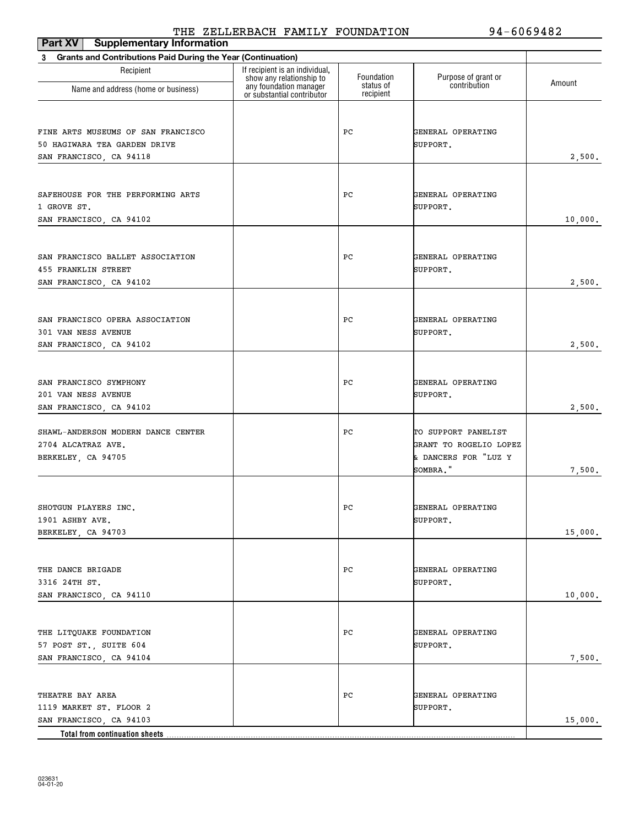| Part XV<br><b>Supplementary Information</b>                              |                                                                                      |                         |                                     |         |
|--------------------------------------------------------------------------|--------------------------------------------------------------------------------------|-------------------------|-------------------------------------|---------|
| <b>Grants and Contributions Paid During the Year (Continuation)</b><br>3 |                                                                                      |                         |                                     |         |
| Recipient                                                                | If recipient is an individual,<br>show any relationship to<br>any foundation manager | Foundation<br>status of | Purpose of grant or<br>contribution | Amount  |
| Name and address (home or business)                                      | or substantial contributor                                                           | recipient               |                                     |         |
|                                                                          |                                                                                      |                         |                                     |         |
| FINE ARTS MUSEUMS OF SAN FRANCISCO                                       |                                                                                      | РC                      | GENERAL OPERATING                   |         |
| 50 HAGIWARA TEA GARDEN DRIVE                                             |                                                                                      |                         | SUPPORT.                            |         |
| SAN FRANCISCO, CA 94118                                                  |                                                                                      |                         |                                     | 2,500.  |
|                                                                          |                                                                                      |                         |                                     |         |
| SAFEHOUSE FOR THE PERFORMING ARTS                                        |                                                                                      | PC                      | GENERAL OPERATING                   |         |
| 1 GROVE ST.                                                              |                                                                                      |                         | SUPPORT.                            |         |
| SAN FRANCISCO, CA 94102                                                  |                                                                                      |                         |                                     | 10,000. |
|                                                                          |                                                                                      |                         |                                     |         |
| SAN FRANCISCO BALLET ASSOCIATION                                         |                                                                                      | РC                      | GENERAL OPERATING                   |         |
| 455 FRANKLIN STREET                                                      |                                                                                      |                         | SUPPORT.                            |         |
| SAN FRANCISCO, CA 94102                                                  |                                                                                      |                         |                                     | 2,500.  |
|                                                                          |                                                                                      |                         |                                     |         |
| SAN FRANCISCO OPERA ASSOCIATION                                          |                                                                                      |                         |                                     |         |
| 301 VAN NESS AVENUE                                                      |                                                                                      | РC                      | GENERAL OPERATING<br>SUPPORT.       |         |
| SAN FRANCISCO, CA 94102                                                  |                                                                                      |                         |                                     | 2,500.  |
|                                                                          |                                                                                      |                         |                                     |         |
|                                                                          |                                                                                      |                         |                                     |         |
| SAN FRANCISCO SYMPHONY                                                   |                                                                                      | РC                      | GENERAL OPERATING                   |         |
| 201 VAN NESS AVENUE<br>SAN FRANCISCO, CA 94102                           |                                                                                      |                         | SUPPORT.                            | 2,500.  |
|                                                                          |                                                                                      |                         |                                     |         |
| SHAWL-ANDERSON MODERN DANCE CENTER                                       |                                                                                      | РC                      | TO SUPPORT PANELIST                 |         |
| 2704 ALCATRAZ AVE.                                                       |                                                                                      |                         | GRANT TO ROGELIO LOPEZ              |         |
| BERKELEY, CA 94705                                                       |                                                                                      |                         | & DANCERS FOR "LUZ Y<br>SOMBRA."    |         |
|                                                                          |                                                                                      |                         |                                     | 7,500.  |
|                                                                          |                                                                                      |                         |                                     |         |
| SHOTGUN PLAYERS INC.                                                     |                                                                                      | PC                      | GENERAL OPERATING                   |         |
| 1901 ASHBY AVE.                                                          |                                                                                      |                         | SUPPORT.                            |         |
| BERKELEY, CA 94703                                                       |                                                                                      |                         |                                     | 15,000. |
|                                                                          |                                                                                      |                         |                                     |         |
| THE DANCE BRIGADE                                                        |                                                                                      | PC                      | GENERAL OPERATING                   |         |
| 3316 24TH ST.                                                            |                                                                                      |                         | SUPPORT.                            |         |
| SAN FRANCISCO, CA 94110                                                  |                                                                                      |                         |                                     | 10,000. |
|                                                                          |                                                                                      |                         |                                     |         |
| THE LITQUAKE FOUNDATION                                                  |                                                                                      | PC                      | GENERAL OPERATING                   |         |
| 57 POST ST., SUITE 604                                                   |                                                                                      |                         | SUPPORT.                            |         |
| SAN FRANCISCO, CA 94104                                                  |                                                                                      |                         |                                     | 7,500.  |
|                                                                          |                                                                                      |                         |                                     |         |
| THEATRE BAY AREA                                                         |                                                                                      | PC                      | GENERAL OPERATING                   |         |
| 1119 MARKET ST. FLOOR 2                                                  |                                                                                      |                         | SUPPORT.                            |         |
| SAN FRANCISCO, CA 94103                                                  |                                                                                      |                         |                                     | 15,000. |
| <b>Total from continuation sheets</b>                                    |                                                                                      |                         |                                     |         |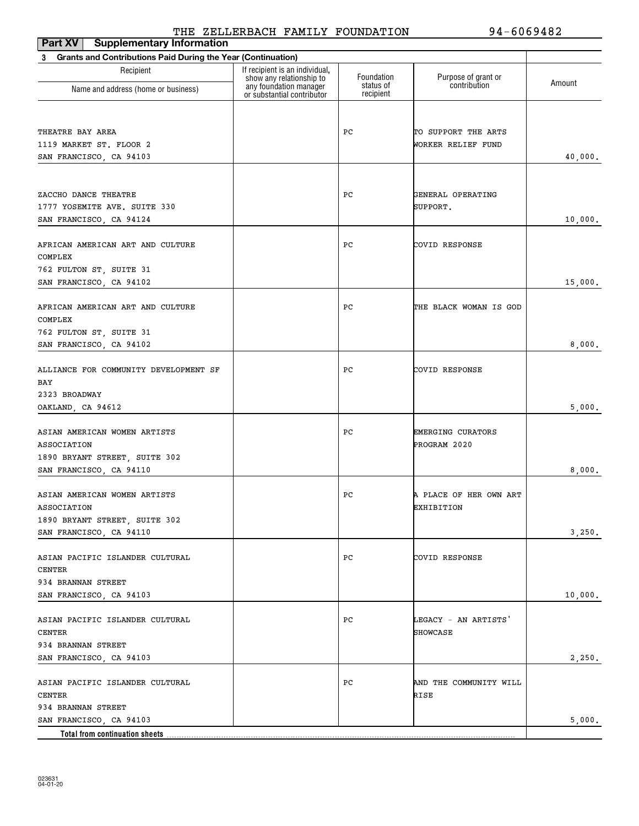| <b>Supplementary Information</b><br>Part XV                              |                                                            |                        |                               |         |
|--------------------------------------------------------------------------|------------------------------------------------------------|------------------------|-------------------------------|---------|
| <b>Grants and Contributions Paid During the Year (Continuation)</b><br>3 |                                                            |                        |                               |         |
| Recipient                                                                | If recipient is an individual,<br>show any relationship to | Foundation             | Purpose of grant or           | Amount  |
| Name and address (home or business)                                      | any foundation manager<br>or substantial contributor       | status of<br>recipient | contribution                  |         |
|                                                                          |                                                            |                        |                               |         |
| THEATRE BAY AREA                                                         |                                                            | РC                     | TO SUPPORT THE ARTS           |         |
| 1119 MARKET ST. FLOOR 2                                                  |                                                            |                        | WORKER RELIEF FUND            |         |
| SAN FRANCISCO, CA 94103                                                  |                                                            |                        |                               | 40,000. |
|                                                                          |                                                            |                        |                               |         |
| ZACCHO DANCE THEATRE                                                     |                                                            | РC                     | GENERAL OPERATING<br>SUPPORT. |         |
| 1777 YOSEMITE AVE. SUITE 330<br>SAN FRANCISCO, CA 94124                  |                                                            |                        |                               | 10,000. |
|                                                                          |                                                            |                        |                               |         |
| AFRICAN AMERICAN ART AND CULTURE                                         |                                                            | РC                     | COVID RESPONSE                |         |
| COMPLEX                                                                  |                                                            |                        |                               |         |
| 762 FULTON ST, SUITE 31                                                  |                                                            |                        |                               |         |
| SAN FRANCISCO, CA 94102                                                  |                                                            |                        |                               | 15,000. |
|                                                                          |                                                            |                        |                               |         |
| AFRICAN AMERICAN ART AND CULTURE<br>COMPLEX                              |                                                            | РC                     | THE BLACK WOMAN IS GOD        |         |
| 762 FULTON ST, SUITE 31                                                  |                                                            |                        |                               |         |
| SAN FRANCISCO, CA 94102                                                  |                                                            |                        |                               | 8,000.  |
|                                                                          |                                                            |                        |                               |         |
| ALLIANCE FOR COMMUNITY DEVELOPMENT SF                                    |                                                            | РC                     | COVID RESPONSE                |         |
| BAY                                                                      |                                                            |                        |                               |         |
| 2323 BROADWAY                                                            |                                                            |                        |                               |         |
| OAKLAND, CA 94612                                                        |                                                            |                        |                               | 5,000.  |
| ASIAN AMERICAN WOMEN ARTISTS                                             |                                                            | РC                     | <b>EMERGING CURATORS</b>      |         |
| ASSOCIATION                                                              |                                                            |                        | PROGRAM 2020                  |         |
| 1890 BRYANT STREET, SUITE 302                                            |                                                            |                        |                               |         |
| SAN FRANCISCO, CA 94110                                                  |                                                            |                        |                               | 8,000.  |
|                                                                          |                                                            |                        |                               |         |
| ASIAN AMERICAN WOMEN ARTISTS                                             |                                                            | РC                     | A PLACE OF HER OWN ART        |         |
| <b>ASSOCIATION</b>                                                       |                                                            |                        | EXHIBITION                    |         |
| 1890 BRYANT STREET, SUITE 302                                            |                                                            |                        |                               |         |
| SAN FRANCISCO, CA 94110                                                  |                                                            |                        |                               | 3,250.  |
| ASIAN PACIFIC ISLANDER CULTURAL                                          |                                                            | PС                     | COVID RESPONSE                |         |
| <b>CENTER</b>                                                            |                                                            |                        |                               |         |
| 934 BRANNAN STREET                                                       |                                                            |                        |                               |         |
| SAN FRANCISCO, CA 94103                                                  |                                                            |                        |                               | 10,000. |
|                                                                          |                                                            |                        |                               |         |
| ASIAN PACIFIC ISLANDER CULTURAL<br><b>CENTER</b>                         |                                                            | PС                     | LEGACY - AN ARTISTS'          |         |
| 934 BRANNAN STREET                                                       |                                                            |                        | <b>SHOWCASE</b>               |         |
| SAN FRANCISCO, CA 94103                                                  |                                                            |                        |                               | 2,250.  |
|                                                                          |                                                            |                        |                               |         |
| ASIAN PACIFIC ISLANDER CULTURAL                                          |                                                            | PС                     | AND THE COMMUNITY WILL        |         |
| <b>CENTER</b>                                                            |                                                            |                        | RISE                          |         |
| 934 BRANNAN STREET                                                       |                                                            |                        |                               |         |
| SAN FRANCISCO, CA 94103                                                  |                                                            |                        |                               | 5,000.  |
| Total from continuation sheets                                           |                                                            |                        |                               |         |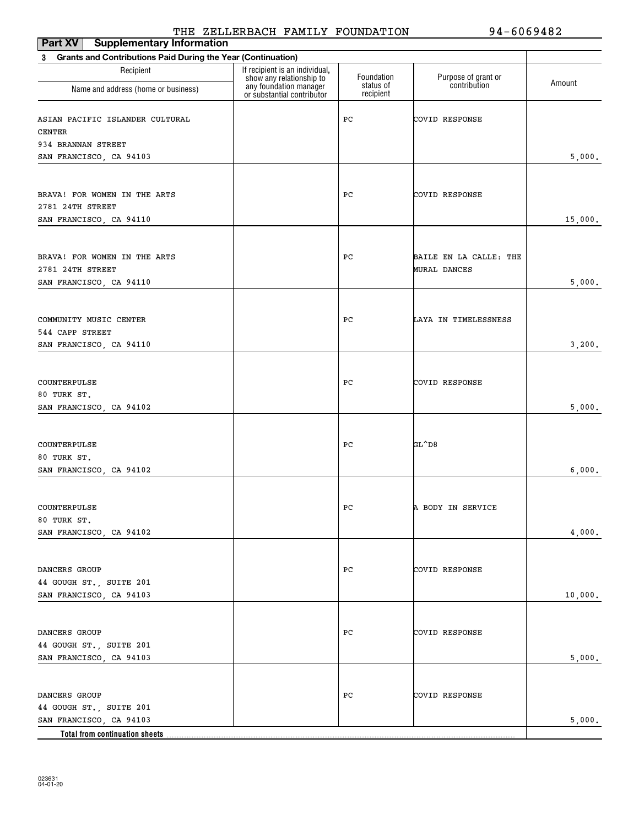| Part XV<br><b>Supplementary Information</b>                              |                                                                                      |                         |                                     |         |
|--------------------------------------------------------------------------|--------------------------------------------------------------------------------------|-------------------------|-------------------------------------|---------|
| <b>Grants and Contributions Paid During the Year (Continuation)</b><br>3 |                                                                                      |                         |                                     |         |
| Recipient                                                                | If recipient is an individual,<br>show any relationship to<br>any foundation manager | Foundation<br>status of | Purpose of grant or<br>contribution | Amount  |
| Name and address (home or business)                                      | or substantial contributor                                                           | recipient               |                                     |         |
| ASIAN PACIFIC ISLANDER CULTURAL<br><b>CENTER</b>                         |                                                                                      | PC                      | COVID RESPONSE                      |         |
| 934 BRANNAN STREET                                                       |                                                                                      |                         |                                     |         |
| SAN FRANCISCO, CA 94103                                                  |                                                                                      |                         |                                     | 5,000.  |
|                                                                          |                                                                                      |                         |                                     |         |
| BRAVA! FOR WOMEN IN THE ARTS                                             |                                                                                      | PC                      | COVID RESPONSE                      |         |
| 2781 24TH STREET                                                         |                                                                                      |                         |                                     |         |
| SAN FRANCISCO, CA 94110                                                  |                                                                                      |                         |                                     | 15,000. |
|                                                                          |                                                                                      |                         |                                     |         |
| BRAVA! FOR WOMEN IN THE ARTS                                             |                                                                                      | PC                      | BAILE EN LA CALLE: THE              |         |
| 2781 24TH STREET                                                         |                                                                                      |                         | <b>MURAL DANCES</b>                 |         |
| SAN FRANCISCO, CA 94110                                                  |                                                                                      |                         |                                     | 5,000.  |
|                                                                          |                                                                                      |                         |                                     |         |
|                                                                          |                                                                                      |                         |                                     |         |
| COMMUNITY MUSIC CENTER                                                   |                                                                                      | РC                      | LAYA IN TIMELESSNESS                |         |
| 544 CAPP STREET                                                          |                                                                                      |                         |                                     |         |
| SAN FRANCISCO, CA 94110                                                  |                                                                                      |                         |                                     | 3,200.  |
|                                                                          |                                                                                      |                         |                                     |         |
| COUNTERPULSE                                                             |                                                                                      | PC                      | COVID RESPONSE                      |         |
| 80 TURK ST.                                                              |                                                                                      |                         |                                     |         |
| SAN FRANCISCO, CA 94102                                                  |                                                                                      |                         |                                     | 5,000.  |
|                                                                          |                                                                                      |                         |                                     |         |
| COUNTERPULSE                                                             |                                                                                      | PC                      | GL^D8                               |         |
| 80 TURK ST.                                                              |                                                                                      |                         |                                     |         |
| SAN FRANCISCO, CA 94102                                                  |                                                                                      |                         |                                     | 6,000.  |
|                                                                          |                                                                                      |                         |                                     |         |
|                                                                          |                                                                                      |                         |                                     |         |
| COUNTERPULSE<br>80 TURK ST.                                              |                                                                                      | PC                      | A BODY IN SERVICE                   |         |
| SAN FRANCISCO, CA 94102                                                  |                                                                                      |                         |                                     | 4,000.  |
|                                                                          |                                                                                      |                         |                                     |         |
|                                                                          |                                                                                      |                         |                                     |         |
| DANCERS GROUP                                                            |                                                                                      | PС                      | COVID RESPONSE                      |         |
| 44 GOUGH ST., SUITE 201<br>SAN FRANCISCO, CA 94103                       |                                                                                      |                         |                                     | 10,000. |
|                                                                          |                                                                                      |                         |                                     |         |
|                                                                          |                                                                                      |                         |                                     |         |
| DANCERS GROUP                                                            |                                                                                      | PС                      | COVID RESPONSE                      |         |
| 44 GOUGH ST., SUITE 201                                                  |                                                                                      |                         |                                     |         |
| SAN FRANCISCO, CA 94103                                                  |                                                                                      |                         |                                     | 5,000.  |
|                                                                          |                                                                                      |                         |                                     |         |
| DANCERS GROUP                                                            |                                                                                      | PС                      | COVID RESPONSE                      |         |
| 44 GOUGH ST., SUITE 201                                                  |                                                                                      |                         |                                     |         |
| SAN FRANCISCO, CA 94103                                                  |                                                                                      |                         |                                     | 5,000.  |
| Total from continuation sheets.                                          |                                                                                      |                         |                                     |         |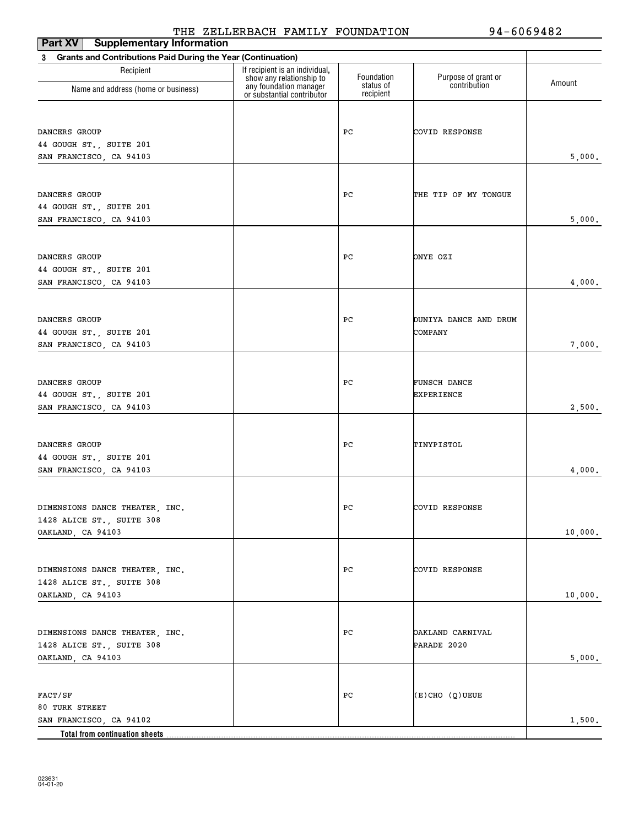| <b>Supplementary Information</b><br><b>Part XV</b>             |                                                            |                        |                         |         |
|----------------------------------------------------------------|------------------------------------------------------------|------------------------|-------------------------|---------|
| 3 Grants and Contributions Paid During the Year (Continuation) |                                                            |                        |                         |         |
| Recipient                                                      | If recipient is an individual,<br>show any relationship to | Foundation             | Purpose of grant or     | Amount  |
| Name and address (home or business)                            | any foundation manager<br>or substantial contributor       | status of<br>recipient | contribution            |         |
|                                                                |                                                            |                        |                         |         |
| DANCERS GROUP                                                  |                                                            | PС                     | COVID RESPONSE          |         |
| 44 GOUGH ST., SUITE 201                                        |                                                            |                        |                         |         |
| SAN FRANCISCO, CA 94103                                        |                                                            |                        |                         | 5,000.  |
| DANCERS GROUP                                                  |                                                            | PС                     | THE TIP OF MY TONGUE    |         |
| 44 GOUGH ST., SUITE 201                                        |                                                            |                        |                         |         |
| SAN FRANCISCO, CA 94103                                        |                                                            |                        |                         | 5,000.  |
|                                                                |                                                            |                        |                         |         |
| DANCERS GROUP                                                  |                                                            | PС                     | ONYE OZI                |         |
| 44 GOUGH ST., SUITE 201                                        |                                                            |                        |                         |         |
| SAN FRANCISCO, CA 94103                                        |                                                            |                        |                         | 4,000.  |
|                                                                |                                                            |                        |                         |         |
| DANCERS GROUP                                                  |                                                            | PС                     | DUNIYA DANCE AND DRUM   |         |
| 44 GOUGH ST., SUITE 201                                        |                                                            |                        | COMPANY                 |         |
| SAN FRANCISCO, CA 94103                                        |                                                            |                        |                         | 7,000.  |
| DANCERS GROUP                                                  |                                                            | PС                     | FUNSCH DANCE            |         |
| 44 GOUGH ST., SUITE 201                                        |                                                            |                        | EXPERIENCE              |         |
| SAN FRANCISCO, CA 94103                                        |                                                            |                        |                         | 2,500.  |
|                                                                |                                                            |                        |                         |         |
| DANCERS GROUP                                                  |                                                            | PС                     | TINYPISTOL              |         |
| 44 GOUGH ST., SUITE 201                                        |                                                            |                        |                         |         |
| SAN FRANCISCO, CA 94103                                        |                                                            |                        |                         | 4,000.  |
|                                                                |                                                            |                        |                         |         |
| DIMENSIONS DANCE THEATER, INC.                                 |                                                            | PC                     | COVID RESPONSE          |         |
| 1428 ALICE ST., SUITE 308<br>OAKLAND, CA 94103                 |                                                            |                        |                         | 10,000. |
|                                                                |                                                            |                        |                         |         |
| DIMENSIONS DANCE THEATER, INC.                                 |                                                            | РC                     | COVID RESPONSE          |         |
| 1428 ALICE ST., SUITE 308                                      |                                                            |                        |                         |         |
| OAKLAND, CA 94103                                              |                                                            |                        |                         | 10,000. |
|                                                                |                                                            |                        |                         |         |
| DIMENSIONS DANCE THEATER, INC.                                 |                                                            | РC                     | <b>DAKLAND CARNIVAL</b> |         |
| 1428 ALICE ST., SUITE 308                                      |                                                            |                        | PARADE 2020             |         |
| OAKLAND, CA 94103                                              |                                                            |                        |                         | 5,000.  |
|                                                                |                                                            |                        |                         |         |
| FACT/SF                                                        |                                                            | PС                     | $(E)$ CHO $(Q)$ UEUE    |         |
| 80 TURK STREET<br>SAN FRANCISCO, CA 94102                      |                                                            |                        |                         | 1,500.  |
| Total from continuation sheets                                 |                                                            |                        |                         |         |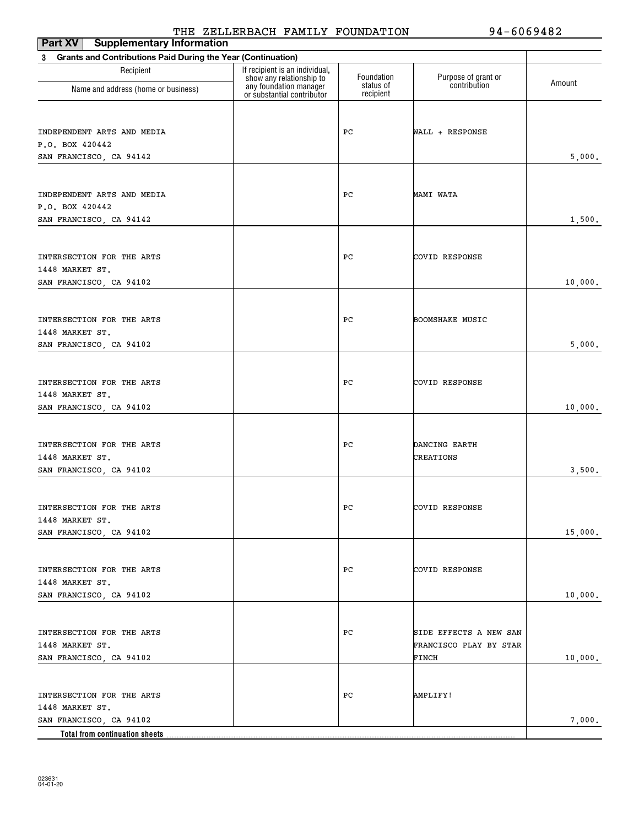| Part XV<br><b>Supplementary Information</b>                       |                                                                                      |                         |                                     |         |
|-------------------------------------------------------------------|--------------------------------------------------------------------------------------|-------------------------|-------------------------------------|---------|
| Grants and Contributions Paid During the Year (Continuation)<br>3 |                                                                                      |                         |                                     |         |
| Recipient                                                         | If recipient is an individual,<br>show any relationship to<br>any foundation manager | Foundation<br>status of | Purpose of grant or<br>contribution | Amount  |
| Name and address (home or business)                               | or substantial contributor                                                           | recipient               |                                     |         |
|                                                                   |                                                                                      |                         |                                     |         |
| INDEPENDENT ARTS AND MEDIA                                        |                                                                                      | РC                      | WALL + RESPONSE                     |         |
| P.O. BOX 420442                                                   |                                                                                      |                         |                                     |         |
| SAN FRANCISCO, CA 94142                                           |                                                                                      |                         |                                     | 5,000.  |
|                                                                   |                                                                                      |                         |                                     |         |
| INDEPENDENT ARTS AND MEDIA                                        |                                                                                      | PС                      | MAMI WATA                           |         |
| P.O. BOX 420442                                                   |                                                                                      |                         |                                     |         |
| SAN FRANCISCO, CA 94142                                           |                                                                                      |                         |                                     | 1,500.  |
|                                                                   |                                                                                      |                         |                                     |         |
| INTERSECTION FOR THE ARTS                                         |                                                                                      | РC                      | COVID RESPONSE                      |         |
| 1448 MARKET ST.                                                   |                                                                                      |                         |                                     |         |
| SAN FRANCISCO, CA 94102                                           |                                                                                      |                         |                                     | 10,000. |
|                                                                   |                                                                                      |                         |                                     |         |
| INTERSECTION FOR THE ARTS                                         |                                                                                      | РC                      | <b>BOOMSHAKE MUSIC</b>              |         |
| 1448 MARKET ST.                                                   |                                                                                      |                         |                                     |         |
| SAN FRANCISCO, CA 94102                                           |                                                                                      |                         |                                     | 5,000.  |
|                                                                   |                                                                                      |                         |                                     |         |
| INTERSECTION FOR THE ARTS                                         |                                                                                      | РC                      | COVID RESPONSE                      |         |
| 1448 MARKET ST.                                                   |                                                                                      |                         |                                     |         |
| SAN FRANCISCO, CA 94102                                           |                                                                                      |                         |                                     | 10,000. |
|                                                                   |                                                                                      |                         |                                     |         |
| INTERSECTION FOR THE ARTS                                         |                                                                                      | РC                      | DANCING EARTH                       |         |
| 1448 MARKET ST.                                                   |                                                                                      |                         | <b>CREATIONS</b>                    |         |
| SAN FRANCISCO, CA 94102                                           |                                                                                      |                         |                                     | 3,500.  |
|                                                                   |                                                                                      |                         |                                     |         |
| INTERSECTION FOR THE ARTS                                         |                                                                                      | $_{\rm PC}$             | COVID RESPONSE                      |         |
| 1448 MARKET ST.                                                   |                                                                                      |                         |                                     |         |
| SAN FRANCISCO, CA 94102                                           |                                                                                      |                         |                                     | 15,000. |
|                                                                   |                                                                                      |                         |                                     |         |
| INTERSECTION FOR THE ARTS                                         |                                                                                      | PС                      | COVID RESPONSE                      |         |
| 1448 MARKET ST.                                                   |                                                                                      |                         |                                     |         |
| SAN FRANCISCO, CA 94102                                           |                                                                                      |                         |                                     | 10,000. |
|                                                                   |                                                                                      |                         |                                     |         |
| INTERSECTION FOR THE ARTS                                         |                                                                                      | PС                      | SIDE EFFECTS A NEW SAN              |         |
| 1448 MARKET ST.                                                   |                                                                                      |                         | FRANCISCO PLAY BY STAR              |         |
| SAN FRANCISCO, CA 94102                                           |                                                                                      |                         | FINCH                               | 10,000. |
|                                                                   |                                                                                      |                         |                                     |         |
| INTERSECTION FOR THE ARTS                                         |                                                                                      | PС                      | <b>AMPLIFY!</b>                     |         |
| 1448 MARKET ST.                                                   |                                                                                      |                         |                                     |         |
| SAN FRANCISCO, CA 94102                                           |                                                                                      |                         |                                     | 7,000.  |
| Total from continuation sheets                                    |                                                                                      |                         |                                     |         |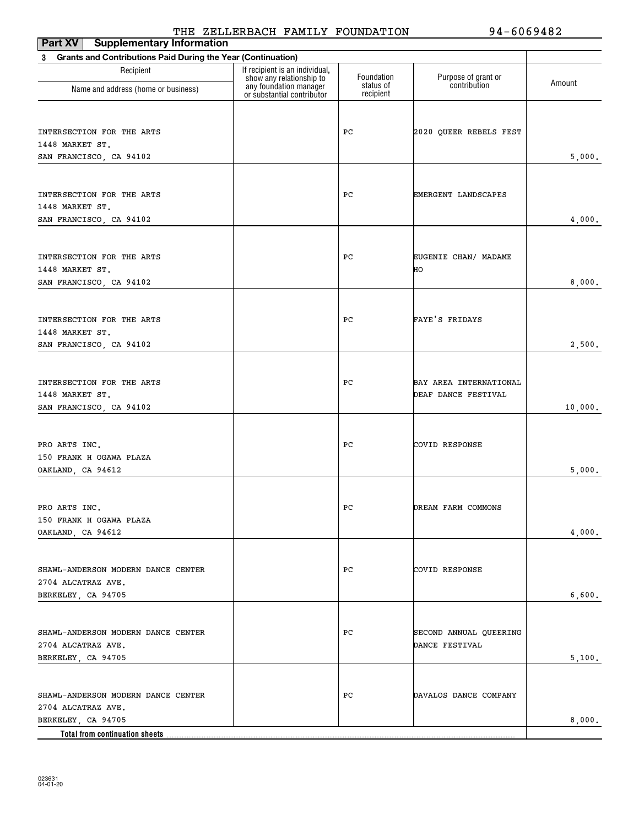| <b>Part XV</b> Supplementary Information                          |                                                            |                        |                            | ---- <i>-</i> -- |
|-------------------------------------------------------------------|------------------------------------------------------------|------------------------|----------------------------|------------------|
| Grants and Contributions Paid During the Year (Continuation)<br>3 |                                                            |                        |                            |                  |
| Recipient                                                         | If recipient is an individual,<br>show any relationship to | Foundation             | Purpose of grant or        | Amount           |
| Name and address (home or business)                               | any foundation manager<br>or substantial contributor       | status of<br>recipient | contribution               |                  |
|                                                                   |                                                            |                        |                            |                  |
| INTERSECTION FOR THE ARTS                                         |                                                            | PС                     | 2020 QUEER REBELS FEST     |                  |
| 1448 MARKET ST.                                                   |                                                            |                        |                            |                  |
| SAN FRANCISCO, CA 94102                                           |                                                            |                        |                            | 5,000.           |
|                                                                   |                                                            |                        |                            |                  |
| INTERSECTION FOR THE ARTS                                         |                                                            | PС                     | EMERGENT LANDSCAPES        |                  |
| 1448 MARKET ST.                                                   |                                                            |                        |                            |                  |
| SAN FRANCISCO, CA 94102                                           |                                                            |                        |                            | 4,000.           |
|                                                                   |                                                            |                        |                            |                  |
| INTERSECTION FOR THE ARTS                                         |                                                            | PС                     |                            |                  |
| 1448 MARKET ST.                                                   |                                                            |                        | EUGENIE CHAN/ MADAME<br>HО |                  |
| SAN FRANCISCO, CA 94102                                           |                                                            |                        |                            | 8,000.           |
|                                                                   |                                                            |                        |                            |                  |
|                                                                   |                                                            |                        |                            |                  |
| INTERSECTION FOR THE ARTS<br>1448 MARKET ST.                      |                                                            | РC                     | FAYE'S FRIDAYS             |                  |
| SAN FRANCISCO, CA 94102                                           |                                                            |                        |                            | 2,500.           |
|                                                                   |                                                            |                        |                            |                  |
|                                                                   |                                                            |                        |                            |                  |
| INTERSECTION FOR THE ARTS                                         |                                                            | PС                     | BAY AREA INTERNATIONAL     |                  |
| 1448 MARKET ST.<br>SAN FRANCISCO, CA 94102                        |                                                            |                        | DEAF DANCE FESTIVAL        | 10,000.          |
|                                                                   |                                                            |                        |                            |                  |
|                                                                   |                                                            |                        |                            |                  |
| PRO ARTS INC.                                                     |                                                            | PС                     | COVID RESPONSE             |                  |
| 150 FRANK H OGAWA PLAZA                                           |                                                            |                        |                            | 5,000.           |
| OAKLAND, CA 94612                                                 |                                                            |                        |                            |                  |
|                                                                   |                                                            |                        |                            |                  |
| PRO ARTS INC.                                                     |                                                            | PС                     | DREAM FARM COMMONS         |                  |
| 150 FRANK H OGAWA PLAZA                                           |                                                            |                        |                            |                  |
| OAKLAND, CA 94612                                                 |                                                            |                        |                            | 4,000.           |
|                                                                   |                                                            |                        |                            |                  |
| SHAWL-ANDERSON MODERN DANCE CENTER                                |                                                            | РC                     | COVID RESPONSE             |                  |
| 2704 ALCATRAZ AVE.                                                |                                                            |                        |                            |                  |
| BERKELEY, CA 94705                                                |                                                            |                        |                            | 6,600.           |
|                                                                   |                                                            |                        |                            |                  |
| SHAWL-ANDERSON MODERN DANCE CENTER                                |                                                            | РC                     | SECOND ANNUAL QUEERING     |                  |
| 2704 ALCATRAZ AVE.                                                |                                                            |                        | DANCE FESTIVAL             |                  |
| BERKELEY, CA 94705                                                |                                                            |                        |                            | 5,100.           |
|                                                                   |                                                            |                        |                            |                  |
| SHAWL-ANDERSON MODERN DANCE CENTER                                |                                                            | PС                     | DAVALOS DANCE COMPANY      |                  |
| 2704 ALCATRAZ AVE.                                                |                                                            |                        |                            |                  |
| BERKELEY, CA 94705                                                |                                                            |                        |                            | 8,000.           |
|                                                                   |                                                            |                        |                            |                  |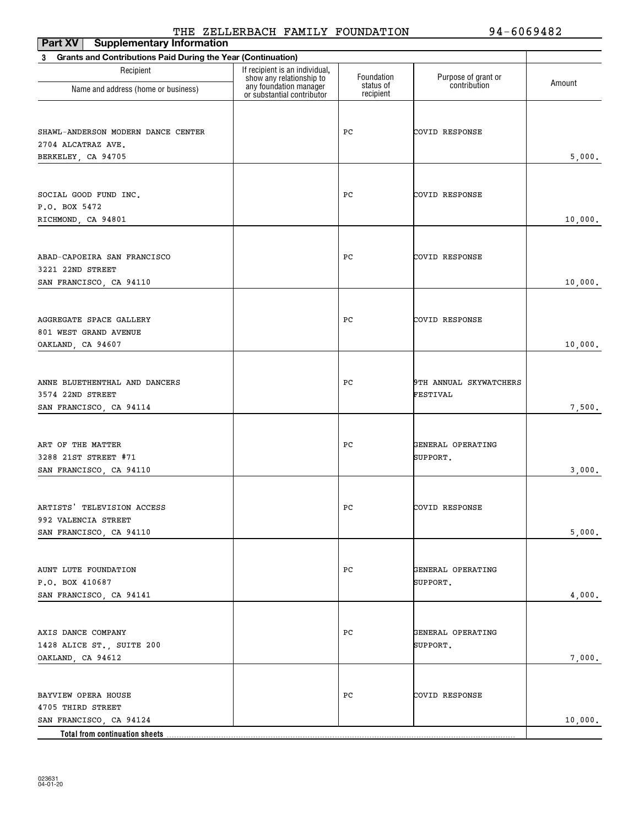| Part XV<br><b>Supplementary Information</b>                              |                                                                                      |                         |                                     |         |
|--------------------------------------------------------------------------|--------------------------------------------------------------------------------------|-------------------------|-------------------------------------|---------|
| <b>Grants and Contributions Paid During the Year (Continuation)</b><br>3 |                                                                                      |                         |                                     |         |
| Recipient                                                                | If recipient is an individual,<br>show any relationship to<br>any foundation manager | Foundation<br>status of | Purpose of grant or<br>contribution | Amount  |
| Name and address (home or business)                                      | or substantial contributor                                                           | recipient               |                                     |         |
|                                                                          |                                                                                      |                         |                                     |         |
| SHAWL-ANDERSON MODERN DANCE CENTER                                       |                                                                                      | PC                      | COVID RESPONSE                      |         |
| 2704 ALCATRAZ AVE.                                                       |                                                                                      |                         |                                     |         |
| BERKELEY, CA 94705                                                       |                                                                                      |                         |                                     | 5,000.  |
|                                                                          |                                                                                      |                         |                                     |         |
| SOCIAL GOOD FUND INC.                                                    |                                                                                      | PC                      | COVID RESPONSE                      |         |
| P.O. BOX 5472                                                            |                                                                                      |                         |                                     |         |
| RICHMOND, CA 94801                                                       |                                                                                      |                         |                                     | 10,000. |
|                                                                          |                                                                                      |                         |                                     |         |
| ABAD-CAPOEIRA SAN FRANCISCO                                              |                                                                                      | PC                      | COVID RESPONSE                      |         |
| 3221 22ND STREET                                                         |                                                                                      |                         |                                     |         |
| SAN FRANCISCO, CA 94110                                                  |                                                                                      |                         |                                     | 10,000. |
|                                                                          |                                                                                      |                         |                                     |         |
| AGGREGATE SPACE GALLERY                                                  |                                                                                      | PC                      | COVID RESPONSE                      |         |
| 801 WEST GRAND AVENUE                                                    |                                                                                      |                         |                                     |         |
| OAKLAND, CA 94607                                                        |                                                                                      |                         |                                     | 10,000. |
|                                                                          |                                                                                      |                         |                                     |         |
| ANNE BLUETHENTHAL AND DANCERS                                            |                                                                                      | PС                      | 9TH ANNUAL SKYWATCHERS              |         |
| 3574 22ND STREET                                                         |                                                                                      |                         | FESTIVAL                            |         |
| SAN FRANCISCO, CA 94114                                                  |                                                                                      |                         |                                     | 7,500.  |
|                                                                          |                                                                                      |                         |                                     |         |
| ART OF THE MATTER                                                        |                                                                                      | PC                      | GENERAL OPERATING                   |         |
| 3288 21ST STREET #71                                                     |                                                                                      |                         | SUPPORT.                            |         |
| SAN FRANCISCO, CA 94110                                                  |                                                                                      |                         |                                     | 3,000.  |
|                                                                          |                                                                                      |                         |                                     |         |
| ARTISTS' TELEVISION ACCESS                                               |                                                                                      | PC                      | COVID RESPONSE                      |         |
| 992 VALENCIA STREET<br>SAN FRANCISCO, CA 94110                           |                                                                                      |                         |                                     | 5,000.  |
|                                                                          |                                                                                      |                         |                                     |         |
|                                                                          |                                                                                      |                         |                                     |         |
| AUNT LUTE FOUNDATION                                                     |                                                                                      | PC                      | GENERAL OPERATING                   |         |
| P.O. BOX 410687<br>SAN FRANCISCO, CA 94141                               |                                                                                      |                         | SUPPORT.                            | 4,000.  |
|                                                                          |                                                                                      |                         |                                     |         |
|                                                                          |                                                                                      |                         |                                     |         |
| AXIS DANCE COMPANY                                                       |                                                                                      | PC                      | GENERAL OPERATING                   |         |
| 1428 ALICE ST., SUITE 200                                                |                                                                                      |                         | SUPPORT.                            |         |
| OAKLAND, CA 94612                                                        |                                                                                      |                         |                                     | 7,000.  |
|                                                                          |                                                                                      |                         |                                     |         |
| BAYVIEW OPERA HOUSE                                                      |                                                                                      | PС                      | COVID RESPONSE                      |         |
| 4705 THIRD STREET<br>SAN FRANCISCO, CA 94124                             |                                                                                      |                         |                                     | 10,000. |
| Total from continuation sheets                                           |                                                                                      |                         |                                     |         |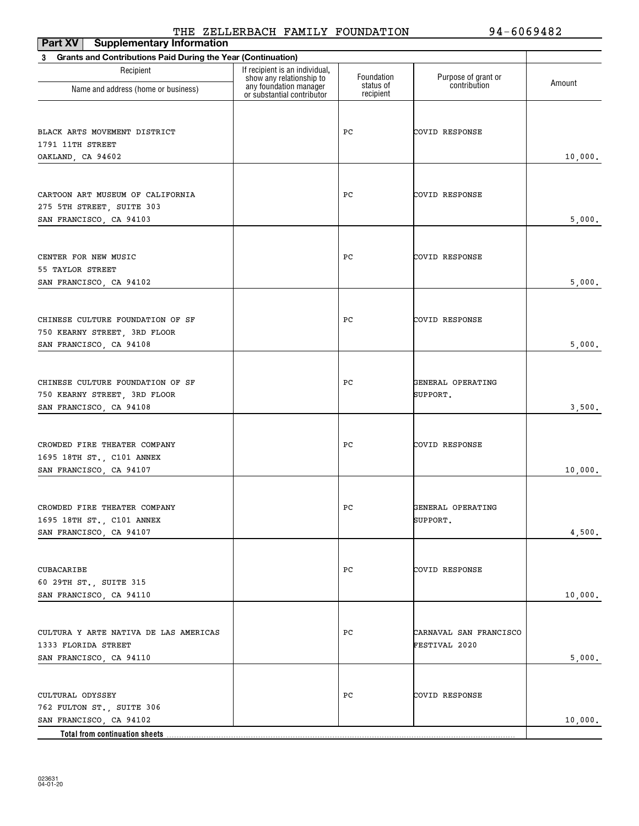| Part XV<br><b>Supplementary Information</b>                              |                                                                                      |                         |                                     |         |
|--------------------------------------------------------------------------|--------------------------------------------------------------------------------------|-------------------------|-------------------------------------|---------|
| <b>Grants and Contributions Paid During the Year (Continuation)</b><br>3 |                                                                                      |                         |                                     |         |
| Recipient                                                                | If recipient is an individual,<br>show any relationship to<br>any foundation manager | Foundation<br>status of | Purpose of grant or<br>contribution | Amount  |
| Name and address (home or business)                                      | or substantial contributor                                                           | recipient               |                                     |         |
|                                                                          |                                                                                      |                         |                                     |         |
| BLACK ARTS MOVEMENT DISTRICT                                             |                                                                                      | PC                      | COVID RESPONSE                      |         |
| 1791 11TH STREET                                                         |                                                                                      |                         |                                     |         |
| OAKLAND, CA 94602                                                        |                                                                                      |                         |                                     | 10,000. |
|                                                                          |                                                                                      |                         |                                     |         |
| CARTOON ART MUSEUM OF CALIFORNIA                                         |                                                                                      | РC                      | COVID RESPONSE                      |         |
| 275 5TH STREET, SUITE 303                                                |                                                                                      |                         |                                     |         |
| SAN FRANCISCO, CA 94103                                                  |                                                                                      |                         |                                     | 5,000.  |
|                                                                          |                                                                                      |                         |                                     |         |
| CENTER FOR NEW MUSIC                                                     |                                                                                      | PС                      | COVID RESPONSE                      |         |
| 55 TAYLOR STREET                                                         |                                                                                      |                         |                                     |         |
| SAN FRANCISCO, CA 94102                                                  |                                                                                      |                         |                                     | 5,000.  |
|                                                                          |                                                                                      |                         |                                     |         |
| CHINESE CULTURE FOUNDATION OF SF                                         |                                                                                      | PС                      | COVID RESPONSE                      |         |
| 750 KEARNY STREET, 3RD FLOOR                                             |                                                                                      |                         |                                     |         |
| SAN FRANCISCO, CA 94108                                                  |                                                                                      |                         |                                     | 5,000.  |
|                                                                          |                                                                                      |                         |                                     |         |
| CHINESE CULTURE FOUNDATION OF SF                                         |                                                                                      | PС                      | GENERAL OPERATING                   |         |
| 750 KEARNY STREET, 3RD FLOOR<br>SAN FRANCISCO, CA 94108                  |                                                                                      |                         | SUPPORT.                            | 3,500.  |
|                                                                          |                                                                                      |                         |                                     |         |
|                                                                          |                                                                                      |                         |                                     |         |
| CROWDED FIRE THEATER COMPANY<br>1695 18TH ST., C101 ANNEX                |                                                                                      | PС                      | COVID RESPONSE                      |         |
| SAN FRANCISCO, CA 94107                                                  |                                                                                      |                         |                                     | 10,000. |
|                                                                          |                                                                                      |                         |                                     |         |
| CROWDED FIRE THEATER COMPANY                                             |                                                                                      | PC                      | GENERAL OPERATING                   |         |
| 1695 18TH ST., C101 ANNEX                                                |                                                                                      |                         | SUPPORT.                            |         |
| SAN FRANCISCO, CA 94107                                                  |                                                                                      |                         |                                     | 4,500.  |
|                                                                          |                                                                                      |                         |                                     |         |
| CUBACARIBE                                                               |                                                                                      | PС                      | COVID RESPONSE                      |         |
| 60 29TH ST., SUITE 315                                                   |                                                                                      |                         |                                     |         |
| SAN FRANCISCO, CA 94110                                                  |                                                                                      |                         |                                     | 10,000. |
|                                                                          |                                                                                      |                         |                                     |         |
| CULTURA Y ARTE NATIVA DE LAS AMERICAS                                    |                                                                                      | PС                      | CARNAVAL SAN FRANCISCO              |         |
| 1333 FLORIDA STREET                                                      |                                                                                      |                         | FESTIVAL 2020                       |         |
| SAN FRANCISCO, CA 94110                                                  |                                                                                      |                         |                                     | 5,000.  |
|                                                                          |                                                                                      |                         |                                     |         |
| CULTURAL ODYSSEY                                                         |                                                                                      | PС                      | COVID RESPONSE                      |         |
| 762 FULTON ST., SUITE 306                                                |                                                                                      |                         |                                     |         |
| SAN FRANCISCO, CA 94102                                                  |                                                                                      |                         |                                     | 10,000. |
| Total from continuation sheets                                           |                                                                                      |                         |                                     |         |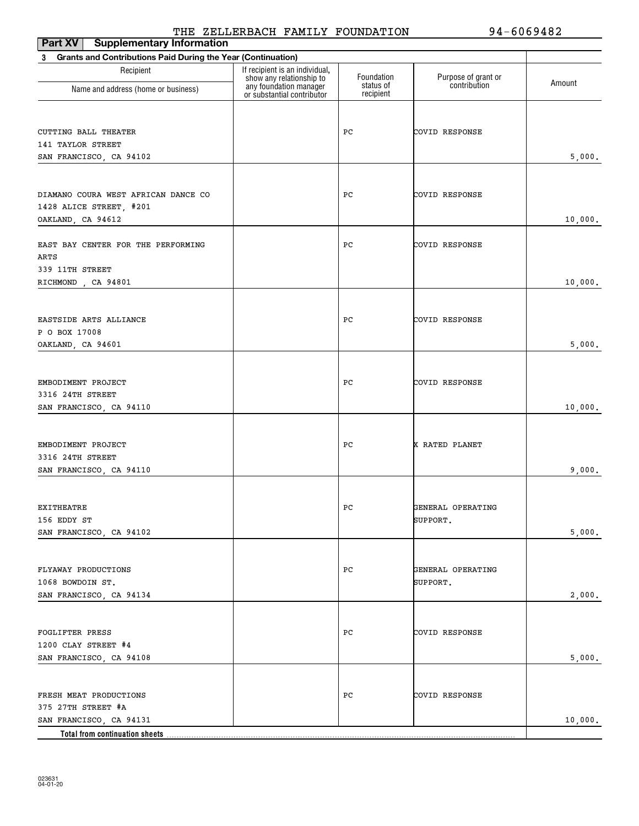| Part XV<br><b>Supplementary Information</b>                              |                                                                                      |                         |                                     |         |
|--------------------------------------------------------------------------|--------------------------------------------------------------------------------------|-------------------------|-------------------------------------|---------|
| <b>Grants and Contributions Paid During the Year (Continuation)</b><br>3 |                                                                                      |                         |                                     |         |
| Recipient                                                                | If recipient is an individual,<br>show any relationship to<br>any foundation manager | Foundation<br>status of | Purpose of grant or<br>contribution | Amount  |
| Name and address (home or business)                                      | or substantial contributor                                                           | recipient               |                                     |         |
|                                                                          |                                                                                      |                         |                                     |         |
| CUTTING BALL THEATER                                                     |                                                                                      | PC                      | COVID RESPONSE                      |         |
| 141 TAYLOR STREET                                                        |                                                                                      |                         |                                     |         |
| SAN FRANCISCO, CA 94102                                                  |                                                                                      |                         |                                     | 5,000.  |
|                                                                          |                                                                                      |                         |                                     |         |
| DIAMANO COURA WEST AFRICAN DANCE CO                                      |                                                                                      | PC                      | COVID RESPONSE                      |         |
| 1428 ALICE STREET, #201                                                  |                                                                                      |                         |                                     |         |
| OAKLAND, CA 94612                                                        |                                                                                      |                         |                                     | 10,000. |
|                                                                          |                                                                                      |                         |                                     |         |
| EAST BAY CENTER FOR THE PERFORMING<br>ARTS                               |                                                                                      | РC                      | COVID RESPONSE                      |         |
| 339 11TH STREET                                                          |                                                                                      |                         |                                     |         |
| RICHMOND, CA 94801                                                       |                                                                                      |                         |                                     | 10,000. |
|                                                                          |                                                                                      |                         |                                     |         |
| EASTSIDE ARTS ALLIANCE                                                   |                                                                                      | PC                      | COVID RESPONSE                      |         |
| P O BOX 17008                                                            |                                                                                      |                         |                                     |         |
| OAKLAND, CA 94601                                                        |                                                                                      |                         |                                     | 5,000.  |
|                                                                          |                                                                                      |                         |                                     |         |
|                                                                          |                                                                                      |                         |                                     |         |
| EMBODIMENT PROJECT<br>3316 24TH STREET                                   |                                                                                      | PC                      | COVID RESPONSE                      |         |
| SAN FRANCISCO, CA 94110                                                  |                                                                                      |                         |                                     | 10,000. |
|                                                                          |                                                                                      |                         |                                     |         |
|                                                                          |                                                                                      |                         |                                     |         |
| EMBODIMENT PROJECT<br>3316 24TH STREET                                   |                                                                                      | PC                      | X RATED PLANET                      |         |
| SAN FRANCISCO, CA 94110                                                  |                                                                                      |                         |                                     | 9,000.  |
|                                                                          |                                                                                      |                         |                                     |         |
|                                                                          |                                                                                      |                         |                                     |         |
| EXITHEATRE<br>156 EDDY ST                                                |                                                                                      | PC                      | GENERAL OPERATING<br>SUPPORT.       |         |
| SAN FRANCISCO, CA 94102                                                  |                                                                                      |                         |                                     | 5,000.  |
|                                                                          |                                                                                      |                         |                                     |         |
|                                                                          |                                                                                      |                         |                                     |         |
| FLYAWAY PRODUCTIONS<br>1068 BOWDOIN ST.                                  |                                                                                      | PC                      | GENERAL OPERATING                   |         |
| SAN FRANCISCO, CA 94134                                                  |                                                                                      |                         | SUPPORT.                            | 2,000.  |
|                                                                          |                                                                                      |                         |                                     |         |
|                                                                          |                                                                                      |                         |                                     |         |
| FOGLIFTER PRESS                                                          |                                                                                      | PC                      | COVID RESPONSE                      |         |
| 1200 CLAY STREET #4                                                      |                                                                                      |                         |                                     | 5,000.  |
| SAN FRANCISCO, CA 94108                                                  |                                                                                      |                         |                                     |         |
|                                                                          |                                                                                      |                         |                                     |         |
| FRESH MEAT PRODUCTIONS                                                   |                                                                                      | PC                      | COVID RESPONSE                      |         |
| 375 27TH STREET #A                                                       |                                                                                      |                         |                                     |         |
| SAN FRANCISCO, CA 94131<br>Total from continuation sheets.               |                                                                                      |                         |                                     | 10,000. |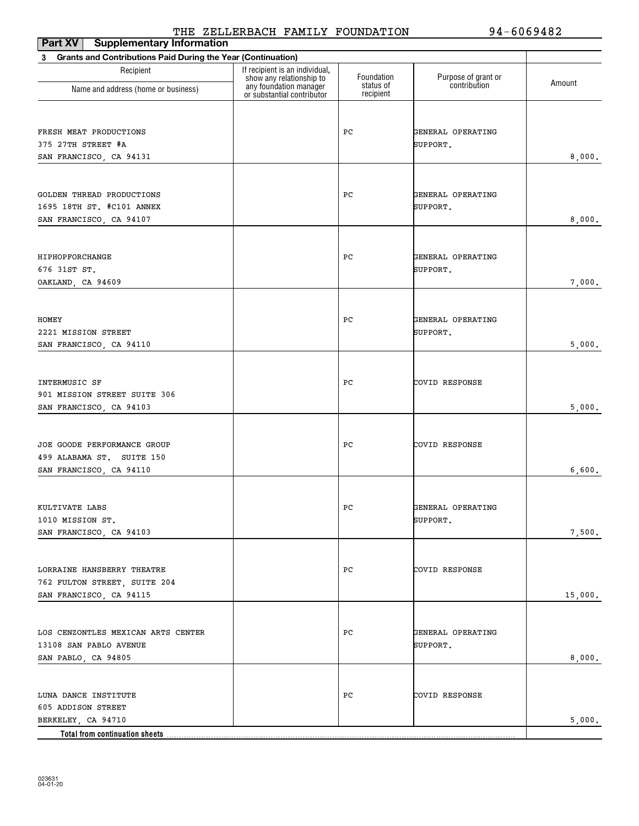| Part XV<br><b>Supplementary Information</b>                              |                                                                                      |                         |                                     |         |
|--------------------------------------------------------------------------|--------------------------------------------------------------------------------------|-------------------------|-------------------------------------|---------|
| <b>Grants and Contributions Paid During the Year (Continuation)</b><br>3 |                                                                                      |                         |                                     |         |
| Recipient                                                                | If recipient is an individual,<br>show any relationship to<br>any foundation manager | Foundation<br>status of | Purpose of grant or<br>contribution | Amount  |
| Name and address (home or business)                                      | or substantial contributor                                                           | recipient               |                                     |         |
|                                                                          |                                                                                      |                         |                                     |         |
| FRESH MEAT PRODUCTIONS                                                   |                                                                                      | РC                      | GENERAL OPERATING                   |         |
| 375 27TH STREET #A                                                       |                                                                                      |                         | SUPPORT.                            |         |
| SAN FRANCISCO, CA 94131                                                  |                                                                                      |                         |                                     | 8,000.  |
|                                                                          |                                                                                      |                         |                                     |         |
| GOLDEN THREAD PRODUCTIONS                                                |                                                                                      | РC                      | GENERAL OPERATING                   |         |
| 1695 18TH ST. #C101 ANNEX                                                |                                                                                      |                         | SUPPORT.                            |         |
| SAN FRANCISCO, CA 94107                                                  |                                                                                      |                         |                                     | 8,000.  |
|                                                                          |                                                                                      |                         |                                     |         |
| HIPHOPFORCHANGE                                                          |                                                                                      | РC                      | GENERAL OPERATING                   |         |
| 676 31ST ST.                                                             |                                                                                      |                         | SUPPORT.                            |         |
| OAKLAND, CA 94609                                                        |                                                                                      |                         |                                     | 7,000.  |
|                                                                          |                                                                                      |                         |                                     |         |
| HOMEY                                                                    |                                                                                      | РC                      | GENERAL OPERATING                   |         |
| 2221 MISSION STREET                                                      |                                                                                      |                         | SUPPORT.                            |         |
| SAN FRANCISCO, CA 94110                                                  |                                                                                      |                         |                                     | 5,000.  |
|                                                                          |                                                                                      |                         |                                     |         |
|                                                                          |                                                                                      |                         |                                     |         |
| INTERMUSIC SF                                                            |                                                                                      | РC                      | COVID RESPONSE                      |         |
| 901 MISSION STREET SUITE 306<br>SAN FRANCISCO, CA 94103                  |                                                                                      |                         |                                     | 5,000.  |
|                                                                          |                                                                                      |                         |                                     |         |
|                                                                          |                                                                                      |                         |                                     |         |
| JOE GOODE PERFORMANCE GROUP                                              |                                                                                      | РC                      | COVID RESPONSE                      |         |
| 499 ALABAMA ST. SUITE 150                                                |                                                                                      |                         |                                     |         |
| SAN FRANCISCO, CA 94110                                                  |                                                                                      |                         |                                     | 6,600.  |
|                                                                          |                                                                                      |                         |                                     |         |
| KULTIVATE LABS                                                           |                                                                                      | PC                      | GENERAL OPERATING                   |         |
| 1010 MISSION ST.                                                         |                                                                                      |                         | SUPPORT.                            |         |
| SAN FRANCISCO, CA 94103                                                  |                                                                                      |                         |                                     | 7,500.  |
|                                                                          |                                                                                      |                         |                                     |         |
| LORRAINE HANSBERRY THEATRE                                               |                                                                                      | РC                      | COVID RESPONSE                      |         |
| 762 FULTON STREET, SUITE 204                                             |                                                                                      |                         |                                     |         |
| SAN FRANCISCO, CA 94115                                                  |                                                                                      |                         |                                     | 15,000. |
|                                                                          |                                                                                      |                         |                                     |         |
| LOS CENZONTLES MEXICAN ARTS CENTER                                       |                                                                                      | РC                      | GENERAL OPERATING                   |         |
| 13108 SAN PABLO AVENUE                                                   |                                                                                      |                         | SUPPORT.                            |         |
| SAN PABLO, CA 94805                                                      |                                                                                      |                         |                                     | 8,000.  |
|                                                                          |                                                                                      |                         |                                     |         |
| LUNA DANCE INSTITUTE                                                     |                                                                                      | РC                      | COVID RESPONSE                      |         |
| 605 ADDISON STREET                                                       |                                                                                      |                         |                                     |         |
| BERKELEY, CA 94710                                                       |                                                                                      |                         |                                     | 5,000.  |
| Total from continuation sheets                                           |                                                                                      |                         |                                     |         |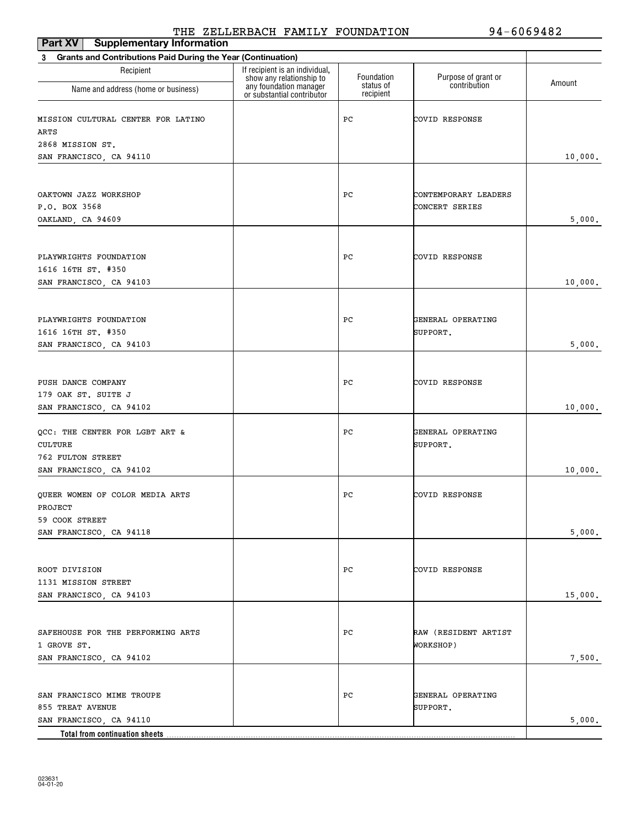| <b>Part XV</b> Supplementary Information                                 | ---- <i>-</i> --                                           |                        |                               |         |  |
|--------------------------------------------------------------------------|------------------------------------------------------------|------------------------|-------------------------------|---------|--|
| <b>Grants and Contributions Paid During the Year (Continuation)</b><br>3 |                                                            |                        |                               |         |  |
| Recipient                                                                | If recipient is an individual,<br>show any relationship to | Foundation             | Purpose of grant or           | Amount  |  |
| Name and address (home or business)                                      | any foundation manager<br>or substantial contributor       | status of<br>recipient | contribution                  |         |  |
| MISSION CULTURAL CENTER FOR LATINO                                       |                                                            | PС                     | COVID RESPONSE                |         |  |
| ARTS                                                                     |                                                            |                        |                               |         |  |
| 2868 MISSION ST.                                                         |                                                            |                        |                               |         |  |
| SAN FRANCISCO, CA 94110                                                  |                                                            |                        |                               | 10,000. |  |
|                                                                          |                                                            |                        |                               |         |  |
| OAKTOWN JAZZ WORKSHOP                                                    |                                                            | PС                     | CONTEMPORARY LEADERS          |         |  |
| P.O. BOX 3568                                                            |                                                            |                        | CONCERT SERIES                |         |  |
| OAKLAND, CA 94609                                                        |                                                            |                        |                               | 5,000.  |  |
|                                                                          |                                                            |                        |                               |         |  |
| PLAYWRIGHTS FOUNDATION                                                   |                                                            | РC                     | COVID RESPONSE                |         |  |
| 1616 16TH ST. #350                                                       |                                                            |                        |                               |         |  |
| SAN FRANCISCO, CA 94103                                                  |                                                            |                        |                               | 10,000. |  |
|                                                                          |                                                            |                        |                               |         |  |
| PLAYWRIGHTS FOUNDATION                                                   |                                                            | PС                     | GENERAL OPERATING             |         |  |
| 1616 16TH ST. #350                                                       |                                                            |                        | SUPPORT.                      |         |  |
| SAN FRANCISCO, CA 94103                                                  |                                                            |                        |                               | 5,000.  |  |
|                                                                          |                                                            |                        |                               |         |  |
|                                                                          |                                                            |                        |                               |         |  |
| PUSH DANCE COMPANY                                                       |                                                            | РC                     | COVID RESPONSE                |         |  |
| 179 OAK ST. SUITE J                                                      |                                                            |                        |                               |         |  |
| SAN FRANCISCO, CA 94102                                                  |                                                            |                        |                               | 10,000. |  |
|                                                                          |                                                            |                        |                               |         |  |
| QCC: THE CENTER FOR LGBT ART &<br>CULTURE                                |                                                            | PС                     | GENERAL OPERATING<br>SUPPORT. |         |  |
| 762 FULTON STREET                                                        |                                                            |                        |                               |         |  |
| SAN FRANCISCO, CA 94102                                                  |                                                            |                        |                               | 10,000. |  |
|                                                                          |                                                            |                        |                               |         |  |
| QUEER WOMEN OF COLOR MEDIA ARTS                                          |                                                            | PС                     | COVID RESPONSE                |         |  |
| PROJECT                                                                  |                                                            |                        |                               |         |  |
| 59 COOK STREET                                                           |                                                            |                        |                               |         |  |
| SAN FRANCISCO, CA 94118                                                  |                                                            |                        |                               | 5,000.  |  |
|                                                                          |                                                            |                        |                               |         |  |
| ROOT DIVISION                                                            |                                                            | PС                     | COVID RESPONSE                |         |  |
| 1131 MISSION STREET                                                      |                                                            |                        |                               |         |  |
| SAN FRANCISCO, CA 94103                                                  |                                                            |                        |                               | 15,000. |  |
|                                                                          |                                                            |                        |                               |         |  |
|                                                                          |                                                            |                        |                               |         |  |
| SAFEHOUSE FOR THE PERFORMING ARTS                                        |                                                            | PС                     | RAW (RESIDENT ARTIST          |         |  |
| 1 GROVE ST.                                                              |                                                            |                        | WORKSHOP)                     |         |  |
| SAN FRANCISCO, CA 94102                                                  |                                                            |                        |                               | 7,500.  |  |
|                                                                          |                                                            |                        |                               |         |  |
| SAN FRANCISCO MIME TROUPE                                                |                                                            | PС                     | GENERAL OPERATING             |         |  |
| 855 TREAT AVENUE                                                         |                                                            |                        | SUPPORT.                      |         |  |
| SAN FRANCISCO, CA 94110                                                  |                                                            |                        |                               | 5,000.  |  |
| Total from continuation sheets                                           |                                                            |                        |                               |         |  |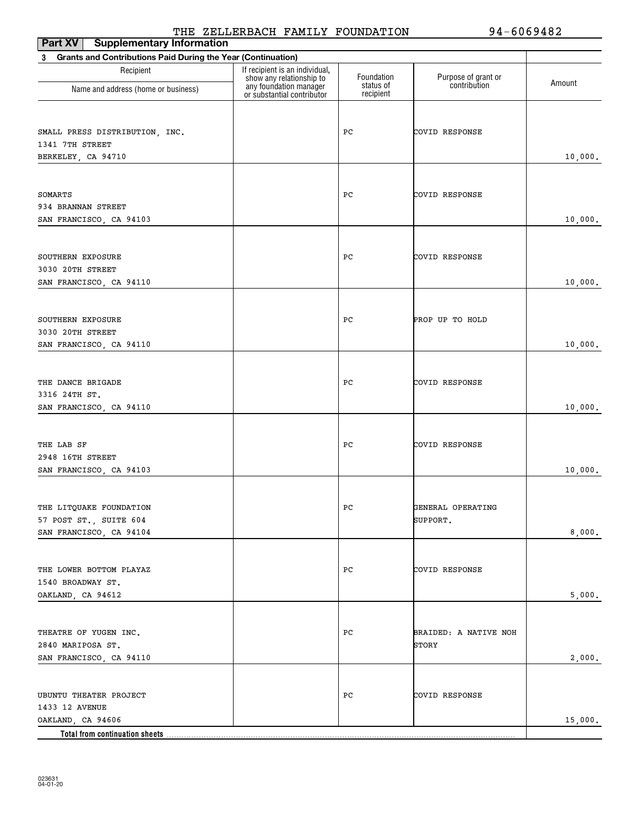| <b>Part XV</b> Supplementary Information                          | -------                                                    |                        |                       |         |  |
|-------------------------------------------------------------------|------------------------------------------------------------|------------------------|-----------------------|---------|--|
| Grants and Contributions Paid During the Year (Continuation)<br>3 |                                                            |                        |                       |         |  |
| Recipient                                                         | If recipient is an individual,<br>show any relationship to | Foundation             | Purpose of grant or   | Amount  |  |
| Name and address (home or business)                               | any foundation manager<br>or substantial contributor       | status of<br>recipient | contribution          |         |  |
|                                                                   |                                                            |                        |                       |         |  |
|                                                                   |                                                            | PС                     | COVID RESPONSE        |         |  |
| SMALL PRESS DISTRIBUTION, INC.<br>1341 7TH STREET                 |                                                            |                        |                       |         |  |
| BERKELEY, CA 94710                                                |                                                            |                        |                       |         |  |
|                                                                   |                                                            |                        |                       | 10,000. |  |
|                                                                   |                                                            |                        |                       |         |  |
| SOMARTS                                                           |                                                            | РC                     | COVID RESPONSE        |         |  |
| 934 BRANNAN STREET                                                |                                                            |                        |                       |         |  |
| SAN FRANCISCO, CA 94103                                           |                                                            |                        |                       | 10,000. |  |
|                                                                   |                                                            |                        |                       |         |  |
| SOUTHERN EXPOSURE                                                 |                                                            | РC                     | COVID RESPONSE        |         |  |
| 3030 20TH STREET                                                  |                                                            |                        |                       |         |  |
| SAN FRANCISCO, CA 94110                                           |                                                            |                        |                       | 10,000. |  |
|                                                                   |                                                            |                        |                       |         |  |
|                                                                   |                                                            |                        |                       |         |  |
| SOUTHERN EXPOSURE                                                 |                                                            | РC                     | PROP UP TO HOLD       |         |  |
| 3030 20TH STREET                                                  |                                                            |                        |                       |         |  |
| SAN FRANCISCO, CA 94110                                           |                                                            |                        |                       | 10,000. |  |
|                                                                   |                                                            |                        |                       |         |  |
| THE DANCE BRIGADE                                                 |                                                            | PС                     | COVID RESPONSE        |         |  |
| 3316 24TH ST.                                                     |                                                            |                        |                       |         |  |
| SAN FRANCISCO, CA 94110                                           |                                                            |                        |                       | 10,000. |  |
|                                                                   |                                                            |                        |                       |         |  |
|                                                                   |                                                            |                        |                       |         |  |
| THE LAB SF                                                        |                                                            | PС                     | COVID RESPONSE        |         |  |
| 2948 16TH STREET<br>SAN FRANCISCO, CA 94103                       |                                                            |                        |                       | 10,000. |  |
|                                                                   |                                                            |                        |                       |         |  |
|                                                                   |                                                            |                        |                       |         |  |
| THE LITQUAKE FOUNDATION                                           |                                                            | PС                     | GENERAL OPERATING     |         |  |
| 57 POST ST., SUITE 604                                            |                                                            |                        | SUPPORT.              |         |  |
| SAN FRANCISCO, CA 94104                                           |                                                            |                        |                       | 8,000.  |  |
|                                                                   |                                                            |                        |                       |         |  |
| THE LOWER BOTTOM PLAYAZ                                           |                                                            | PС                     | COVID RESPONSE        |         |  |
| 1540 BROADWAY ST.                                                 |                                                            |                        |                       |         |  |
| OAKLAND, CA 94612                                                 |                                                            |                        |                       | 5,000.  |  |
|                                                                   |                                                            |                        |                       |         |  |
|                                                                   |                                                            |                        |                       |         |  |
| THEATRE OF YUGEN INC.                                             |                                                            | PС                     | BRAIDED: A NATIVE NOH |         |  |
| 2840 MARIPOSA ST.                                                 |                                                            |                        | STORY                 |         |  |
| SAN FRANCISCO, CA 94110                                           |                                                            |                        |                       | 2,000.  |  |
|                                                                   |                                                            |                        |                       |         |  |
| UBUNTU THEATER PROJECT                                            |                                                            | PС                     | COVID RESPONSE        |         |  |
| 1433 12 AVENUE                                                    |                                                            |                        |                       |         |  |
| OAKLAND, CA 94606                                                 |                                                            |                        |                       | 15,000. |  |
|                                                                   |                                                            |                        |                       |         |  |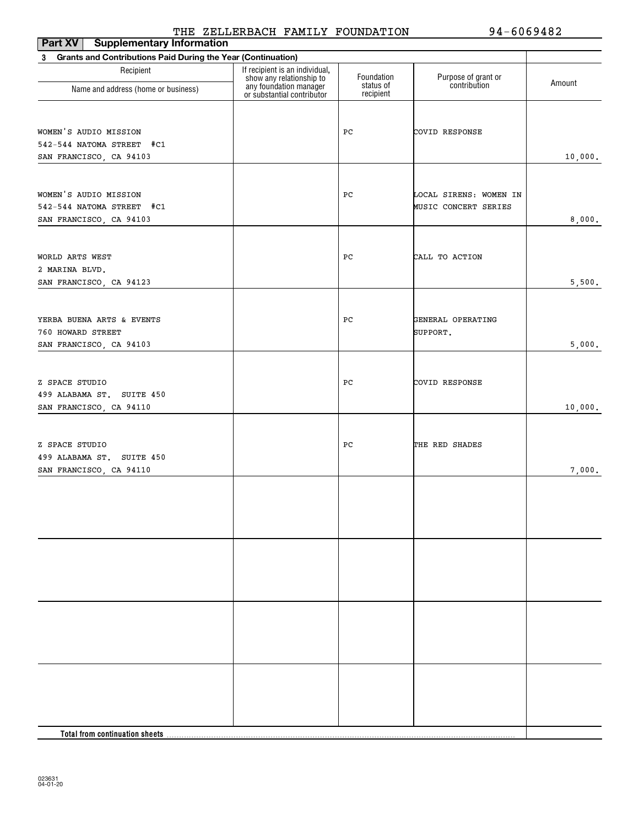| Part XV<br><b>Supplementary Information</b>                              |                                                            |                         |                                     |         |
|--------------------------------------------------------------------------|------------------------------------------------------------|-------------------------|-------------------------------------|---------|
| <b>Grants and Contributions Paid During the Year (Continuation)</b><br>3 |                                                            |                         |                                     |         |
| Recipient                                                                | If recipient is an individual,<br>show any relationship to | Foundation<br>status of | Purpose of grant or<br>contribution | Amount  |
| Name and address (home or business)                                      | any foundation manager<br>or substantial contributor       | recipient               |                                     |         |
| WOMEN'S AUDIO MISSION                                                    |                                                            | РC                      | COVID RESPONSE                      |         |
| 542-544 NATOMA STREET #C1                                                |                                                            |                         |                                     |         |
| SAN FRANCISCO, CA 94103                                                  |                                                            |                         |                                     | 10,000. |
|                                                                          |                                                            |                         |                                     |         |
| WOMEN'S AUDIO MISSION                                                    |                                                            | РC                      | LOCAL SIRENS: WOMEN IN              |         |
| 542-544 NATOMA STREET #C1                                                |                                                            |                         | MUSIC CONCERT SERIES                |         |
| SAN FRANCISCO, CA 94103                                                  |                                                            |                         |                                     | 8,000.  |
|                                                                          |                                                            |                         |                                     |         |
| WORLD ARTS WEST                                                          |                                                            | РC                      | CALL TO ACTION                      |         |
| 2 MARINA BLVD.                                                           |                                                            |                         |                                     |         |
| SAN FRANCISCO, CA 94123                                                  |                                                            |                         |                                     | 5,500.  |
| YERBA BUENA ARTS & EVENTS                                                |                                                            | РC                      | GENERAL OPERATING                   |         |
| 760 HOWARD STREET                                                        |                                                            |                         | SUPPORT.                            |         |
| SAN FRANCISCO, CA 94103                                                  |                                                            |                         |                                     | 5,000.  |
|                                                                          |                                                            |                         |                                     |         |
|                                                                          |                                                            |                         |                                     |         |
| Z SPACE STUDIO                                                           |                                                            | РC                      | COVID RESPONSE                      |         |
| 499 ALABAMA ST. SUITE 450<br>SAN FRANCISCO, CA 94110                     |                                                            |                         |                                     | 10,000. |
|                                                                          |                                                            |                         |                                     |         |
|                                                                          |                                                            |                         |                                     |         |
| Z SPACE STUDIO                                                           |                                                            | РC                      | THE RED SHADES                      |         |
| 499 ALABAMA ST. SUITE 450                                                |                                                            |                         |                                     |         |
| SAN FRANCISCO, CA 94110                                                  |                                                            |                         |                                     | 7,000.  |
|                                                                          |                                                            |                         |                                     |         |
|                                                                          |                                                            |                         |                                     |         |
|                                                                          |                                                            |                         |                                     |         |
|                                                                          |                                                            |                         |                                     |         |
|                                                                          |                                                            |                         |                                     |         |
|                                                                          |                                                            |                         |                                     |         |
|                                                                          |                                                            |                         |                                     |         |
|                                                                          |                                                            |                         |                                     |         |
|                                                                          |                                                            |                         |                                     |         |
|                                                                          |                                                            |                         |                                     |         |
|                                                                          |                                                            |                         |                                     |         |
|                                                                          |                                                            |                         |                                     |         |
|                                                                          |                                                            |                         |                                     |         |
|                                                                          |                                                            |                         |                                     |         |
| Total from continuation sheets.                                          |                                                            |                         |                                     |         |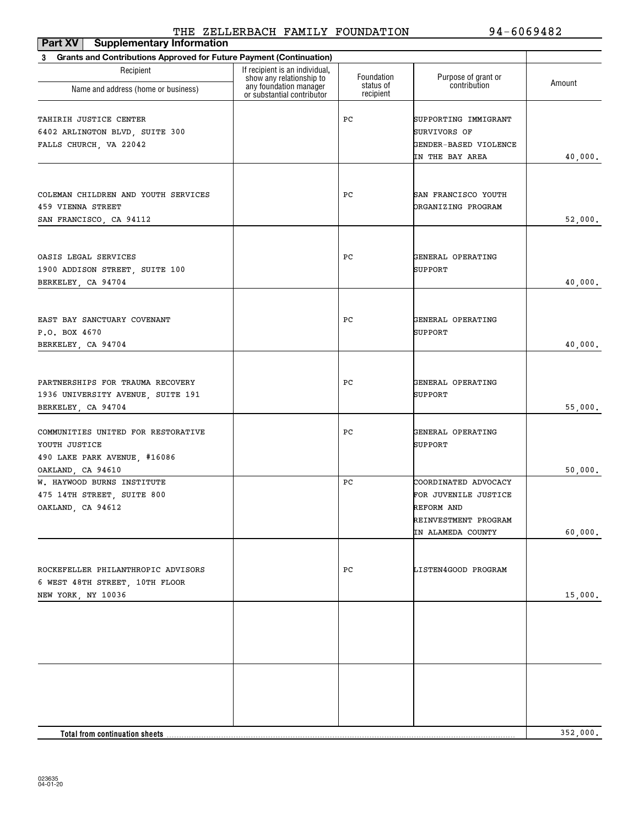| Part XV<br><b>Supplementary Information</b>                                                              |                                                                                      |                         |                                                                                                         |          |
|----------------------------------------------------------------------------------------------------------|--------------------------------------------------------------------------------------|-------------------------|---------------------------------------------------------------------------------------------------------|----------|
| <b>Grants and Contributions Approved for Future Payment (Continuation)</b><br>3                          |                                                                                      |                         |                                                                                                         |          |
| Recipient                                                                                                | If recipient is an individual,<br>show any relationship to<br>any foundation manager | Foundation<br>status of | Purpose of grant or<br>contribution                                                                     | Amount   |
| Name and address (home or business)                                                                      | or substantial contributor                                                           | recipient               |                                                                                                         |          |
| TAHIRIH JUSTICE CENTER<br>6402 ARLINGTON BLVD, SUITE 300<br>FALLS CHURCH, VA 22042                       |                                                                                      | PС                      | SUPPORTING IMMIGRANT<br>SURVIVORS OF<br>GENDER-BASED VIOLENCE<br>IN THE BAY AREA                        | 40,000.  |
| COLEMAN CHILDREN AND YOUTH SERVICES<br>459 VIENNA STREET<br>SAN FRANCISCO, CA 94112                      |                                                                                      | PС                      | SAN FRANCISCO YOUTH<br>ORGANIZING PROGRAM                                                               | 52,000.  |
| OASIS LEGAL SERVICES<br>1900 ADDISON STREET, SUITE 100<br>BERKELEY, CA 94704                             |                                                                                      | PС                      | GENERAL OPERATING<br>SUPPORT                                                                            | 40,000.  |
| EAST BAY SANCTUARY COVENANT<br>P.O. BOX 4670<br>BERKELEY, CA 94704                                       |                                                                                      | PС                      | GENERAL OPERATING<br>SUPPORT                                                                            | 40,000.  |
| PARTNERSHIPS FOR TRAUMA RECOVERY<br>1936 UNIVERSITY AVENUE, SUITE 191<br>BERKELEY, CA 94704              |                                                                                      | PС                      | GENERAL OPERATING<br>SUPPORT                                                                            | 55,000.  |
| COMMUNITIES UNITED FOR RESTORATIVE<br>YOUTH JUSTICE<br>490 LAKE PARK AVENUE, #16086<br>OAKLAND, CA 94610 |                                                                                      | PС                      | GENERAL OPERATING<br><b>SUPPORT</b>                                                                     | 50,000.  |
| W. HAYWOOD BURNS INSTITUTE<br>475 14TH STREET, SUITE 800<br>OAKLAND, CA 94612                            |                                                                                      | PС                      | COORDINATED ADVOCACY<br>FOR JUVENILE JUSTICE<br>REFORM AND<br>REINVESTMENT PROGRAM<br>IN ALAMEDA COUNTY | 60,000.  |
| ROCKEFELLER PHILANTHROPIC ADVISORS<br>6 WEST 48TH STREET, 10TH FLOOR<br>NEW YORK, NY 10036               |                                                                                      | PC                      | LISTEN4GOOD PROGRAM                                                                                     | 15,000.  |
|                                                                                                          |                                                                                      |                         |                                                                                                         |          |
| Total from continuation sheets                                                                           |                                                                                      |                         |                                                                                                         | 352,000. |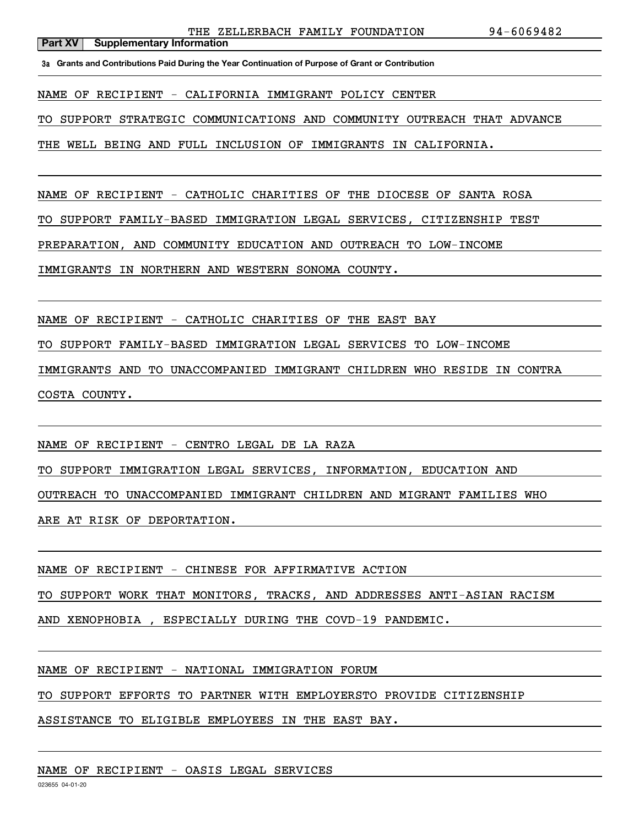**3a Grants and Contributions Paid During the Year Continuation of Purpose of Grant or Contribution**

NAME OF RECIPIENT - CALIFORNIA IMMIGRANT POLICY CENTER

TO SUPPORT STRATEGIC COMMUNICATIONS AND COMMUNITY OUTREACH THAT ADVANCE

THE WELL BEING AND FULL INCLUSION OF IMMIGRANTS IN CALIFORNIA.

NAME OF RECIPIENT - CATHOLIC CHARITIES OF THE DIOCESE OF SANTA ROSA

TO SUPPORT FAMILY-BASED IMMIGRATION LEGAL SERVICES, CITIZENSHIP TEST

PREPARATION, AND COMMUNITY EDUCATION AND OUTREACH TO LOW-INCOME

IMMIGRANTS IN NORTHERN AND WESTERN SONOMA COUNTY.

NAME OF RECIPIENT - CATHOLIC CHARITIES OF THE EAST BAY

TO SUPPORT FAMILY-BASED IMMIGRATION LEGAL SERVICES TO LOW-INCOME

IMMIGRANTS AND TO UNACCOMPANIED IMMIGRANT CHILDREN WHO RESIDE IN CONTRA COSTA COUNTY.

NAME OF RECIPIENT - CENTRO LEGAL DE LA RAZA

TO SUPPORT IMMIGRATION LEGAL SERVICES, INFORMATION, EDUCATION AND

OUTREACH TO UNACCOMPANIED IMMIGRANT CHILDREN AND MIGRANT FAMILIES WHO

ARE AT RISK OF DEPORTATION.

NAME OF RECIPIENT - CHINESE FOR AFFIRMATIVE ACTION

TO SUPPORT WORK THAT MONITORS, TRACKS, AND ADDRESSES ANTI-ASIAN RACISM

AND XENOPHOBIA , ESPECIALLY DURING THE COVD-19 PANDEMIC.

NAME OF RECIPIENT - NATIONAL IMMIGRATION FORUM

TO SUPPORT EFFORTS TO PARTNER WITH EMPLOYERSTO PROVIDE CITIZENSHIP

ASSISTANCE TO ELIGIBLE EMPLOYEES IN THE EAST BAY.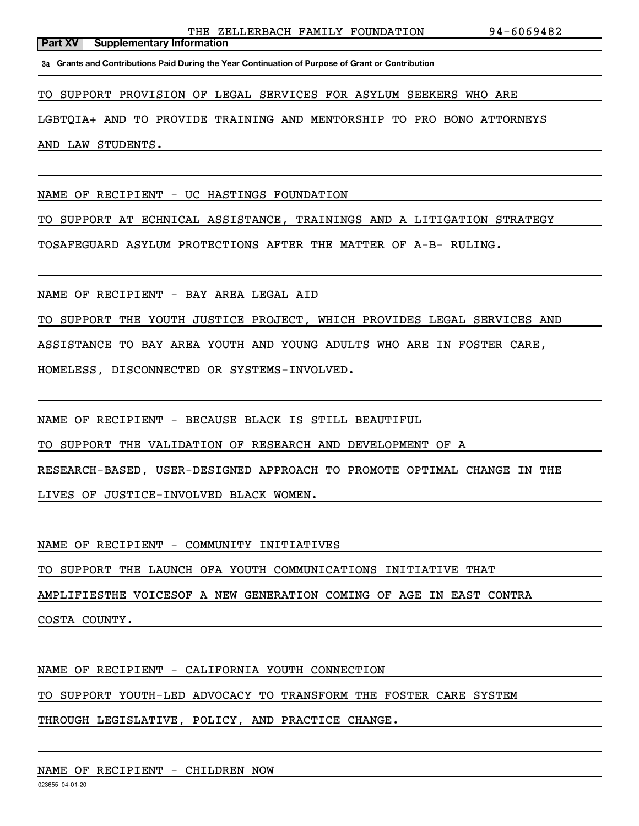**3a Grants and Contributions Paid During the Year Continuation of Purpose of Grant or Contribution**

TO SUPPORT PROVISION OF LEGAL SERVICES FOR ASYLUM SEEKERS WHO ARE

LGBTQIA+ AND TO PROVIDE TRAINING AND MENTORSHIP TO PRO BONO ATTORNEYS

AND LAW STUDENTS.

NAME OF RECIPIENT - UC HASTINGS FOUNDATION

TO SUPPORT AT ECHNICAL ASSISTANCE, TRAININGS AND A LITIGATION STRATEGY

TOSAFEGUARD ASYLUM PROTECTIONS AFTER THE MATTER OF A-B- RULING.

NAME OF RECIPIENT - BAY AREA LEGAL AID

TO SUPPORT THE YOUTH JUSTICE PROJECT, WHICH PROVIDES LEGAL SERVICES AND

ASSISTANCE TO BAY AREA YOUTH AND YOUNG ADULTS WHO ARE IN FOSTER CARE,

HOMELESS, DISCONNECTED OR SYSTEMS-INVOLVED.

NAME OF RECIPIENT - BECAUSE BLACK IS STILL BEAUTIFUL

TO SUPPORT THE VALIDATION OF RESEARCH AND DEVELOPMENT OF A

RESEARCH-BASED, USER-DESIGNED APPROACH TO PROMOTE OPTIMAL CHANGE IN THE

LIVES OF JUSTICE-INVOLVED BLACK WOMEN.

NAME OF RECIPIENT - COMMUNITY INITIATIVES

TO SUPPORT THE LAUNCH OFA YOUTH COMMUNICATIONS INITIATIVE THAT

AMPLIFIESTHE VOICESOF A NEW GENERATION COMING OF AGE IN EAST CONTRA

COSTA COUNTY.

NAME OF RECIPIENT - CALIFORNIA YOUTH CONNECTION

TO SUPPORT YOUTH-LED ADVOCACY TO TRANSFORM THE FOSTER CARE SYSTEM

THROUGH LEGISLATIVE, POLICY, AND PRACTICE CHANGE.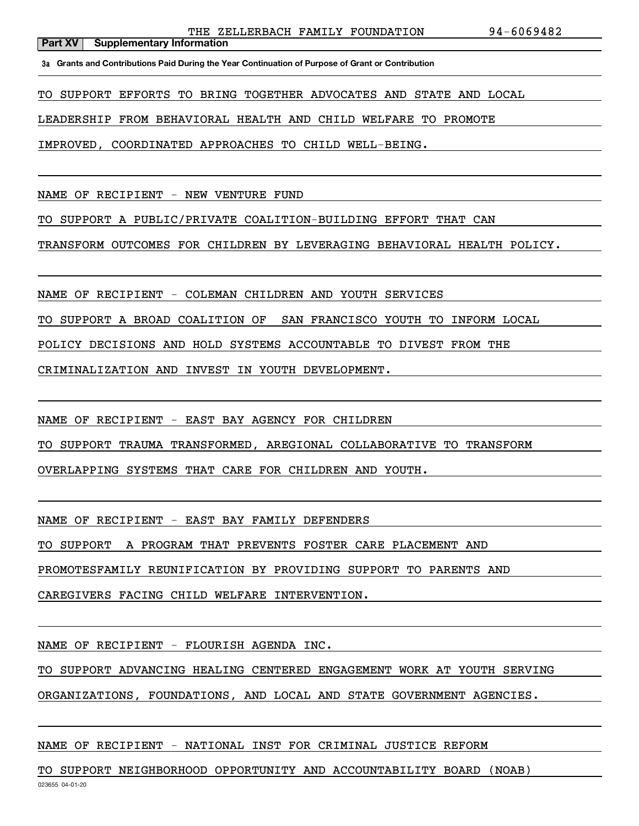**3a Grants and Contributions Paid During the Year Continuation of Purpose of Grant or Contribution**

TO SUPPORT EFFORTS TO BRING TOGETHER ADVOCATES AND STATE AND LOCAL

LEADERSHIP FROM BEHAVIORAL HEALTH AND CHILD WELFARE TO PROMOTE

IMPROVED, COORDINATED APPROACHES TO CHILD WELL-BEING.

NAME OF RECIPIENT - NEW VENTURE FUND

TO SUPPORT A PUBLIC/PRIVATE COALITION-BUILDING EFFORT THAT CAN

TRANSFORM OUTCOMES FOR CHILDREN BY LEVERAGING BEHAVIORAL HEALTH POLICY.

NAME OF RECIPIENT - COLEMAN CHILDREN AND YOUTH SERVICES

TO SUPPORT A BROAD COALITION OF SAN FRANCISCO YOUTH TO INFORM LOCAL

POLICY DECISIONS AND HOLD SYSTEMS ACCOUNTABLE TO DIVEST FROM THE

CRIMINALIZATION AND INVEST IN YOUTH DEVELOPMENT.

NAME OF RECIPIENT - EAST BAY AGENCY FOR CHILDREN

TO SUPPORT TRAUMA TRANSFORMED, AREGIONAL COLLABORATIVE TO TRANSFORM

OVERLAPPING SYSTEMS THAT CARE FOR CHILDREN AND YOUTH.

NAME OF RECIPIENT - EAST BAY FAMILY DEFENDERS

TO SUPPORT A PROGRAM THAT PREVENTS FOSTER CARE PLACEMENT AND

PROMOTESFAMILY REUNIFICATION BY PROVIDING SUPPORT TO PARENTS AND

CAREGIVERS FACING CHILD WELFARE INTERVENTION.

NAME OF RECIPIENT - FLOURISH AGENDA INC.

TO SUPPORT ADVANCING HEALING CENTERED ENGAGEMENT WORK AT YOUTH SERVING

ORGANIZATIONS, FOUNDATIONS, AND LOCAL AND STATE GOVERNMENT AGENCIES.

NAME OF RECIPIENT - NATIONAL INST FOR CRIMINAL JUSTICE REFORM

023655 04-01-20 TO SUPPORT NEIGHBORHOOD OPPORTUNITY AND ACCOUNTABILITY BOARD (NOAB)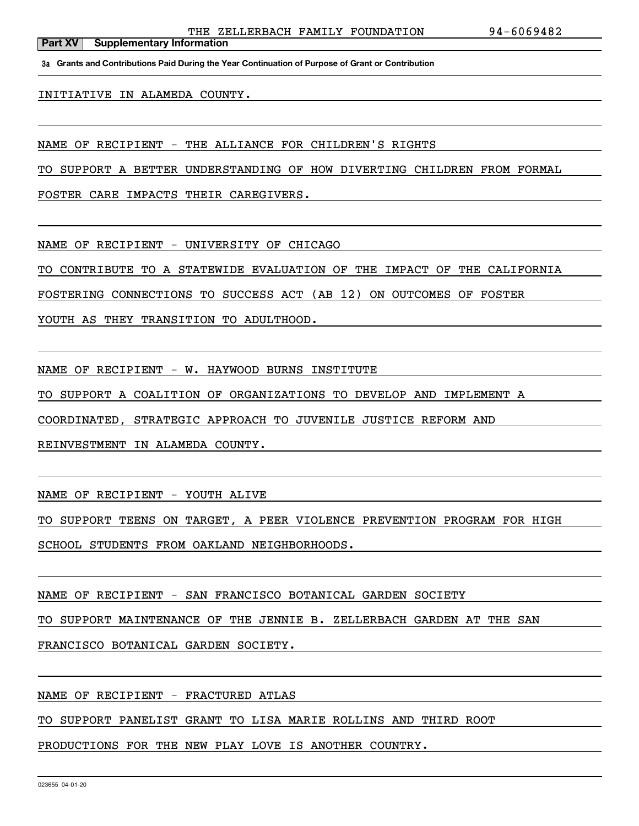**3a Grants and Contributions Paid During the Year Continuation of Purpose of Grant or Contribution**

#### INITIATIVE IN ALAMEDA COUNTY.

**Part XV** Supplementary Information

NAME OF RECIPIENT - THE ALLIANCE FOR CHILDREN'S RIGHTS

TO SUPPORT A BETTER UNDERSTANDING OF HOW DIVERTING CHILDREN FROM FORMAL

FOSTER CARE IMPACTS THEIR CAREGIVERS.

NAME OF RECIPIENT - UNIVERSITY OF CHICAGO

TO CONTRIBUTE TO A STATEWIDE EVALUATION OF THE IMPACT OF THE CALIFORNIA

FOSTERING CONNECTIONS TO SUCCESS ACT (AB 12) ON OUTCOMES OF FOSTER

YOUTH AS THEY TRANSITION TO ADULTHOOD.

NAME OF RECIPIENT - W. HAYWOOD BURNS INSTITUTE

TO SUPPORT A COALITION OF ORGANIZATIONS TO DEVELOP AND IMPLEMENT A

COORDINATED, STRATEGIC APPROACH TO JUVENILE JUSTICE REFORM AND

REINVESTMENT IN ALAMEDA COUNTY.

NAME OF RECIPIENT - YOUTH ALIVE

TO SUPPORT TEENS ON TARGET, A PEER VIOLENCE PREVENTION PROGRAM FOR HIGH

SCHOOL STUDENTS FROM OAKLAND NEIGHBORHOODS.

NAME OF RECIPIENT - SAN FRANCISCO BOTANICAL GARDEN SOCIETY

TO SUPPORT MAINTENANCE OF THE JENNIE B. ZELLERBACH GARDEN AT THE SAN

FRANCISCO BOTANICAL GARDEN SOCIETY.

NAME OF RECIPIENT - FRACTURED ATLAS

TO SUPPORT PANELIST GRANT TO LISA MARIE ROLLINS AND THIRD ROOT

PRODUCTIONS FOR THE NEW PLAY LOVE IS ANOTHER COUNTRY.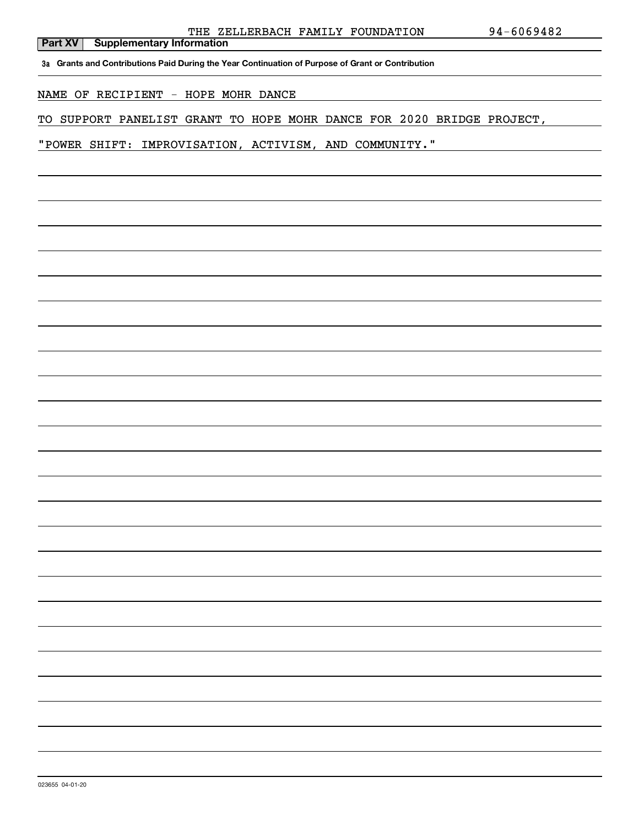**3a Grants and Contributions Paid During the Year Continuation of Purpose of Grant or Contribution**

NAME OF RECIPIENT - HOPE MOHR DANCE

TO SUPPORT PANELIST GRANT TO HOPE MOHR DANCE FOR 2020 BRIDGE PROJECT,

"POWER SHIFT: IMPROVISATION, ACTIVISM, AND COMMUNITY."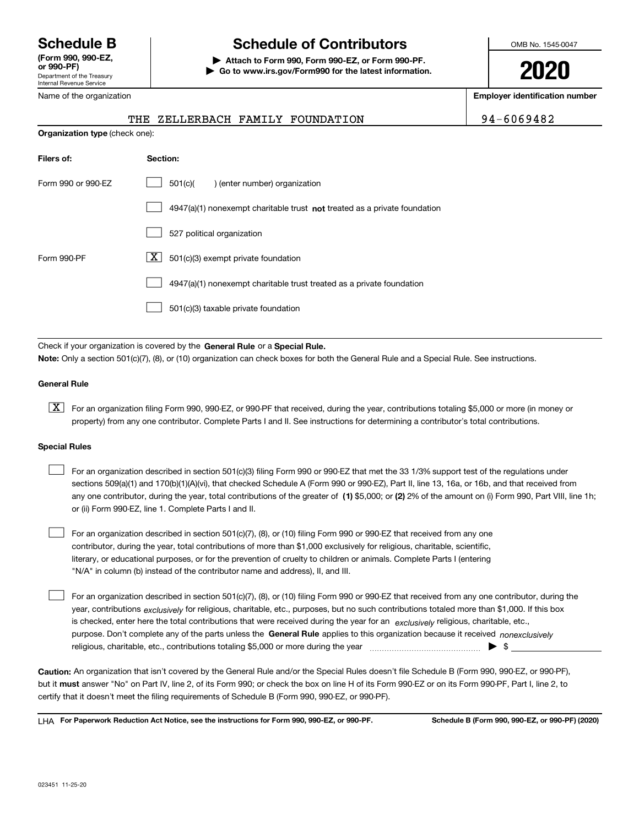Department of the Treasury Internal Revenue Service **(Form 990, 990-EZ, or 990-PF)**

#### Name of the organization

# **Schedule B Schedule of Contributors**

**| Attach to Form 990, Form 990-EZ, or Form 990-PF. | Go to www.irs.gov/Form990 for the latest information.** OMB No. 1545-0047

**2020**

**Employer identification number**

| 94-6069482 |  |  |  |  |  |
|------------|--|--|--|--|--|
|            |  |  |  |  |  |

|                                       | THE ZELLERBACH FAMILY FOUNDATION |  | 94-6069482 |
|---------------------------------------|----------------------------------|--|------------|
| <b>Organization type (check one):</b> |                                  |  |            |

| Filers of:         | Section:                                                                    |
|--------------------|-----------------------------------------------------------------------------|
| Form 990 or 990-EZ | 501(c)(<br>) (enter number) organization                                    |
|                    | $4947(a)(1)$ nonexempt charitable trust not treated as a private foundation |
|                    | 527 political organization                                                  |
| Form 990-PF        | ΧI<br>501(c)(3) exempt private foundation                                   |
|                    | 4947(a)(1) nonexempt charitable trust treated as a private foundation       |
|                    | 501(c)(3) taxable private foundation                                        |

Check if your organization is covered by the **General Rule** or a **Special Rule. Note:**  Only a section 501(c)(7), (8), or (10) organization can check boxes for both the General Rule and a Special Rule. See instructions.

### **General Rule**

 $\boxed{\textbf{X}}$  For an organization filing Form 990, 990-EZ, or 990-PF that received, during the year, contributions totaling \$5,000 or more (in money or property) from any one contributor. Complete Parts I and II. See instructions for determining a contributor's total contributions.

#### **Special Rules**

| For an organization described in section 501(c)(3) filing Form 990 or 990-EZ that met the 33 1/3% support test of the regulations under               |
|-------------------------------------------------------------------------------------------------------------------------------------------------------|
| sections 509(a)(1) and 170(b)(1)(A)(vi), that checked Schedule A (Form 990 or 990-EZ), Part II, line 13, 16a, or 16b, and that received from          |
| any one contributor, during the year, total contributions of the greater of (1) \$5,000; or (2) 2% of the amount on (i) Form 990, Part VIII, line 1h; |
| or (ii) Form 990-EZ, line 1. Complete Parts I and II.                                                                                                 |

For an organization described in section 501(c)(7), (8), or (10) filing Form 990 or 990-EZ that received from any one contributor, during the year, total contributions of more than \$1,000 exclusively for religious, charitable, scientific, literary, or educational purposes, or for the prevention of cruelty to children or animals. Complete Parts I (entering "N/A" in column (b) instead of the contributor name and address), II, and III.  $\mathcal{L}^{\text{max}}$ 

purpose. Don't complete any of the parts unless the **General Rule** applies to this organization because it received *nonexclusively* year, contributions <sub>exclusively</sub> for religious, charitable, etc., purposes, but no such contributions totaled more than \$1,000. If this box is checked, enter here the total contributions that were received during the year for an  $\;$ exclusively religious, charitable, etc., For an organization described in section 501(c)(7), (8), or (10) filing Form 990 or 990-EZ that received from any one contributor, during the religious, charitable, etc., contributions totaling \$5,000 or more during the year  $\Box$ — $\Box$   $\Box$  $\mathcal{L}^{\text{max}}$ 

**Caution:**  An organization that isn't covered by the General Rule and/or the Special Rules doesn't file Schedule B (Form 990, 990-EZ, or 990-PF),  **must** but it answer "No" on Part IV, line 2, of its Form 990; or check the box on line H of its Form 990-EZ or on its Form 990-PF, Part I, line 2, to certify that it doesn't meet the filing requirements of Schedule B (Form 990, 990-EZ, or 990-PF).

**For Paperwork Reduction Act Notice, see the instructions for Form 990, 990-EZ, or 990-PF. Schedule B (Form 990, 990-EZ, or 990-PF) (2020)** LHA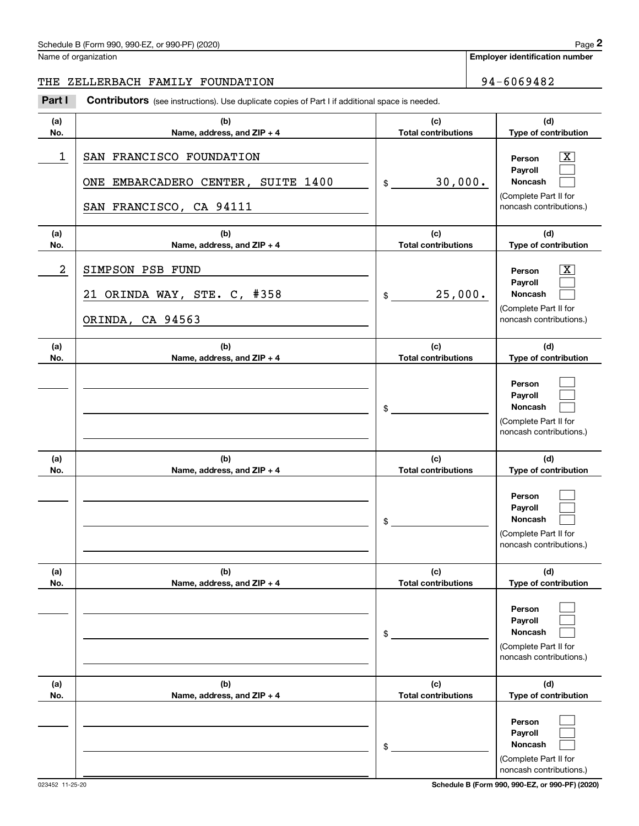**Employer identification number**

## THE ZELLERBACH FAMILY FOUNDATION | 94-6069482

Chedule B (Form 990, 990-EZ, or 990-PF) (2020)<br>
lame of organization<br> **2PART I 2PALERBACH FAMILY FOUNDATION**<br> **2Part I Contributors** (see instructions). Use duplicate copies of Part I if additional space is needed.

| (a)        | (b)                                                                                       | (c)                               | (d)                                                                                                         |
|------------|-------------------------------------------------------------------------------------------|-----------------------------------|-------------------------------------------------------------------------------------------------------------|
| No.        | Name, address, and ZIP + 4                                                                | <b>Total contributions</b>        | Type of contribution                                                                                        |
| 1          | SAN FRANCISCO FOUNDATION<br>ONE EMBARCADERO CENTER, SUITE 1400<br>SAN FRANCISCO, CA 94111 | 30,000.<br>\$                     | $\boxed{\text{X}}$<br>Person<br>Payroll<br>Noncash<br>(Complete Part II for<br>noncash contributions.)      |
| (a)<br>No. | (b)<br>Name, address, and ZIP + 4                                                         | (c)<br><b>Total contributions</b> | (d)<br>Type of contribution                                                                                 |
| 2          | SIMPSON PSB FUND<br>21 ORINDA WAY, STE. C, #358<br>ORINDA, CA 94563                       | 25,000.<br>\$                     | $\overline{\mathbf{x}}$<br>Person<br>Payroll<br>Noncash<br>(Complete Part II for<br>noncash contributions.) |
| (a)<br>No. | (b)<br>Name, address, and ZIP + 4                                                         | (c)<br><b>Total contributions</b> | (d)<br>Type of contribution                                                                                 |
|            |                                                                                           | \$                                | Person<br>Payroll<br>Noncash<br>(Complete Part II for<br>noncash contributions.)                            |
| (a)<br>No. | (b)<br>Name, address, and ZIP + 4                                                         | (c)<br><b>Total contributions</b> | (d)<br>Type of contribution                                                                                 |
|            |                                                                                           | \$                                | Person<br>Payroll<br><b>Noncash</b><br>(Complete Part II for<br>noncash contributions.)                     |
| (a)<br>No. | (b)<br>Name, address, and ZIP + 4                                                         | (c)<br><b>Total contributions</b> | (d)<br>Type of contribution                                                                                 |
|            |                                                                                           | \$                                | Person<br>Payroll<br><b>Noncash</b><br>(Complete Part II for<br>noncash contributions.)                     |
| (a)<br>No. | (b)<br>Name, address, and ZIP + 4                                                         | (c)<br><b>Total contributions</b> | (d)<br>Type of contribution                                                                                 |
|            |                                                                                           | \$                                | Person<br>Payroll<br>Noncash<br>(Complete Part II for<br>noncash contributions.)                            |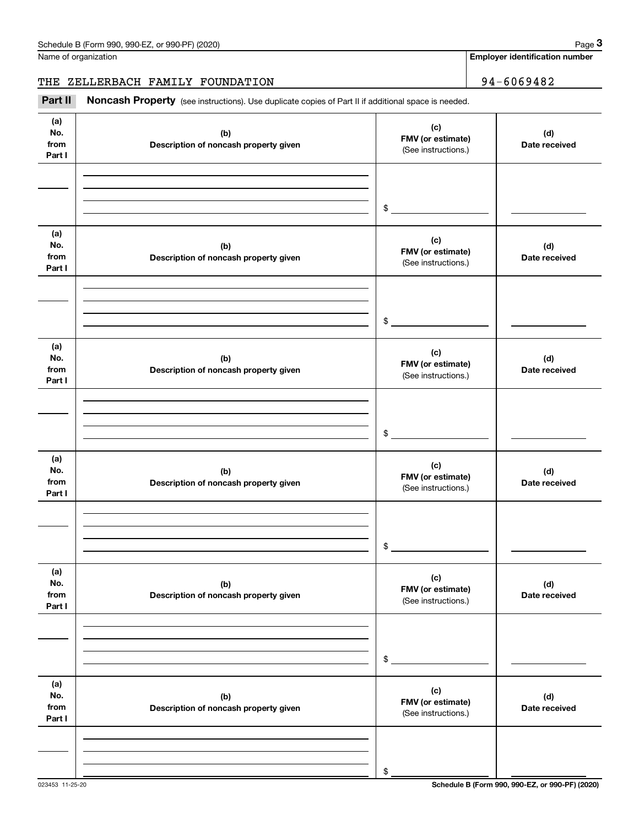Name of organization

**Employer identification number**

THE ZELLERBACH FAMILY FOUNDATION | 94-6069482

Chedule B (Form 990, 990-EZ, or 990-PF) (2020)<br>
lame of organization<br> **34 – 6069482**<br> **2Part II if additional space is needed.**<br> **Part II Noncash Property** (see instructions). Use duplicate copies of Part II if additional

| (a)<br>No.<br>from<br>Part I | (b)<br>Description of noncash property given | (c)<br>FMV (or estimate)<br>(See instructions.) | (d)<br>Date received |
|------------------------------|----------------------------------------------|-------------------------------------------------|----------------------|
|                              |                                              | $\frac{1}{2}$                                   |                      |
| (a)<br>No.<br>from<br>Part I | (b)<br>Description of noncash property given | (c)<br>FMV (or estimate)<br>(See instructions.) | (d)<br>Date received |
|                              |                                              | $\frac{1}{2}$                                   |                      |
| (a)<br>No.<br>from<br>Part I | (b)<br>Description of noncash property given | (c)<br>FMV (or estimate)<br>(See instructions.) | (d)<br>Date received |
|                              |                                              | $\sim$                                          |                      |
| (a)<br>No.<br>from<br>Part I | (b)<br>Description of noncash property given | (c)<br>FMV (or estimate)<br>(See instructions.) | (d)<br>Date received |
|                              |                                              | \$                                              |                      |
| (a)<br>No.<br>from<br>Part I | (b)<br>Description of noncash property given | (c)<br>FMV (or estimate)<br>(See instructions.) | (d)<br>Date received |
|                              |                                              | \$                                              |                      |
| (a)<br>No.<br>from<br>Part I | (b)<br>Description of noncash property given | (c)<br>FMV (or estimate)<br>(See instructions.) | (d)<br>Date received |
|                              |                                              | \$                                              |                      |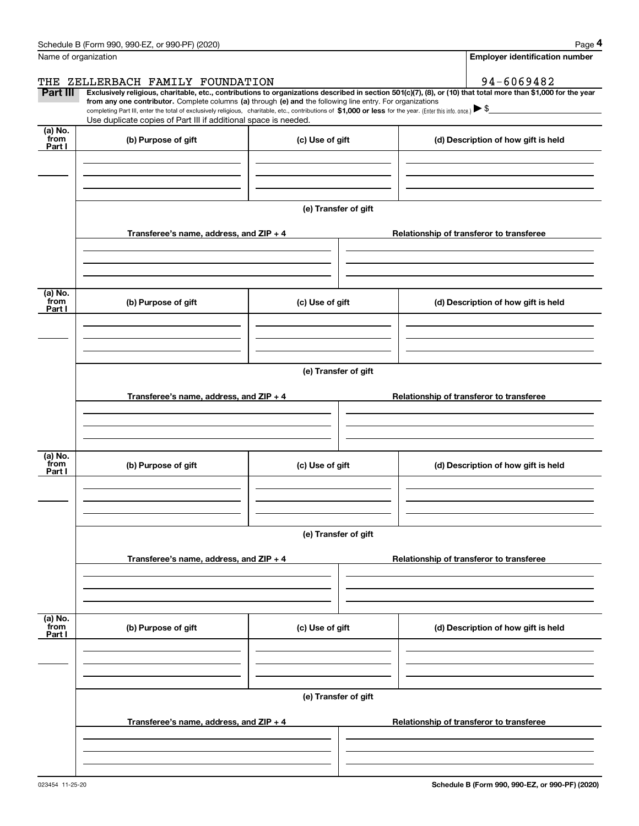| Schedule B (Form 990, 990-EZ, or 990-PF) (2020) |  |  |
|-------------------------------------------------|--|--|
|-------------------------------------------------|--|--|

|                           | Schedule B (Form 990, 990-EZ, or 990-PF) (2020)                                                                                                              |                      | Page 4                                                                                                                                                         |  |  |  |  |  |  |
|---------------------------|--------------------------------------------------------------------------------------------------------------------------------------------------------------|----------------------|----------------------------------------------------------------------------------------------------------------------------------------------------------------|--|--|--|--|--|--|
| Name of organization      |                                                                                                                                                              |                      | Employer identification number                                                                                                                                 |  |  |  |  |  |  |
| THE                       | ZELLERBACH FAMILY FOUNDATION                                                                                                                                 |                      | 94-6069482                                                                                                                                                     |  |  |  |  |  |  |
| <b>Part III</b>           | from any one contributor. Complete columns (a) through (e) and the following line entry. For organizations                                                   |                      | Exclusively religious, charitable, etc., contributions to organizations described in section 501(c)(7), (8), or (10) that total more than \$1,000 for the year |  |  |  |  |  |  |
|                           | completing Part III, enter the total of exclusively religious, charitable, etc., contributions of \$1,000 or less for the year. (Enter this info. once.) \\$ |                      |                                                                                                                                                                |  |  |  |  |  |  |
| (a) No.                   | Use duplicate copies of Part III if additional space is needed.                                                                                              |                      |                                                                                                                                                                |  |  |  |  |  |  |
| from<br>Part I            | (b) Purpose of gift                                                                                                                                          | (c) Use of gift      | (d) Description of how gift is held                                                                                                                            |  |  |  |  |  |  |
|                           |                                                                                                                                                              |                      |                                                                                                                                                                |  |  |  |  |  |  |
|                           |                                                                                                                                                              |                      |                                                                                                                                                                |  |  |  |  |  |  |
|                           |                                                                                                                                                              |                      |                                                                                                                                                                |  |  |  |  |  |  |
|                           |                                                                                                                                                              | (e) Transfer of gift |                                                                                                                                                                |  |  |  |  |  |  |
|                           | Transferee's name, address, and ZIP + 4<br>Relationship of transferor to transferee                                                                          |                      |                                                                                                                                                                |  |  |  |  |  |  |
|                           |                                                                                                                                                              |                      |                                                                                                                                                                |  |  |  |  |  |  |
|                           |                                                                                                                                                              |                      |                                                                                                                                                                |  |  |  |  |  |  |
|                           |                                                                                                                                                              |                      |                                                                                                                                                                |  |  |  |  |  |  |
| (a) No.<br>from           | (b) Purpose of gift                                                                                                                                          | (c) Use of gift      | (d) Description of how gift is held                                                                                                                            |  |  |  |  |  |  |
| Part I                    |                                                                                                                                                              |                      |                                                                                                                                                                |  |  |  |  |  |  |
|                           |                                                                                                                                                              |                      |                                                                                                                                                                |  |  |  |  |  |  |
|                           |                                                                                                                                                              |                      |                                                                                                                                                                |  |  |  |  |  |  |
|                           |                                                                                                                                                              |                      |                                                                                                                                                                |  |  |  |  |  |  |
|                           | (e) Transfer of gift                                                                                                                                         |                      |                                                                                                                                                                |  |  |  |  |  |  |
|                           | Transferee's name, address, and $ZIP + 4$                                                                                                                    |                      | Relationship of transferor to transferee                                                                                                                       |  |  |  |  |  |  |
|                           |                                                                                                                                                              |                      |                                                                                                                                                                |  |  |  |  |  |  |
|                           |                                                                                                                                                              |                      |                                                                                                                                                                |  |  |  |  |  |  |
|                           |                                                                                                                                                              |                      |                                                                                                                                                                |  |  |  |  |  |  |
| (a) No.<br>from<br>Part I | (b) Purpose of gift                                                                                                                                          | (c) Use of gift      | (d) Description of how gift is held                                                                                                                            |  |  |  |  |  |  |
|                           |                                                                                                                                                              |                      |                                                                                                                                                                |  |  |  |  |  |  |
|                           |                                                                                                                                                              |                      |                                                                                                                                                                |  |  |  |  |  |  |
|                           |                                                                                                                                                              |                      |                                                                                                                                                                |  |  |  |  |  |  |
|                           |                                                                                                                                                              | (e) Transfer of gift |                                                                                                                                                                |  |  |  |  |  |  |
|                           |                                                                                                                                                              |                      |                                                                                                                                                                |  |  |  |  |  |  |
|                           | Transferee's name, address, and ZIP + 4                                                                                                                      |                      | Relationship of transferor to transferee                                                                                                                       |  |  |  |  |  |  |
|                           |                                                                                                                                                              |                      |                                                                                                                                                                |  |  |  |  |  |  |
|                           |                                                                                                                                                              |                      |                                                                                                                                                                |  |  |  |  |  |  |
| (a) No.<br>from           |                                                                                                                                                              |                      |                                                                                                                                                                |  |  |  |  |  |  |
| Part I                    | (b) Purpose of gift                                                                                                                                          | (c) Use of gift      | (d) Description of how gift is held                                                                                                                            |  |  |  |  |  |  |
|                           |                                                                                                                                                              |                      |                                                                                                                                                                |  |  |  |  |  |  |
|                           |                                                                                                                                                              |                      |                                                                                                                                                                |  |  |  |  |  |  |
|                           |                                                                                                                                                              |                      |                                                                                                                                                                |  |  |  |  |  |  |
|                           |                                                                                                                                                              | (e) Transfer of gift |                                                                                                                                                                |  |  |  |  |  |  |
|                           | Transferee's name, address, and $ZIP + 4$                                                                                                                    |                      | Relationship of transferor to transferee                                                                                                                       |  |  |  |  |  |  |
|                           |                                                                                                                                                              |                      |                                                                                                                                                                |  |  |  |  |  |  |
|                           |                                                                                                                                                              |                      |                                                                                                                                                                |  |  |  |  |  |  |
|                           |                                                                                                                                                              |                      |                                                                                                                                                                |  |  |  |  |  |  |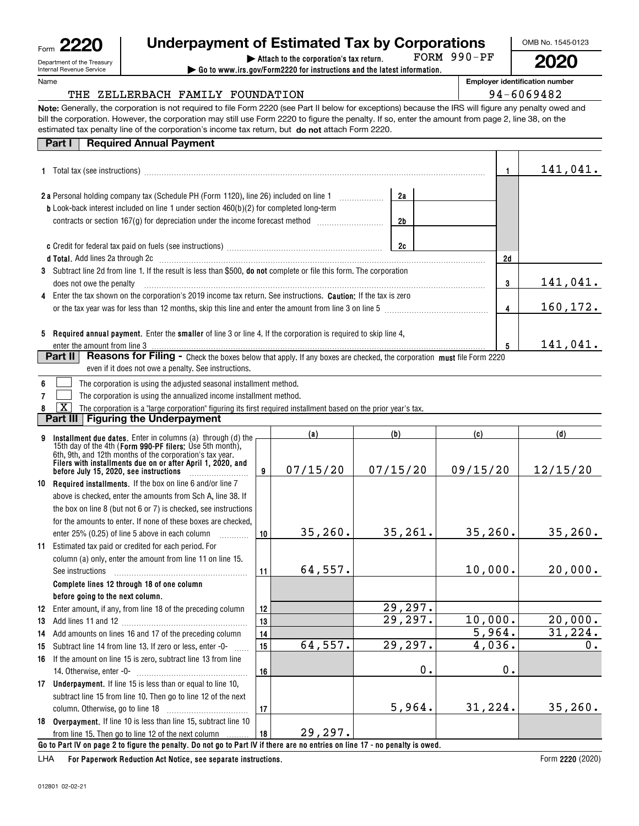| 012801 02-02-21 |
|-----------------|

#### Department of the Treasury Internal Revenue Service Form**2220**

Name

# **Underpayment of Estimated Tax by Corporations**

**| Attach to the corporation's tax return. | Go to www.irs.gov/Form2220 for instructions and the latest information.**

**2020**FORM 990-PF

**Employer identification number**

## THE ZELLERBACH FAMILY FOUNDATION **194-6069482**

**Note:**Generally, the corporation is not required to file Form 2220 (see Part II below for exceptions) because the IRS will figure any penalty owed and bill the corporation. However, the corporation may still use Form 2220 to figure the penalty. If so, enter the amount from page 2, line 38, on the estimated tax penalty line of the corporation's income tax return, but **do not** attach Form 2220.

#### **1**Total tax (see instructions) ~~~~~~~~~~~~~~~~~~~~~~~~~~~~~~~~~~~~~~~~~~~~~~**2a**Personal holding company tax (Schedule PH (Form 1120), line 26) included on line 1 **3** Subtract line 2d from line 1. If the result is less than \$500, do not complete or file this form. The corporation **45 Required annual payment.** Enter the **smaller** of line 3 or line 4. If the corporation is required to skip line 4, **12d345**Part II | Reasons for Filing - Check the boxes below that apply. If any boxes are checked, the corporation must file Form 2220 **b**Look-back interest included on line 1 under section 460(b)(2) for completed long-term **c** Credit for federal tax paid on fuels (see instructions) ~~~~~~~~~~~~~~~~~~~~~ **dTotal.**  Add lines 2a through 2c ~~~~~~~~~~~~~~~~~~~~~~~~~~~~~~~~~~~~~~~~~~~~ **2a2b2c** Enter the tax shown on the corporation's 2019 income tax return. See instructions. **Caution:** If the tax is zero **6**contracts or section 167(g) for depreciation under the income forecast method  $\ldots\ldots\ldots\ldots\ldots\ldots\ldots$ does not owe the penalty or the tax year was for less than 12 months, skip this line and enter the amount from line 3 on line 5 ~~~~~~~~~~~~~~ enter the amount from line 3 even if it does not owe a penalty. See instructions. The corporation is using the adjusted seasonal installment method. **Part I Required Annual Payment**  $\mathcal{L}^{\text{max}}$ 141,041. 141,041. 160,172. 141,041.

**7**The corporation is using the annualized income installment method.  $\mathcal{L}^{\text{max}}$ 

**8**The corporation is a "large corporation" figuring its first required installment based on the prior year's tax.  $\boxed{\text{X}}$ 

### **Part III Figuring the Underpayment**

|    | Installment due dates. Enter in columns (a) through (d) the                                                                                                                         |    | (a)      | (b)      | (c)      | (d)      |  |  |
|----|-------------------------------------------------------------------------------------------------------------------------------------------------------------------------------------|----|----------|----------|----------|----------|--|--|
|    | 15th day of the 4th (Form 990-PF filers: Use 5th month),<br>6th, 9th, and 12th months of the corporation's tax year.<br>Filers with installments due on or after April 1, 2020, and | 9  | 07/15/20 | 07/15/20 | 09/15/20 | 12/15/20 |  |  |
| 10 | <b>Required installments.</b> If the box on line 6 and/or line 7                                                                                                                    |    |          |          |          |          |  |  |
|    | above is checked, enter the amounts from Sch A, line 38. If                                                                                                                         |    |          |          |          |          |  |  |
|    | the box on line 8 (but not 6 or 7) is checked, see instructions                                                                                                                     |    |          |          |          |          |  |  |
|    | for the amounts to enter. If none of these boxes are checked.                                                                                                                       |    |          |          |          |          |  |  |
|    | enter 25% (0.25) of line 5 above in each column                                                                                                                                     | 10 | 35, 260. | 35, 261. | 35, 260. | 35, 260. |  |  |
|    | 11 Estimated tax paid or credited for each period. For                                                                                                                              |    |          |          |          |          |  |  |
|    | column (a) only, enter the amount from line 11 on line 15.                                                                                                                          |    |          |          |          |          |  |  |
|    | See instructions                                                                                                                                                                    | 11 | 64,557.  |          | 10,000.  | 20,000.  |  |  |
|    | Complete lines 12 through 18 of one column                                                                                                                                          |    |          |          |          |          |  |  |
|    | before going to the next column.                                                                                                                                                    |    |          |          |          |          |  |  |
|    | 12 Enter amount, if any, from line 18 of the preceding column                                                                                                                       | 12 |          | 29,297.  |          |          |  |  |
| 13 |                                                                                                                                                                                     | 13 |          | 29,297.  | 10,000.  | 20,000.  |  |  |
| 14 | Add amounts on lines 16 and 17 of the preceding column                                                                                                                              | 14 |          |          | 5,964.   | 31,224.  |  |  |
| 15 | Subtract line 14 from line 13. If zero or less, enter -0-                                                                                                                           | 15 | 64,557.  | 29,297.  | 4,036.   | 0.       |  |  |
|    | 16 If the amount on line 15 is zero, subtract line 13 from line                                                                                                                     |    |          |          |          |          |  |  |
|    |                                                                                                                                                                                     | 16 |          | 0.       | 0.       |          |  |  |
|    | 17 Underpayment. If line 15 is less than or equal to line 10,                                                                                                                       |    |          |          |          |          |  |  |
|    | subtract line 15 from line 10. Then go to line 12 of the next                                                                                                                       |    |          |          |          |          |  |  |
|    |                                                                                                                                                                                     | 17 |          | 5,964.   | 31, 224. | 35, 260. |  |  |
|    | 18 Overpayment. If line 10 is less than line 15, subtract line 10                                                                                                                   |    |          |          |          |          |  |  |
|    | from line 15. Then go to line 12 of the next column                                                                                                                                 | 18 | 29,297.  |          |          |          |  |  |
|    | Go to Part IV on page 2 to figure the penalty. Do not go to Part IV if there are no entries on line 17 - no penalty is owed.                                                        |    |          |          |          |          |  |  |

For Paperwork Reduction Act Notice, see separate instructions. LHA

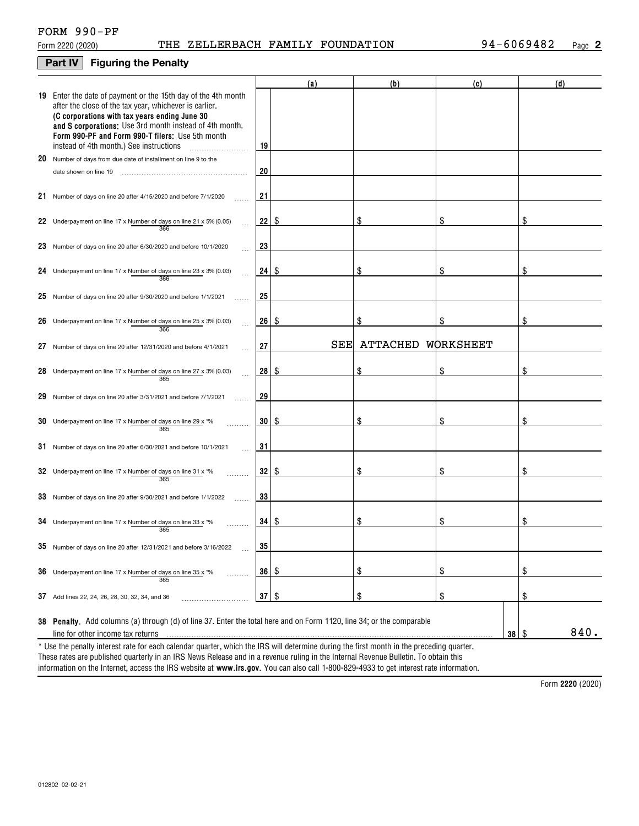### **Part IV Figuring the Penalty**

|    |                                                                                                                                                                                                                                                                                                                                    |         | (a)  | (b)      | (c)        | (d)  |
|----|------------------------------------------------------------------------------------------------------------------------------------------------------------------------------------------------------------------------------------------------------------------------------------------------------------------------------------|---------|------|----------|------------|------|
|    | 19 Enter the date of payment or the 15th day of the 4th month<br>after the close of the tax year, whichever is earlier.<br>(C corporations with tax years ending June 30<br>and S corporations: Use 3rd month instead of 4th month.<br>Form 990-PF and Form 990-T filers: Use 5th month<br>instead of 4th month.) See instructions | 19      |      |          |            |      |
| 20 | Number of days from due date of installment on line 9 to the                                                                                                                                                                                                                                                                       |         |      |          |            |      |
|    | date shown on line 19                                                                                                                                                                                                                                                                                                              | 20      |      |          |            |      |
|    | 21 Number of days on line 20 after 4/15/2020 and before 7/1/2020                                                                                                                                                                                                                                                                   | 21      |      |          |            |      |
|    | 22 Underpayment on line 17 x Number of days on line 21 x 5% (0.05)<br>366                                                                                                                                                                                                                                                          | 22      | S    | \$       | \$         | \$   |
|    | 23 Number of days on line 20 after 6/30/2020 and before 10/1/2020                                                                                                                                                                                                                                                                  | 23      |      |          |            |      |
| 24 | Underpayment on line 17 x Number of days on line 23 x 3% (0.03)<br>366                                                                                                                                                                                                                                                             | 24      | l \$ | \$       | \$         | \$   |
|    | 25 Number of days on line 20 after $9/30/2020$ and before $1/1/2021$                                                                                                                                                                                                                                                               | 25      |      |          |            |      |
| 26 | Underpayment on line 17 x Number of days on line 25 x 3% (0.03)<br>366                                                                                                                                                                                                                                                             | 26      | -\$  | \$       | \$         | \$   |
| 27 | Number of days on line 20 after 12/31/2020 and before 4/1/2021<br>$\sim$                                                                                                                                                                                                                                                           | 27      | SEE  | ATTACHED | WORKSHEET  |      |
| 28 | Underpayment on line 17 x Number of days on line 27 x 3% (0.03)<br>365                                                                                                                                                                                                                                                             | 28      | l \$ | \$       | \$         | \$   |
| 29 | Number of days on line 20 after 3/31/2021 and before 7/1/2021                                                                                                                                                                                                                                                                      | 29      |      |          |            |      |
| 30 | Underpayment on line 17 x Number of days on line 29 x *%<br>365                                                                                                                                                                                                                                                                    | 30      | -\$  | \$       | \$         | \$   |
|    | 31 Number of days on line 20 after 6/30/2021 and before 10/1/2021                                                                                                                                                                                                                                                                  | 31      |      |          |            |      |
|    | 32 Underpayment on line 17 x Number of days on line 31 x $*$ %<br>365                                                                                                                                                                                                                                                              | 32      | S    | \$       | \$         | \$   |
|    | 33 Number of days on line 20 after 9/30/2021 and before 1/1/2022                                                                                                                                                                                                                                                                   | 33      |      |          |            |      |
|    | 34 Underpayment on line 17 x Number of days on line 33 x $*$ %<br>365                                                                                                                                                                                                                                                              | 34   \$ |      | \$       | \$         | \$   |
|    | $35$ Number of days on line 20 after 12/31/2021 and before 3/16/2022                                                                                                                                                                                                                                                               | 35      |      |          |            |      |
| 36 | Underpayment on line 17 x Number of days on line 35 x *%<br>.<br>365                                                                                                                                                                                                                                                               | 36      | \$   | \$       | \$         | \$   |
|    | 37 Add lines 22, 24, 26, 28, 30, 32, 34, and 36                                                                                                                                                                                                                                                                                    | 37      | \$   | \$       | \$         | \$   |
|    | 38 Penalty. Add columns (a) through (d) of line 37. Enter the total here and on Form 1120, line 34; or the comparable<br>line for other income tax returns                                                                                                                                                                         |         |      |          | $38$ \ $$$ | 840. |
|    | * Use the penalty interest rate for each calendar quarter, which the IRS will determine during the first month in the preceding quarter.                                                                                                                                                                                           |         |      |          |            |      |

information on the Internet, access the IRS website at **www.irs.gov**. You can also call 1-800-829-4933 to get interest rate information. These rates are published quarterly in an IRS News Release and in a revenue ruling in the Internal Revenue Bulletin. To obtain this

**2220**  Form (2020)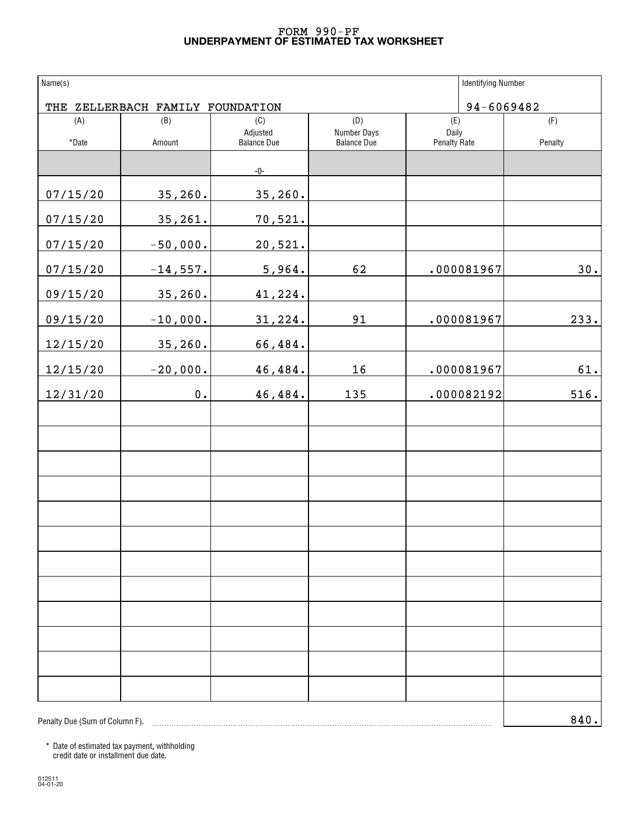### **UNDERPAYMENT OF ESTIMATED TAX WORKSHEET** FORM 990-PF

| Name(s)                        |                                  |                    |                    | <b>Identifying Number</b> |            |
|--------------------------------|----------------------------------|--------------------|--------------------|---------------------------|------------|
|                                | THE ZELLERBACH FAMILY FOUNDATION |                    |                    |                           | 94-6069482 |
| (A)                            | (B)                              | (C)<br>Adjusted    | (D)<br>Number Days | (E)<br>Daily              | (F)        |
| *Date                          | Amount                           | <b>Balance Due</b> | <b>Balance Due</b> | <b>Penalty Rate</b>       | Penalty    |
|                                |                                  | $-0-$              |                    |                           |            |
| 07/15/20                       | 35, 260.                         | 35, 260.           |                    |                           |            |
| 07/15/20                       | 35, 261.                         | 70,521.            |                    |                           |            |
| 07/15/20                       | $-50,000.$                       | 20,521.            |                    |                           |            |
| 07/15/20                       | $-14,557.$                       | 5,964.             | 62                 | .000081967                | 30.        |
| 09/15/20                       | 35, 260.                         | 41,224.            |                    |                           |            |
| 09/15/20                       | $-10,000.$                       | 31,224.            | 91                 | .000081967                | 233.       |
| 12/15/20                       | 35, 260.                         | 66,484.            |                    |                           |            |
| 12/15/20                       | $-20,000.$                       | 46,484.            | 16                 | .000081967                | $61.$      |
| 12/31/20                       | $0$ .                            | 46,484.            | 135                | .000082192                | 516.       |
|                                |                                  |                    |                    |                           |            |
|                                |                                  |                    |                    |                           |            |
|                                |                                  |                    |                    |                           |            |
|                                |                                  |                    |                    |                           |            |
|                                |                                  |                    |                    |                           |            |
|                                |                                  |                    |                    |                           |            |
|                                |                                  |                    |                    |                           |            |
|                                |                                  |                    |                    |                           |            |
|                                |                                  |                    |                    |                           |            |
|                                |                                  |                    |                    |                           |            |
|                                |                                  |                    |                    |                           |            |
|                                |                                  |                    |                    |                           |            |
| Penalty Due (Sum of Column F). |                                  |                    |                    |                           | 840.       |

\* Date of estimated tax payment, withholding credit date or installment due date.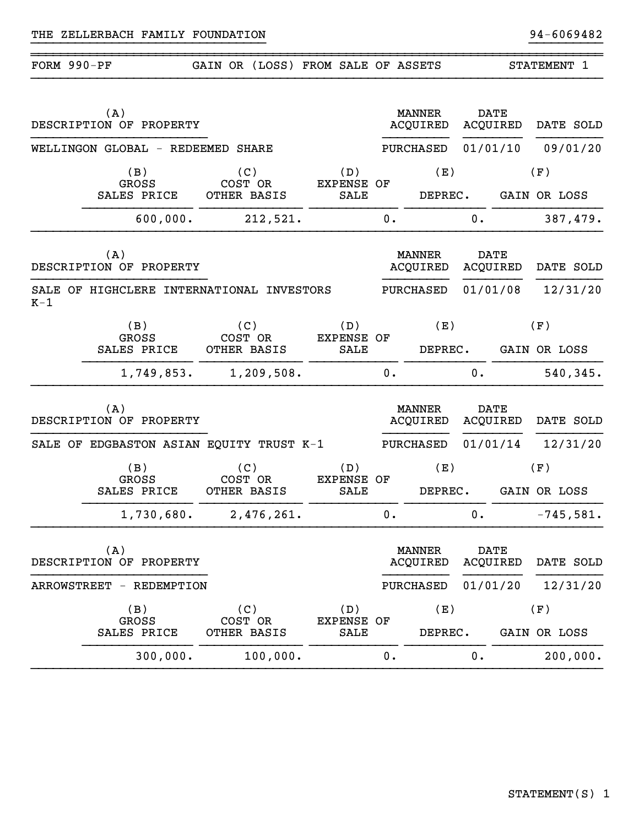| FORM 990-PF |     |                                    | GAIN OR (LOSS) FROM SALE OF ASSETS        |                                  |    |                                  |             |          | STATEMENT 1         |  |
|-------------|-----|------------------------------------|-------------------------------------------|----------------------------------|----|----------------------------------|-------------|----------|---------------------|--|
|             | (A) | DESCRIPTION OF PROPERTY            |                                           |                                  |    | <b>MANNER</b><br><b>ACQUIRED</b> | <b>DATE</b> | ACQUIRED | DATE SOLD           |  |
|             |     |                                    | WELLINGON GLOBAL - REDEEMED SHARE         |                                  |    | PURCHASED                        | 01/01/10    |          | 09/01/20            |  |
|             |     | (B)<br><b>GROSS</b>                | (C)<br>COST OR                            | (D)<br><b>EXPENSE OF</b>         |    | (E)                              |             |          | (F)                 |  |
|             |     | SALES PRICE                        | OTHER BASIS                               | SALE                             |    | DEPREC.                          |             |          | GAIN OR LOSS        |  |
|             |     | 600,000.                           | 212,521.                                  |                                  | 0. |                                  | 0.          |          | 387,479.            |  |
|             | (A) | DESCRIPTION OF PROPERTY            |                                           |                                  |    | <b>MANNER</b><br>ACQUIRED        | <b>DATE</b> | ACQUIRED | DATE SOLD           |  |
| $K-1$       |     |                                    | SALE OF HIGHCLERE INTERNATIONAL INVESTORS |                                  |    | PURCHASED                        | 01/01/08    |          | 12/31/20            |  |
|             |     | (B)<br><b>GROSS</b><br>SALES PRICE | (C)<br>COST OR<br>OTHER BASIS             | (D)<br><b>EXPENSE OF</b><br>SALE |    | (E)<br>DEPREC.                   |             |          | (F)<br>GAIN OR LOSS |  |
|             |     | 1,749,853.                         | 1,209,508.                                |                                  | 0. |                                  | 0.          |          | 540,345.            |  |
|             | (A) | DESCRIPTION OF PROPERTY            |                                           |                                  |    | <b>MANNER</b><br><b>ACQUIRED</b> | <b>DATE</b> | ACQUIRED | DATE SOLD           |  |
|             |     |                                    | SALE OF EDGBASTON ASIAN EQUITY TRUST K-1  |                                  |    | PURCHASED                        |             | 01/01/14 | 12/31/20            |  |
|             |     | (B)<br>GROSS                       | (C)<br>COST OR                            | (D)<br><b>EXPENSE OF</b>         |    | (E)                              |             |          | (F)                 |  |
|             |     | SALES PRICE                        | OTHER BASIS                               | <b>SALE</b>                      |    | DEPREC.                          |             |          | GAIN OR LOSS        |  |
|             |     | 1,730,680.                         | 2,476,261.                                |                                  | 0. |                                  | 0.          |          | $-745,581.$         |  |
|             | (A) | DESCRIPTION OF PROPERTY            |                                           |                                  |    | <b>MANNER</b><br>ACQUIRED        | <b>DATE</b> | ACQUIRED | DATE SOLD           |  |
|             |     | ARROWSTREET - REDEMPTION           |                                           |                                  |    | PURCHASED                        | 01/01/20    |          | 12/31/20            |  |
|             |     | (B)<br><b>GROSS</b><br>SALES PRICE | (C)<br>COST OR<br>OTHER BASIS             | (D)<br><b>EXPENSE OF</b><br>SALE |    | (E)<br>DEPREC.                   |             |          | (F)<br>GAIN OR LOSS |  |
|             |     | 300,000.                           | 100,000.                                  |                                  | 0. |                                  | $0$ .       |          | 200,000.            |  |

}}}}}}}}}}}}}}}}}}}}}}}}}}}}}}}} }}}}}}}}}}

~~~~~~~~~~~~~~~~~~~~~~~~~~~~~~~~~~~~~~~~~~~~~~~~~~~~~~~~~~~~~~~~~~~~~~~~~~~~~~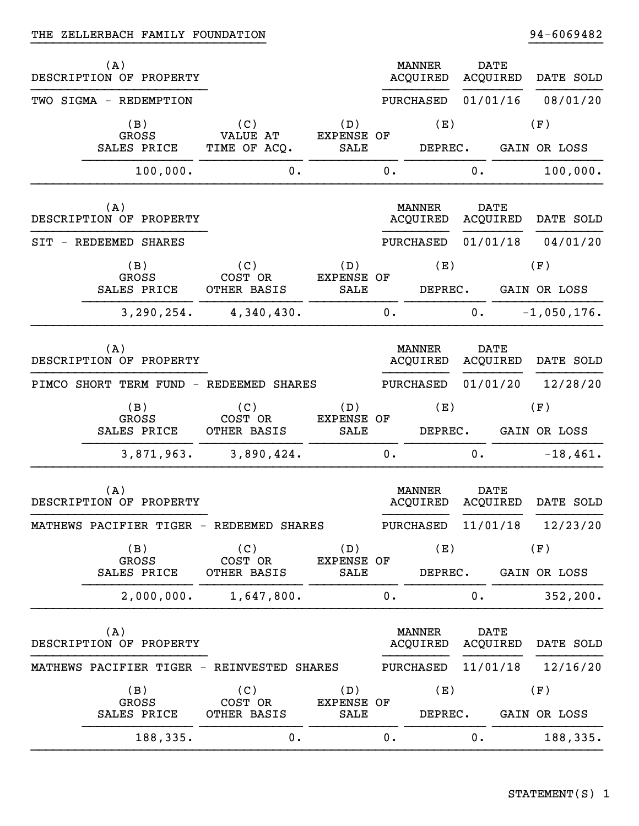|     | (A)<br>DESCRIPTION OF PROPERTY |                                            |                           |    | <b>MANNER</b><br><b>ACQUIRED</b> | <b>DATE</b><br>ACQUIRED |          | DATE SOLD     |
|-----|--------------------------------|--------------------------------------------|---------------------------|----|----------------------------------|-------------------------|----------|---------------|
|     | TWO SIGMA - REDEMPTION         |                                            |                           |    | PURCHASED                        | 01/01/16                |          | 08/01/20      |
|     | (B)<br><b>GROSS</b>            | (C)<br><b>VALUE AT</b>                     | (D)<br><b>EXPENSE OF</b>  |    | (E)                              |                         |          | (F)           |
|     | SALES PRICE                    | TIME OF ACQ.                               | SALE                      |    | DEPREC.                          |                         |          | GAIN OR LOSS  |
|     | 100,000.                       | $0$ .                                      |                           | 0. |                                  | 0.                      |          | 100,000.      |
|     | (A)<br>DESCRIPTION OF PROPERTY |                                            |                           |    | <b>MANNER</b><br>ACQUIRED        | <b>DATE</b>             | ACQUIRED | DATE SOLD     |
| SIT | - REDEEMED SHARES              |                                            |                           |    | PURCHASED                        |                         | 01/01/18 | 04/01/20      |
|     | (B)                            | (C)                                        | (D)                       |    | (E)                              |                         |          | (F)           |
|     | <b>GROSS</b><br>SALES PRICE    | COST OR<br>OTHER BASIS                     | <b>EXPENSE OF</b><br>SALE |    | DEPREC.                          |                         |          | GAIN OR LOSS  |
|     | 3, 290, 254.                   | 4,340,430.                                 |                           | 0. |                                  | 0.                      |          | $-1,050,176.$ |
|     | (A)<br>DESCRIPTION OF PROPERTY |                                            |                           |    | <b>MANNER</b><br>ACQUIRED        | <b>DATE</b>             | ACQUIRED | DATE SOLD     |
|     |                                | PIMCO SHORT TERM FUND - REDEEMED SHARES    |                           |    | PURCHASED                        | 01/01/20                |          | 12/28/20      |
|     | (B)                            | (C)<br>COST OR                             | (D)<br><b>EXPENSE OF</b>  |    | (E)                              |                         |          | (F)           |
|     | <b>GROSS</b><br>SALES PRICE    | OTHER BASIS                                | SALE                      |    | DEPREC.                          |                         |          | GAIN OR LOSS  |
|     | 3,871,963.                     | 3,890,424.                                 |                           | 0. |                                  | $\mathbf 0$ .           |          | $-18,461.$    |
|     | (A)<br>DESCRIPTION OF PROPERTY |                                            |                           |    | <b>MANNER</b><br>ACQUIRED        | <b>DATE</b><br>ACQUIRED |          | DATE SOLD     |
|     |                                | MATHEWS PACIFIER TIGER - REDEEMED SHARES   |                           |    | PURCHASED 11/01/18               |                         |          | 12/23/20      |
|     | (B)<br><b>GROSS</b>            | (C)<br>COST OR                             | (D)<br><b>EXPENSE OF</b>  |    | (E)                              |                         |          | (F)           |
|     | SALES PRICE                    | OTHER BASIS                                | SALE                      |    | DEPREC.                          |                         |          | GAIN OR LOSS  |
|     | 2,000,000.                     | 1,647,800.                                 |                           | 0. |                                  | 0.                      |          | 352, 200.     |
|     | (A)<br>DESCRIPTION OF PROPERTY |                                            |                           |    | <b>MANNER</b><br><b>ACQUIRED</b> | <b>DATE</b>             | ACQUIRED | DATE SOLD     |
|     |                                | MATHEWS PACIFIER TIGER - REINVESTED SHARES |                           |    | PURCHASED                        | 11/01/18                |          | 12/16/20      |
|     | (B)<br>GROSS                   | (C)<br>COST OR                             | (D)<br><b>EXPENSE OF</b>  |    | (E)                              |                         |          | (F)           |
|     | SALES PRICE                    | OTHER BASIS                                | SALE                      |    | DEPREC.                          |                         |          | GAIN OR LOSS  |
|     | 188,335.                       | 0.                                         |                           | 0. |                                  | 0.                      |          | 188,335.      |

}}}}}}}}}}}}}}}}}}}}}}}}}}}}}}}} }}}}}}}}}}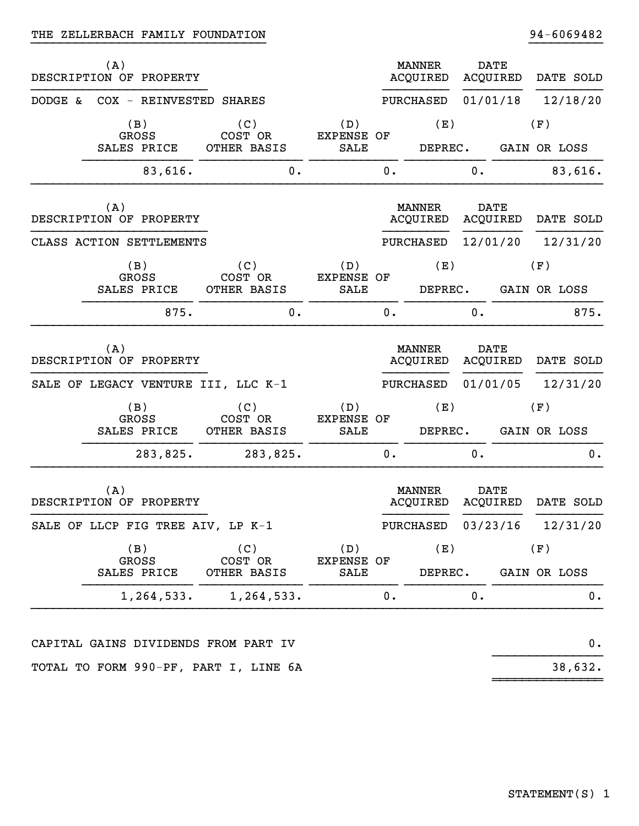|         | (A) | DESCRIPTION OF PROPERTY            |                                     |                                         |    | <b>MANNER</b><br>ACQUIRED |    | <b>DATE</b><br>ACQUIRED |     | DATE SOLD |      |
|---------|-----|------------------------------------|-------------------------------------|-----------------------------------------|----|---------------------------|----|-------------------------|-----|-----------|------|
| DODGE & |     |                                    | COX - REINVESTED SHARES             |                                         |    | PURCHASED                 |    | 01/01/18                |     | 12/18/20  |      |
|         |     | (B)<br><b>GROSS</b><br>SALES PRICE | (C)<br>COST OR<br>OTHER BASIS       | (D)<br><b>EXPENSE OF</b><br><b>SALE</b> |    | (E)<br>DEPREC.            |    | GAIN OR LOSS            | (F) |           |      |
|         |     | 83,616.                            | 0.                                  |                                         | 0. |                           | 0. |                         |     | 83,616.   |      |
|         | (A) | DESCRIPTION OF PROPERTY            |                                     |                                         |    | <b>MANNER</b><br>ACQUIRED |    | <b>DATE</b><br>ACQUIRED |     | DATE SOLD |      |
|         |     | CLASS ACTION SETTLEMENTS           |                                     |                                         |    | PURCHASED                 |    | 12/01/20                |     | 12/31/20  |      |
|         |     | (B)<br>GROSS                       | (C)<br>COST OR                      | (D)<br><b>EXPENSE OF</b>                |    | (E)                       |    |                         | (F) |           |      |
|         |     | SALES PRICE                        | OTHER BASIS                         | SALE                                    |    | DEPREC.                   |    | GAIN OR LOSS            |     |           |      |
|         |     | 875.                               | 0.                                  |                                         | 0. |                           | 0. |                         |     |           | 875. |
|         | (A) | DESCRIPTION OF PROPERTY            |                                     |                                         |    | MANNER<br>ACQUIRED        |    | <b>DATE</b><br>ACQUIRED |     | DATE SOLD |      |
|         |     |                                    | SALE OF LEGACY VENTURE III, LLC K-1 |                                         |    | PURCHASED                 |    | 01/01/05                |     | 12/31/20  |      |
|         |     | (B)<br><b>GROSS</b><br>SALES PRICE | (C)<br>COST OR<br>OTHER BASIS       | (D)<br><b>EXPENSE OF</b><br>SALE        |    | (E)<br>DEPREC.            |    | GAIN OR LOSS            | (F) |           |      |
|         |     | 283,825.                           | 283,825.                            |                                         | 0. |                           | 0. |                         |     |           | 0.   |
|         | (A) | DESCRIPTION OF PROPERTY            |                                     |                                         |    | <b>MANNER</b><br>ACQUIRED |    | <b>DATE</b><br>ACQUIRED |     | DATE SOLD |      |
|         |     |                                    | SALE OF LLCP FIG TREE AIV, LP K-1   |                                         |    | PURCHASED 03/23/16        |    |                         |     | 12/31/20  |      |
|         |     | (B)<br>GROSS<br>SALES PRICE        | (C)<br>COST OR<br>OTHER BASIS       | (D)<br>EXPENSE OF<br>SALE               |    | (E)<br>DEPREC.            |    | GAIN OR LOSS            | (F) |           |      |
|         |     | 1,264,533.                         | 1,264,533.                          |                                         | 0. |                           | 0. |                         |     |           | 0.   |
|         |     |                                    |                                     |                                         |    |                           |    |                         |     |           |      |

}}}}}}}}}}}}}}}}}}}}}}}}}}}}}}}} }}}}}}}}}}

 $~\rightarrow$   $~\rightarrow$   $~\rightarrow$   $~\rightarrow$   $~\rightarrow$   $~\rightarrow$   $~\rightarrow$   $~\rightarrow$   $~\rightarrow$   $~\rightarrow$   $~\rightarrow$   $~\rightarrow$   $~\rightarrow$   $~\rightarrow$   $~\rightarrow$   $~\rightarrow$   $~\rightarrow$   $~\rightarrow$   $~\rightarrow$   $~\rightarrow$   $~\rightarrow$   $~\rightarrow$   $~\rightarrow$   $~\rightarrow$   $~\rightarrow$   $~\rightarrow$   $~\rightarrow$   $~\rightarrow$   $~\rightarrow$   $~\rightarrow$   $~\rightarrow$   $~\rightarrow$   $~\rightarrow$   $~\rightarrow$   $~\rightarrow$   $~\rightarrow$   $~\rightarrow$ 

CAPITAL GAINS DIVIDENDS FROM PART IV 0. }}}}}}}}}}}}}}} TOTAL TO FORM 990-PF, PART I, LINE 6A 38,632.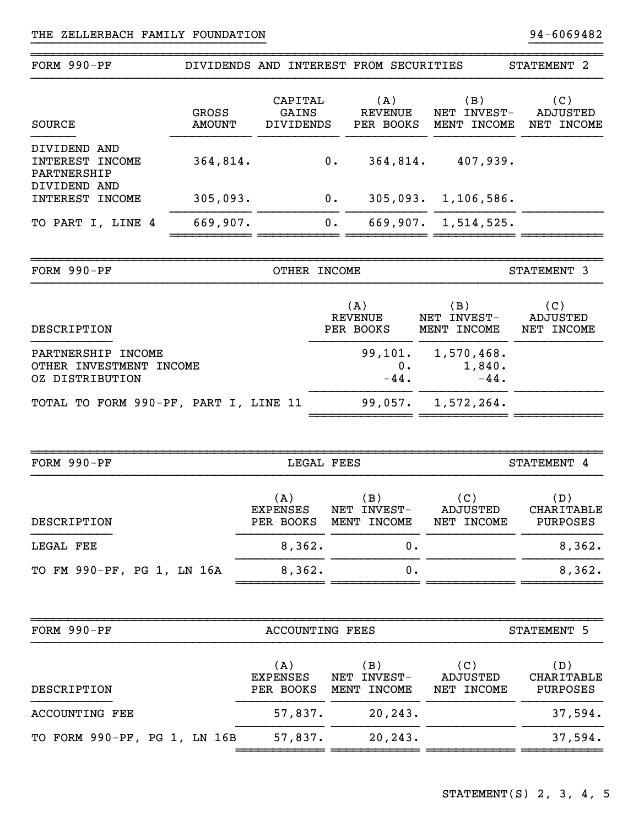| FORM 990-PF                                                      |                        |                                     |       | DIVIDENDS AND INTEREST FROM SECURITIES      |                                        | STATEMENT <sub>2</sub>               |
|------------------------------------------------------------------|------------------------|-------------------------------------|-------|---------------------------------------------|----------------------------------------|--------------------------------------|
| <b>SOURCE</b>                                                    | GROSS<br><b>AMOUNT</b> | CAPITAL<br>GAINS<br>DIVIDENDS       |       | (A)<br>REVENUE<br>PER BOOKS                 | (B)<br>NET INVEST-<br>MENT INCOME      | (C)<br>ADJUSTED<br>NET INCOME        |
| DIVIDEND AND<br>INTEREST INCOME<br>PARTNERSHIP                   | 364,814.               |                                     | $0$ . | 364,814.                                    | 407,939.                               |                                      |
| DIVIDEND AND<br>INTEREST INCOME                                  | 305,093.               |                                     | $0$ . |                                             | 305,093. 1,106,586.                    |                                      |
| TO PART I, LINE 4                                                | 669,907.               |                                     | 0.    |                                             | 669,907. 1,514,525.                    |                                      |
| FORM 990-PF                                                      |                        | OTHER INCOME                        |       |                                             |                                        | STATEMENT 3                          |
| DESCRIPTION                                                      |                        |                                     |       | (A)<br><b>REVENUE</b><br>PER BOOKS          | (B)<br>NET INVEST-<br>MENT INCOME      | (C)<br><b>ADJUSTED</b><br>NET INCOME |
| PARTNERSHIP INCOME<br>OTHER INVESTMENT INCOME<br>OZ DISTRIBUTION |                        |                                     |       | $0$ .<br>$-44$ .                            | 99,101. 1,570,468.<br>1,840.<br>$-44.$ |                                      |
| TOTAL TO FORM 990-PF, PART I, LINE 11                            |                        |                                     |       | 99,057.                                     | 1,572,264.                             |                                      |
| FORM 990-PF                                                      |                        | LEGAL FEES                          |       |                                             |                                        | STATEMENT 4                          |
| DESCRIPTION                                                      |                        | (A)<br><b>EXPENSES</b>              |       | (B)<br>NET INVEST-<br>PER BOOKS MENT INCOME | (C)<br><b>ADJUSTED</b><br>NET INCOME   | (D)<br><b>CHARITABLE</b><br>PURPOSES |
| LEGAL FEE                                                        |                        | 8,362.                              |       | $\mathbf 0$ .                               |                                        | 8,362.                               |
| TO FM 990-PF, PG 1, LN 16A                                       |                        | 8,362.                              |       | 0.                                          |                                        | 8,362.                               |
|                                                                  |                        |                                     |       |                                             |                                        |                                      |
| FORM 990-PF                                                      |                        | <b>ACCOUNTING FEES</b>              |       |                                             |                                        | STATEMENT 5                          |
| DESCRIPTION                                                      |                        | (A)<br><b>EXPENSES</b><br>PER BOOKS |       | (B)<br>NET INVEST-<br>MENT INCOME           | (C)<br><b>ADJUSTED</b><br>NET INCOME   | (D)<br>CHARITABLE<br>PURPOSES        |
| <b>ACCOUNTING FEE</b>                                            |                        | 57,837.                             |       | 20, 243.                                    |                                        | 37,594.                              |
| TO FORM 990-PF, PG 1, LN 16B                                     |                        | 57,837.                             |       | 20, 243.                                    |                                        | 37,594.                              |
|                                                                  |                        |                                     |       |                                             |                                        |                                      |

}}}}}}}}}}}}}}}}}}}}}}}}}}}}}}}} }}}}}}}}}}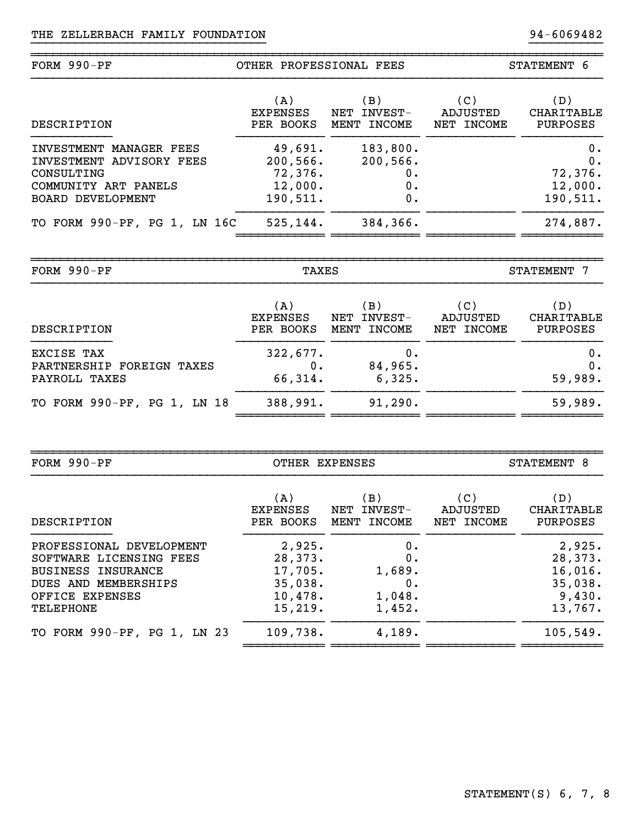| $FORM 990-PF$                                                                                                         | OTHER PROFESSIONAL FEES                               |                                         | STATEMENT 6                   |                                                  |  |
|-----------------------------------------------------------------------------------------------------------------------|-------------------------------------------------------|-----------------------------------------|-------------------------------|--------------------------------------------------|--|
| DESCRIPTION                                                                                                           | (A)<br>EXPENSES<br>PER BOOKS                          | (B)<br>INVEST-<br>NET<br>MENT INCOME    | (C)<br>ADJUSTED<br>NET INCOME | (D)<br><b>CHARITABLE</b><br>PURPOSES             |  |
| INVESTMENT MANAGER FEES<br>INVESTMENT ADVISORY FEES<br>CONSULTING<br>COMMUNITY ART PANELS<br><b>BOARD DEVELOPMENT</b> | 49,691.<br>200,566.<br>72,376.<br>12,000.<br>190,511. | 183,800.<br>200, 566.<br>0.<br>0.<br>0. |                               | $0$ .<br>$0$ .<br>72,376.<br>12,000.<br>190,511. |  |
| TO FORM 990-PF, PG 1, LN 16C                                                                                          | 525, 144.                                             | 384, 366.                               |                               | 274,887.                                         |  |

}}}}}}}}}}}}}}}}}}}}}}}}}}}}}}}} }}}}}}}}}}

~~~~~~~~~~~~~~~~~~~~~~~~~~~~~~~~~~~~~~~~~~~~~~~~~~~~~~~~~~~~~~~~~~~~~~~~~~~~~~

| FORM 990-PF                                              | TAXES                               |                                               | STATEMENT 7                   |                                      |  |
|----------------------------------------------------------|-------------------------------------|-----------------------------------------------|-------------------------------|--------------------------------------|--|
| DESCRIPTION                                              | (A)<br><b>EXPENSES</b><br>PER BOOKS | $\mathbf{B}$<br>INVEST-<br>NET<br>MENT INCOME | (C)<br>ADJUSTED<br>NET INCOME | (D)<br>CHARITABLE<br><b>PURPOSES</b> |  |
| EXCISE TAX<br>PARTNERSHIP FOREIGN TAXES<br>PAYROLL TAXES | 322,677.<br>$0$ .<br>66,314.        | 0.<br>84,965.<br>6,325.                       |                               | 0.<br>0.<br>59,989.                  |  |
| TO FORM 990-PF, PG 1, LN 18                              | 388,991.                            | 91, 290.                                      |                               | 59,989.                              |  |

| $FORM 990-PF$                                                                                                                                   | OTHER EXPENSES                                                |                                                 | STATEMENT 8                   |                                                              |  |
|-------------------------------------------------------------------------------------------------------------------------------------------------|---------------------------------------------------------------|-------------------------------------------------|-------------------------------|--------------------------------------------------------------|--|
| DESCRIPTION                                                                                                                                     | (A)<br><b>EXPENSES</b><br>PER BOOKS                           | $\mathbf{(B)}$<br>INVEST-<br>NET<br>MENT INCOME | (C)<br>ADJUSTED<br>NET INCOME | (D)<br>CHARITABLE<br><b>PURPOSES</b>                         |  |
| PROFESSIONAL DEVELOPMENT<br>SOFTWARE LICENSING FEES<br><b>BUSINESS INSURANCE</b><br>DUES AND MEMBERSHIPS<br>OFFICE EXPENSES<br><b>TELEPHONE</b> | 2,925.<br>28,373.<br>17,705.<br>35,038.<br>10,478.<br>15,219. | 0.<br>0.<br>1,689.<br>0.<br>1,048.<br>1,452.    |                               | 2,925.<br>28,373.<br>16,016.<br>35,038.<br>9,430.<br>13,767. |  |
| TO FORM 990-PF, PG 1, LN 23                                                                                                                     | 109,738.                                                      | 4,189.                                          |                               | 105,549.                                                     |  |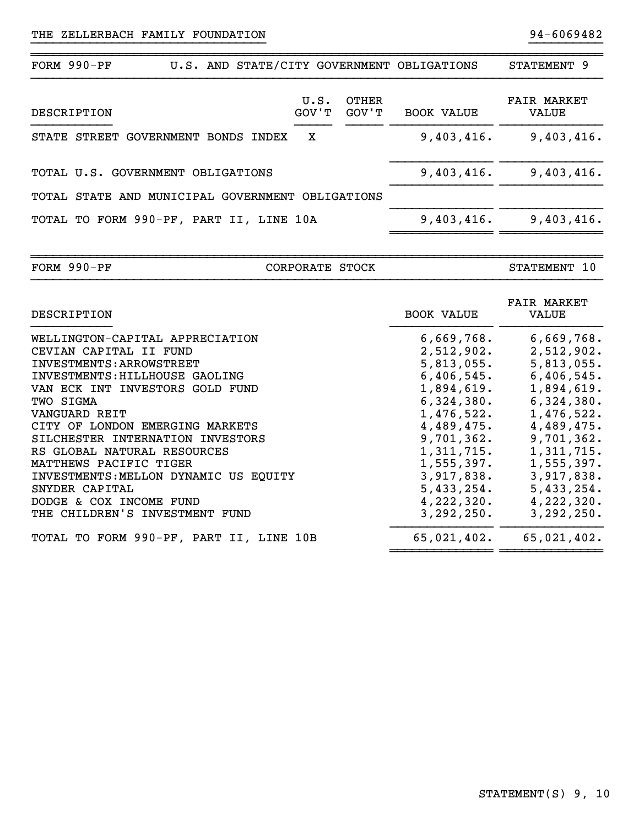| $FORM 990-PF$ |                                                  |  |   |               |                | U.S. AND STATE/CITY GOVERNMENT OBLIGATIONS | STATEMENT 9                 |
|---------------|--------------------------------------------------|--|---|---------------|----------------|--------------------------------------------|-----------------------------|
| DESCRIPTION   |                                                  |  |   | U.S.<br>GOV'T | OTHER<br>GOV'T | <b>BOOK VALUE</b>                          | <b>FAIR MARKET</b><br>VALUE |
|               | STATE STREET GOVERNMENT BONDS INDEX              |  | x |               |                | 9,403,416.                                 | 9,403,416.                  |
|               | TOTAL U.S. GOVERNMENT OBLIGATIONS                |  |   |               |                | 9,403,416.                                 | 9,403,416.                  |
|               | TOTAL STATE AND MUNICIPAL GOVERNMENT OBLIGATIONS |  |   |               |                |                                            |                             |
|               | TOTAL TO FORM 990-PF, PART II, LINE 10A          |  |   |               |                | 9,403,416.                                 | 9,403,416.                  |

}}}}}}}}}}}}}}}}}}}}}}}}}}}}}}}} }}}}}}}}}}

~~~~~~~~~~~~~~~~~~~~~~~~~~~~~~~~~~~~~~~~~~~~~~~~~~~~~~~~~~~~~~~~~~~~~~~~~~~~~~FORM 990-PF CORPORATE STOCK STATEMENT 10

| DESCRIPTION                             | <b>FAIR MARKET</b><br><b>BOOK VALUE</b><br>VALUE |
|-----------------------------------------|--------------------------------------------------|
| WELLINGTON-CAPITAL APPRECIATION         | 6,669,768.<br>6,669,768.                         |
| CEVIAN CAPITAL II FUND                  | 2,512,902.<br>2,512,902.                         |
| INVESTMENTS: ARROWSTREET                | 5,813,055.<br>5,813,055.                         |
| INVESTMENTS: HILLHOUSE GAOLING          | $6,406,545$ .<br>6,406,545.                      |
| VAN ECK INT INVESTORS GOLD FUND         | 1,894,619.<br>1,894,619.                         |
| TWO SIGMA                               | $6,324,380.$ $6,324,380.$                        |
| VANGUARD REIT                           | 1,476,522.<br>1,476,522.                         |
| CITY OF LONDON EMERGING MARKETS         | 4,489,475.<br>4,489,475.                         |
| SILCHESTER INTERNATION INVESTORS        | 9,701,362.<br>9,701,362.                         |
| RS GLOBAL NATURAL RESOURCES             | 1,311,715.<br>1,311,715.                         |
| MATTHEWS PACIFIC TIGER                  | $1,555,397.$ $1,555,397.$                        |
| INVESTMENTS: MELLON DYNAMIC US EQUITY   | 3,917,838.<br>3,917,838.                         |
| SNYDER CAPITAL                          | 5,433,254.<br>5,433,254.                         |
| DODGE & COX INCOME FUND                 | 4,222,320.<br>4,222,320.                         |
| THE CHILDREN'S INVESTMENT FUND          | 3,292,250.<br>3,292,250.                         |
| TOTAL TO FORM 990-PF, PART II, LINE 10B | 65,021,402.<br>65,021,402.                       |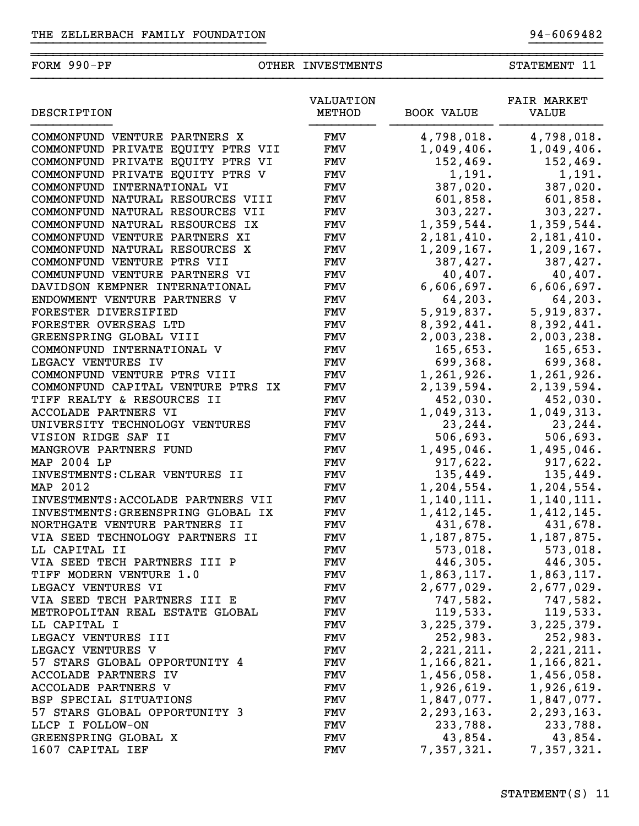## FORM 990-PF OTHER INVESTMENTS STATEMENT 11

}}}}}}}}}}}}}}}}}}}}}}}}}}}}}}}} }}}}}}}}}}

~~~~~~~~~~~~~~~~~~~~~~~~~~~~~~~~~~~~~~~~~~~~~~~~~~~~~~~~~~~~~~~~~~~~~~~~~~~~~~

| DESCRIPTION                        | VALUATION<br>METHOD | <b>BOOK VALUE</b> | <b>FAIR MARKET</b><br>VALUE |
|------------------------------------|---------------------|-------------------|-----------------------------|
| COMMONFUND VENTURE PARTNERS X      | FMV                 | 4,798,018.        | 4,798,018.                  |
| COMMONFUND PRIVATE EQUITY PTRS VII | <b>FMV</b>          | 1,049,406.        | 1,049,406.                  |
| COMMONFUND PRIVATE EQUITY PTRS VI  | <b>FMV</b>          | 152,469.          | 152,469.                    |
| COMMONFUND PRIVATE EQUITY PTRS V   | <b>FMV</b>          | 1,191.            | 1,191.                      |
| COMMONFUND INTERNATIONAL VI        | <b>FMV</b>          | 387,020.          | 387,020.                    |
| COMMONFUND NATURAL RESOURCES VIII  | <b>FMV</b>          | 601,858.          | 601,858.                    |
| COMMONFUND NATURAL RESOURCES VII   | <b>FMV</b>          | 303, 227.         | 303, 227.                   |
| COMMONFUND NATURAL RESOURCES IX    | <b>FMV</b>          | 1,359,544.        | 1,359,544.                  |
| COMMONFUND VENTURE PARTNERS XI     | FMV                 | 2,181,410.        | 2,181,410.                  |
| COMMONFUND NATURAL RESOURCES X     | <b>FMV</b>          | 1,209,167.        | 1,209,167.                  |
| COMMONFUND VENTURE PTRS VII        | <b>FMV</b>          | 387,427.          | 387,427.                    |
| COMMUNFUND VENTURE PARTNERS VI     | <b>FMV</b>          | 40,407.           | 40,407.                     |
| DAVIDSON KEMPNER INTERNATIONAL     | <b>FMV</b>          | 6,606,697.        | 6,606,697.                  |
| ENDOWMENT VENTURE PARTNERS V       | <b>FMV</b>          | 64,203.           | 64,203.                     |
| FORESTER DIVERSIFIED               | <b>FMV</b>          | 5,919,837.        | 5,919,837.                  |
| FORESTER OVERSEAS LTD              | <b>FMV</b>          | 8,392,441.        | 8,392,441.                  |
| GREENSPRING GLOBAL VIII            | <b>FMV</b>          | 2,003,238.        | 2,003,238.                  |
| COMMONFUND INTERNATIONAL V         | <b>FMV</b>          | 165,653.          | 165,653.                    |
| LEGACY VENTURES IV                 | <b>FMV</b>          | 699,368.          | 699,368.                    |
| COMMONFUND VENTURE PTRS VIII       | <b>FMV</b>          | 1,261,926.        | 1,261,926.                  |
| COMMONFUND CAPITAL VENTURE PTRS IX | <b>FMV</b>          | 2,139,594.        | 2,139,594.                  |
| TIFF REALTY & RESOURCES II         | <b>FMV</b>          | 452,030.          | 452,030.                    |
| ACCOLADE PARTNERS VI               | <b>FMV</b>          | 1,049,313.        | 1,049,313.                  |
| UNIVERSITY TECHNOLOGY VENTURES     | <b>FMV</b>          | 23,244.           | 23,244.                     |
| VISION RIDGE SAF II                | <b>FMV</b>          | 506,693.          | 506,693.                    |
| MANGROVE PARTNERS FUND             | <b>FMV</b>          | 1,495,046.        | 1,495,046.                  |
| MAP 2004 LP                        | <b>FMV</b>          | 917,622.          | 917,622.                    |
| INVESTMENTS: CLEAR VENTURES II     | <b>FMV</b>          | 135,449.          | 135,449.                    |
| MAP 2012                           | <b>FMV</b>          | 1, 204, 554.      | 1,204,554.                  |
| INVESTMENTS: ACCOLADE PARTNERS VII | <b>FMV</b>          | 1,140,111.        | 1,140,111.                  |
| INVESTMENTS: GREENSPRING GLOBAL IX | <b>FMV</b>          | 1,412,145.        | 1,412,145.                  |
| NORTHGATE VENTURE PARTNERS II      | FMV                 | 431,678.          | 431,678.                    |
| VIA SEED TECHNOLOGY PARTNERS II    | FMV                 | 1,187,875.        | 1,187,875.                  |
| LL CAPITAL II                      | <b>FMV</b>          | 573,018.          | 573,018.                    |
| VIA SEED TECH PARTNERS III P       | <b>FMV</b>          | 446,305.          | 446,305.                    |
| TIFF MODERN VENTURE 1.0            | FMV                 | 1,863,117.        | 1,863,117.                  |
| LEGACY VENTURES VI                 | FMV                 | 2,677,029.        | 2,677,029.                  |
| VIA SEED TECH PARTNERS III E       | FMV                 | 747,582.          | 747,582.                    |
| METROPOLITAN REAL ESTATE GLOBAL    | FMV                 | 119,533.          | 119,533.                    |
| LL CAPITAL I                       | FMV                 | 3, 225, 379.      | 3, 225, 379.                |
| LEGACY VENTURES III                | FMV                 | 252,983.          | 252,983.                    |
| LEGACY VENTURES V                  | FMV                 | 2, 221, 211.      | 2, 221, 211.                |
| 57 STARS GLOBAL OPPORTUNITY 4      | FMV                 | 1,166,821.        | 1,166,821.                  |
| ACCOLADE PARTNERS IV               | FMV                 | 1,456,058.        | 1,456,058.                  |
| <b>ACCOLADE PARTNERS V</b>         | FMV                 | 1,926,619.        | 1,926,619.                  |
| BSP SPECIAL SITUATIONS             | FMV                 | 1,847,077.        | 1,847,077.                  |
| 57 STARS GLOBAL OPPORTUNITY 3      | FMV                 | 2, 293, 163.      | 2,293,163.                  |
| LLCP I FOLLOW-ON                   | FMV                 | 233,788.          | 233,788.                    |
| GREENSPRING GLOBAL X               | FMV                 | 43,854.           | 43,854.                     |
| 1607 CAPITAL IEF                   | FMV                 | 7,357,321.        | 7,357,321.                  |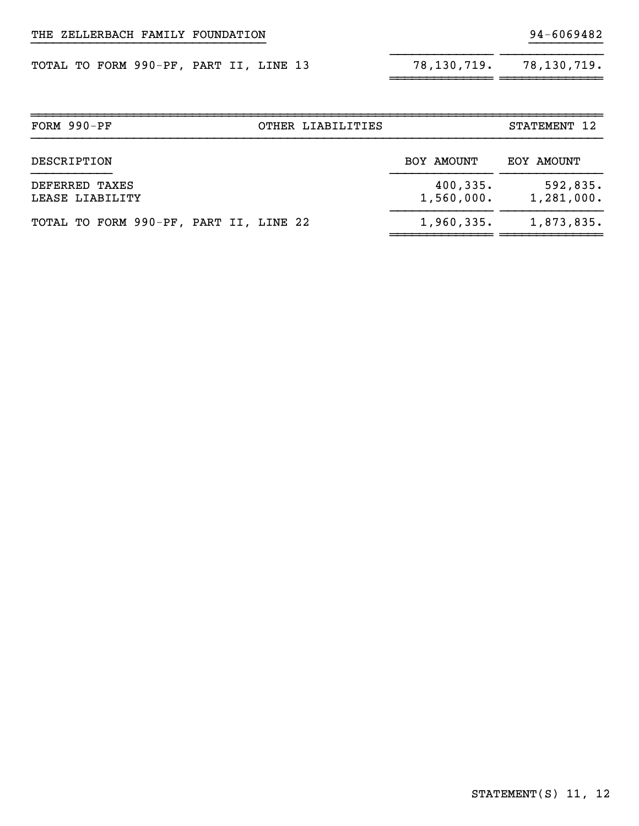|  |  | TOTAL TO FORM 990-PF, PART II, LINE 13 |  |  |  | 78,130,719. | 78,130,719. |
|--|--|----------------------------------------|--|--|--|-------------|-------------|
|--|--|----------------------------------------|--|--|--|-------------|-------------|

| 78,130,719. | 78, 130, 719. |
|-------------|---------------|
|             |               |

| FORM 990-PF<br>OTHER LIABILITIES       |                         |                        |
|----------------------------------------|-------------------------|------------------------|
| DESCRIPTION                            | BOY AMOUNT              | EOY AMOUNT             |
| DEFERRED TAXES<br>LEASE LIABILITY      | 400, 335.<br>1,560,000. | 592,835.<br>1,281,000. |
| TOTAL TO FORM 990-PF, PART II, LINE 22 | 1,960,335.              | 1,873,835.             |

}}}}}}}}}}}}}}}}}}}}}}}}}}}}}}}} }}}}}}}}}}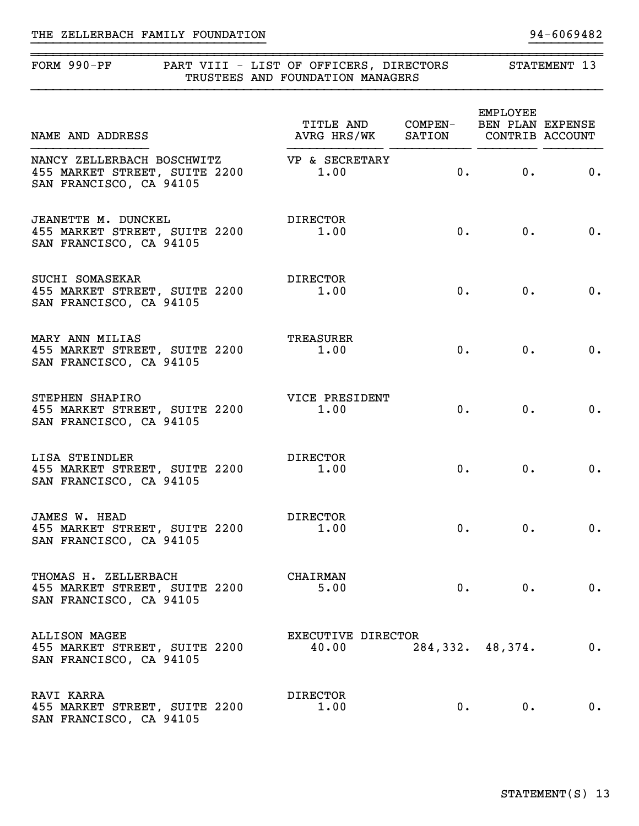| FORM 990-PF                                                                            | PART VIII - LIST OF OFFICERS, DIRECTORS<br>TRUSTEES AND FOUNDATION MANAGERS | STATEMENT 13 |                    |    |
|----------------------------------------------------------------------------------------|-----------------------------------------------------------------------------|--------------|--------------------|----|
| NAME AND ADDRESS                                                                       | TITLE AND COMPEN- BEN PLAN EXPENSE<br>AVRG HRS/WK SATION CONTRIB ACCOUNT    |              | EMPLOYEE           |    |
| NANCY ZELLERBACH BOSCHWITZ<br>455 MARKET STREET, SUITE 2200<br>SAN FRANCISCO, CA 94105 | VP & SECRETARY<br>1.00                                                      | 0.           | 0.                 | 0. |
| JEANETTE M. DUNCKEL<br>455 MARKET STREET, SUITE 2200<br>SAN FRANCISCO, CA 94105        | <b>DIRECTOR</b><br>1.00                                                     | $0 \cdot$    | $0$ .              | 0. |
| SUCHI SOMASEKAR<br>455 MARKET STREET, SUITE 2200<br>SAN FRANCISCO, CA 94105            | DIRECTOR<br>1.00                                                            | $0 \cdot$    | 0.                 | 0. |
| MARY ANN MILIAS<br>455 MARKET STREET, SUITE 2200<br>SAN FRANCISCO, CA 94105            | <b>TREASURER</b><br>1.00                                                    | $0 \cdot$    | 0.                 | 0. |
| STEPHEN SHAPIRO<br>455 MARKET STREET, SUITE 2200<br>SAN FRANCISCO, CA 94105            | VICE PRESIDENT<br>1.00                                                      | $0 \cdot$    | $0$ .              | 0. |
| LISA STEINDLER<br>455 MARKET STREET, SUITE 2200<br>SAN FRANCISCO, CA 94105             | <b>DIRECTOR</b><br>1.00                                                     | 0.           | 0.                 | 0. |
| JAMES W. HEAD<br>455 MARKET STREET, SUITE 2200<br>SAN FRANCISCO, CA 94105              | <b>DIRECTOR</b><br>1.00                                                     | 0.           | 0.                 | 0. |
| THOMAS H. ZELLERBACH<br>455 MARKET STREET, SUITE 2200<br>SAN FRANCISCO, CA 94105       | <b>CHAIRMAN</b><br>5.00                                                     | $0 \cdot$    | 0.                 | 0. |
| <b>ALLISON MAGEE</b><br>455 MARKET STREET, SUITE 2200<br>SAN FRANCISCO, CA 94105       | EXECUTIVE DIRECTOR<br>40.00                                                 |              | 284, 332. 48, 374. | 0. |
| RAVI KARRA<br>455 MARKET STREET, SUITE 2200<br>SAN FRANCISCO, CA 94105                 | <b>DIRECTOR</b><br>1.00                                                     | $0$ .        | $0 \cdot$          | 0. |

}}}}}}}}}}}}}}}}}}}}}}}}}}}}}}}} }}}}}}}}}}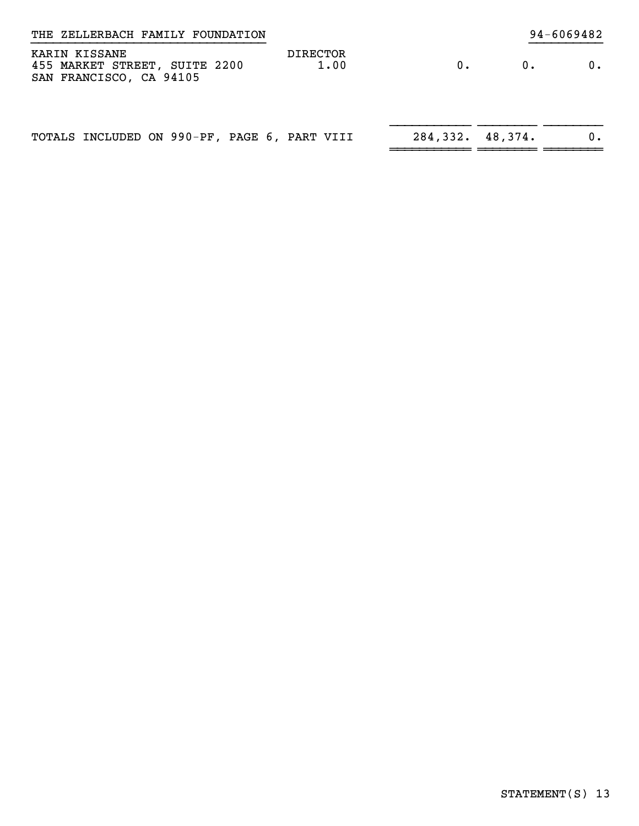| THE ZELLERBACH FAMILY FOUNDATION                                          |                         | 94-6069482         |       |    |
|---------------------------------------------------------------------------|-------------------------|--------------------|-------|----|
| KARIN KISSANE<br>455 MARKET STREET, SUITE 2200<br>SAN FRANCISCO, CA 94105 | <b>DIRECTOR</b><br>1.00 | $0$ .              | $0$ . | 0. |
| TOTALS INCLUDED ON 990-PF, PAGE 6, PART VIII                              |                         | 284, 332. 48, 374. |       | 0. |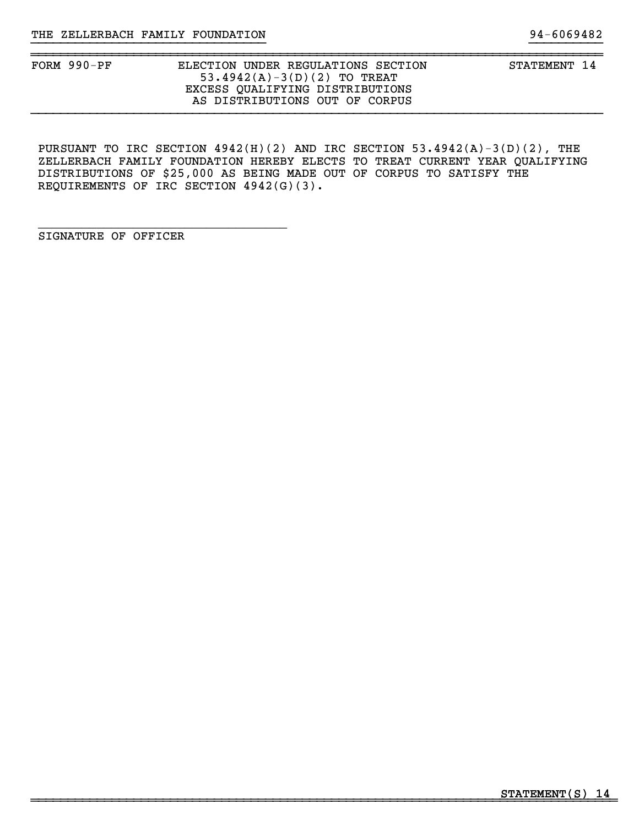}}}}}}}}}}}}}}}}}}}}}}}}}}}}}}}} }}}}}}}}}}

PURSUANT TO IRC SECTION 4942(H)(2) AND IRC SECTION 53.4942(A)-3(D)(2), THE ZELLERBACH FAMILY FOUNDATION HEREBY ELECTS TO TREAT CURRENT YEAR QUALIFYING DISTRIBUTIONS OF \$25,000 AS BEING MADE OUT OF CORPUS TO SATISFY THE REQUIREMENTS OF IRC SECTION 4942(G)(3).

SIGNATURE OF OFFICER